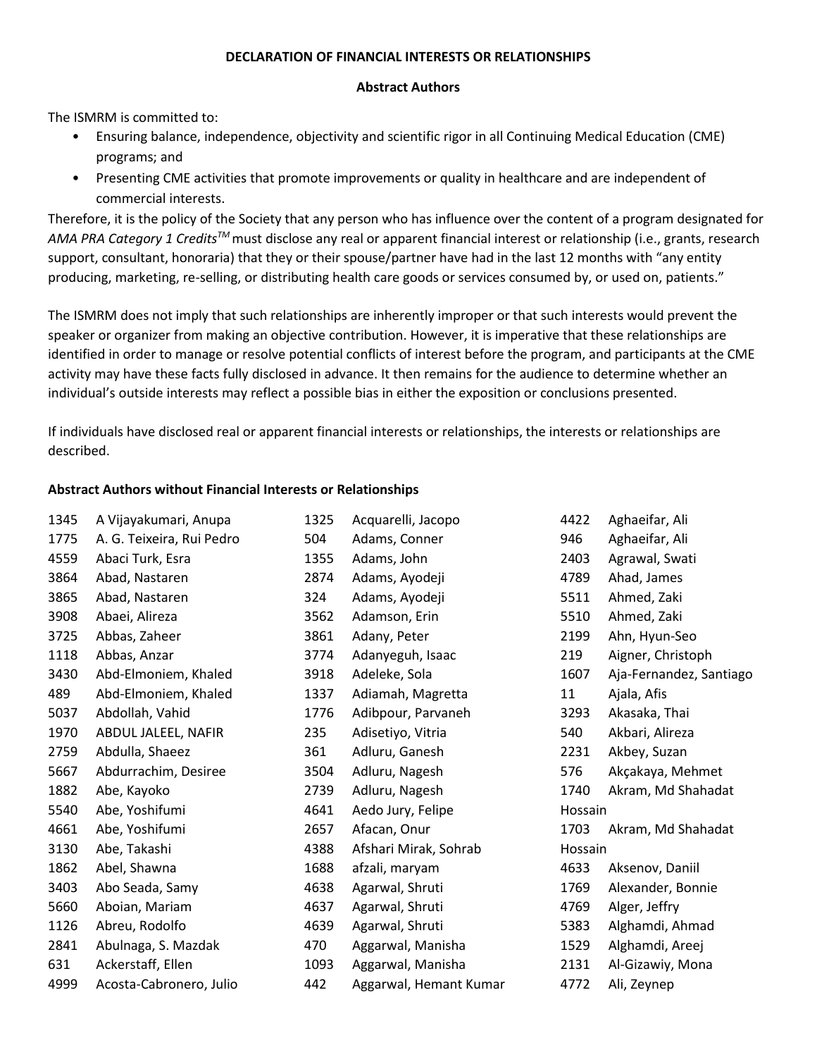## **DECLARATION OF FINANCIAL INTERESTS OR RELATIONSHIPS**

## **Abstract Authors**

The ISMRM is committed to:

- Ensuring balance, independence, objectivity and scientific rigor in all Continuing Medical Education (CME) programs; and
- Presenting CME activities that promote improvements or quality in healthcare and are independent of commercial interests.

Therefore, it is the policy of the Society that any person who has influence over the content of a program designated for *AMA PRA Category 1 CreditsTM* must disclose any real or apparent financial interest or relationship (i.e., grants, research support, consultant, honoraria) that they or their spouse/partner have had in the last 12 months with "any entity producing, marketing, re-selling, or distributing health care goods or services consumed by, or used on, patients."

The ISMRM does not imply that such relationships are inherently improper or that such interests would prevent the speaker or organizer from making an objective contribution. However, it is imperative that these relationships are identified in order to manage or resolve potential conflicts of interest before the program, and participants at the CME activity may have these facts fully disclosed in advance. It then remains for the audience to determine whether an individual's outside interests may reflect a possible bias in either the exposition or conclusions presented.

If individuals have disclosed real or apparent financial interests or relationships, the interests or relationships are described.

## **Abstract Authors without Financial Interests or Relationships**

| 1345 | A Vijayakumari, Anupa     | 1325 | Acquarelli, Jacopo     | 4422    | Aghaeifar, Ali          |
|------|---------------------------|------|------------------------|---------|-------------------------|
| 1775 | A. G. Teixeira, Rui Pedro | 504  | Adams, Conner          | 946     | Aghaeifar, Ali          |
| 4559 | Abaci Turk, Esra          | 1355 | Adams, John            | 2403    | Agrawal, Swati          |
| 3864 | Abad, Nastaren            | 2874 | Adams, Ayodeji         | 4789    | Ahad, James             |
| 3865 | Abad, Nastaren            | 324  | Adams, Ayodeji         | 5511    | Ahmed, Zaki             |
| 3908 | Abaei, Alireza            | 3562 | Adamson, Erin          | 5510    | Ahmed, Zaki             |
| 3725 | Abbas, Zaheer             | 3861 | Adany, Peter           | 2199    | Ahn, Hyun-Seo           |
| 1118 | Abbas, Anzar              | 3774 | Adanyeguh, Isaac       | 219     | Aigner, Christoph       |
| 3430 | Abd-Elmoniem, Khaled      | 3918 | Adeleke, Sola          | 1607    | Aja-Fernandez, Santiago |
| 489  | Abd-Elmoniem, Khaled      | 1337 | Adiamah, Magretta      | 11      | Ajala, Afis             |
| 5037 | Abdollah, Vahid           | 1776 | Adibpour, Parvaneh     | 3293    | Akasaka, Thai           |
| 1970 | ABDUL JALEEL, NAFIR       | 235  | Adisetiyo, Vitria      | 540     | Akbari, Alireza         |
| 2759 | Abdulla, Shaeez           | 361  | Adluru, Ganesh         | 2231    | Akbey, Suzan            |
| 5667 | Abdurrachim, Desiree      | 3504 | Adluru, Nagesh         | 576     | Akçakaya, Mehmet        |
| 1882 | Abe, Kayoko               | 2739 | Adluru, Nagesh         | 1740    | Akram, Md Shahadat      |
| 5540 | Abe, Yoshifumi            | 4641 | Aedo Jury, Felipe      | Hossain |                         |
| 4661 | Abe, Yoshifumi            | 2657 | Afacan, Onur           | 1703    | Akram, Md Shahadat      |
| 3130 | Abe, Takashi              | 4388 | Afshari Mirak, Sohrab  | Hossain |                         |
| 1862 | Abel, Shawna              | 1688 | afzali, maryam         | 4633    | Aksenov, Daniil         |
| 3403 | Abo Seada, Samy           | 4638 | Agarwal, Shruti        | 1769    | Alexander, Bonnie       |
| 5660 | Aboian, Mariam            | 4637 | Agarwal, Shruti        | 4769    | Alger, Jeffry           |
| 1126 | Abreu, Rodolfo            | 4639 | Agarwal, Shruti        | 5383    | Alghamdi, Ahmad         |
| 2841 | Abulnaga, S. Mazdak       | 470  | Aggarwal, Manisha      | 1529    | Alghamdi, Areej         |
| 631  | Ackerstaff, Ellen         | 1093 | Aggarwal, Manisha      | 2131    | Al-Gizawiy, Mona        |
| 4999 | Acosta-Cabronero, Julio   | 442  | Aggarwal, Hemant Kumar | 4772    | Ali, Zeynep             |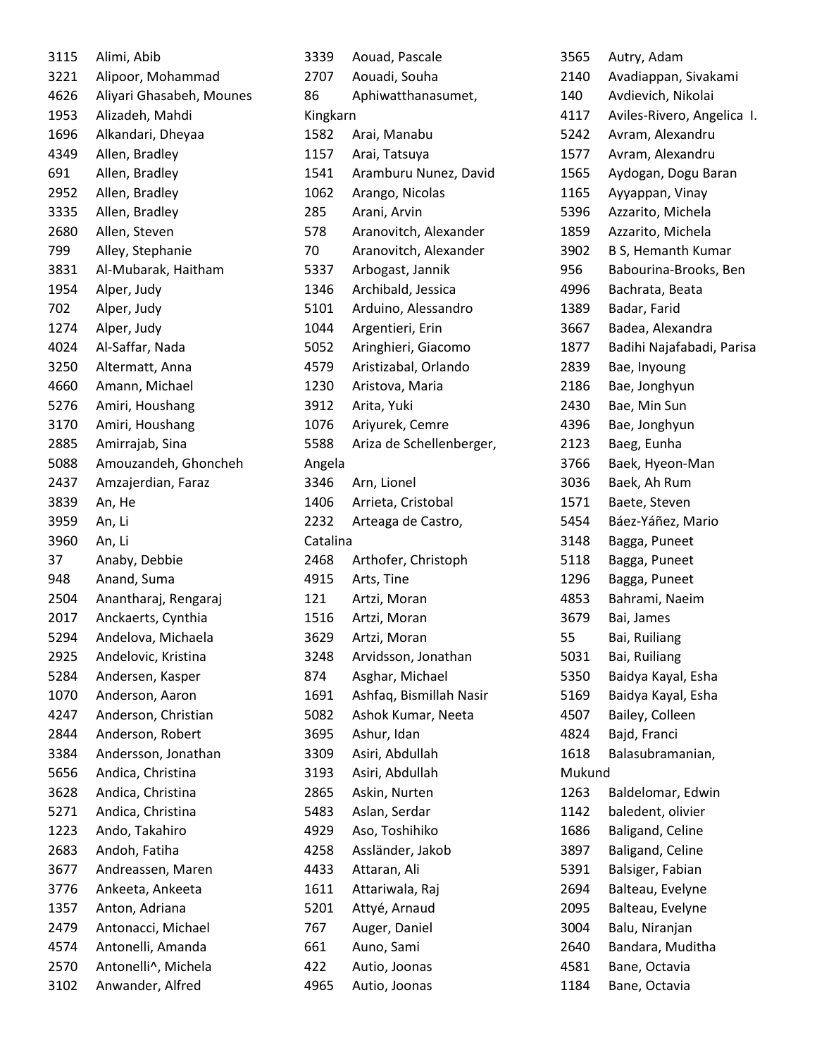| 3115 | Alimi, Abib                      |
|------|----------------------------------|
| 3221 | Alipoor, Mohammad                |
| 4626 | Aliyari Ghasabeh, Mounes         |
| 1953 | Alizadeh, Mahdi                  |
| 1696 | Alkandari, Dheyaa                |
| 4349 | Allen, Bradley                   |
| 691  | Allen, Bradley                   |
| 2952 | Allen, Bradley                   |
| 3335 | Allen, Bradley                   |
| 2680 | Allen, Steven                    |
| 799  | Alley, Stephanie                 |
| 3831 | Al-Mubarak, Haitham              |
| 1954 | Alper, Judy                      |
| 702  | Alper, Judy                      |
| 1274 | Alper, Judy                      |
| 4024 | Al-Saffar, Nada                  |
| 3250 | Altermatt, Anna                  |
| 4660 | Amann, Michael                   |
| 5276 | Amiri, Houshang                  |
| 3170 | Amiri, Houshang                  |
| 2885 | Amirrajab, Sina                  |
| 5088 | Amouzandeh, Ghoncheh             |
| 2437 | Amzajerdian, Faraz               |
| 3839 | An, He                           |
| 3959 | An, Li                           |
| 3960 | An, Li                           |
| 37   | Anaby, Debbie                    |
| 948  | Anand, Suma                      |
| 2504 | Anantharaj, Rengaraj             |
| 2017 | Anckaerts, Cynthia               |
| 5294 | Andelova, Michaela               |
| 2925 | Andelovic, Kristina              |
| 5284 | Andersen, Kasper                 |
| 1070 | Anderson, Aaron                  |
| 4247 | Anderson, Christian              |
| 2844 | Anderson, Robert                 |
| 3384 | Andersson, Jonathan              |
| 5656 | Andica, Christina                |
| 3628 | Andica, Christina                |
| 5271 | Andica, Christina                |
| 1223 | Ando, Takahiro                   |
| 2683 | Andoh, Fatiha                    |
| 3677 | Andreassen, Maren                |
| 3776 | Ankeeta, Ankeeta                 |
| 1357 | Anton, Adriana                   |
| 2479 | Antonacci, Michael               |
| 4574 | Antonelli, Amanda                |
| 2570 | Antonelli <sup>^</sup> , Michela |
| 3102 | Anwander, Alfred                 |

| 3339     | Aouad, Pascale           |  |  |  |
|----------|--------------------------|--|--|--|
| 2707     | Aouadi, Souha            |  |  |  |
| 86       | Aphiwatthanasumet,       |  |  |  |
| Kingkarn |                          |  |  |  |
| 1582     | Arai, Manabu             |  |  |  |
| 1157     | Arai, Tatsuya            |  |  |  |
| 1541     | Aramburu Nunez, David    |  |  |  |
| 1062     | Arango, Nicolas          |  |  |  |
| 285      | Arani, Arvin             |  |  |  |
| 578      | Aranovitch, Alexander    |  |  |  |
| 70       | Aranovitch, Alexander    |  |  |  |
| 5337     | Arbogast, Jannik         |  |  |  |
| 1346     | Archibald, Jessica       |  |  |  |
| 5101     | Arduino, Alessandro      |  |  |  |
| 1044     | Argentieri, Erin         |  |  |  |
| 5052     | Aringhieri, Giacomo      |  |  |  |
| 4579     | Aristizabal, Orlando     |  |  |  |
| 1230     | Aristova, Maria          |  |  |  |
| 3912     | Arita, Yuki              |  |  |  |
| 1076     | Ariyurek, Cemre          |  |  |  |
| 5588     | Ariza de Schellenberger, |  |  |  |
| Angela   |                          |  |  |  |
| 3346     | Arn, Lionel              |  |  |  |
| 1406     | Arrieta, Cristobal       |  |  |  |
| 2232     | Arteaga de Castro,       |  |  |  |
| Catalina |                          |  |  |  |
| 2468     | Arthofer, Christoph      |  |  |  |
| 4915     | Arts, Tine               |  |  |  |
| 121      | Artzi, Moran             |  |  |  |
| 1516     | Artzi, Moran             |  |  |  |
| 3629     | Artzi, Moran             |  |  |  |
| 3248     | Arvidsson, Jonathan      |  |  |  |
| 874      | Asghar, Michael          |  |  |  |
| 1691     | Ashfaq, Bismillah Nasir  |  |  |  |
| 5082     | Ashok Kumar, Neeta       |  |  |  |
| 3695     | Ashur, Idan              |  |  |  |
| 3309     | Asiri, Abdullah          |  |  |  |
| 3193     | Asiri, Abdullah          |  |  |  |
| 2865     | Askin, Nurten            |  |  |  |
| 5483     | Aslan, Serdar            |  |  |  |
| 4929     | Aso, Toshihiko           |  |  |  |
| 4258     | Assländer, Jakob         |  |  |  |
| 4433     | Attaran, Ali             |  |  |  |
| 1611     | Attariwala, Raj          |  |  |  |
| 5201     | Attyé, Arnaud            |  |  |  |
| 767      | Auger, Daniel            |  |  |  |
| 661      | Auno, Sami               |  |  |  |
| 422      | Autio, Joonas            |  |  |  |
| 4965     | Autio, Joonas            |  |  |  |

| 3565   | Autry, Adam                |
|--------|----------------------------|
| 2140   | Avadiappan, Sivakami       |
| 140    | Avdievich, Nikolai         |
| 4117   | Aviles-Rivero, Angelica I. |
| 5242   | Avram, Alexandru           |
| 1577   | Avram, Alexandru           |
| 1565   | Aydogan, Dogu Baran        |
| 1165   | Ayyappan, Vinay            |
| 5396   | Azzarito, Michela          |
| 1859   | Azzarito, Michela          |
| 3902   | <b>B S, Hemanth Kumar</b>  |
| 956    | Babourina-Brooks, Ben      |
| 4996   | Bachrata, Beata            |
| 1389   | Badar, Farid               |
| 3667   | Badea, Alexandra           |
| 1877   | Badihi Najafabadi, Parisa  |
| 2839   | Bae, Inyoung               |
| 2186   | Bae, Jonghyun              |
| 2430   | Bae, Min Sun               |
| 4396   | Bae, Jonghyun              |
| 2123   | Baeg, Eunha                |
| 3766   | Baek, Hyeon-Man            |
| 3036   | Baek, Ah Rum               |
| 1571   | Baete, Steven              |
| 5454   | Báez-Yáñez, Mario          |
| 3148   | Bagga, Puneet              |
| 5118   | Bagga, Puneet              |
| 1296   | Bagga, Puneet              |
| 4853   | Bahrami, Naeim             |
| 3679   | Bai, James                 |
| 55     | Bai, Ruiliang              |
| 5031   | Bai, Ruiliang              |
| 5350   | Baidya Kayal, Esha         |
| 5169   | Baidya Kayal, Esha         |
| 4507   | Bailey, Colleen            |
| 4824   | Bajd, Franci               |
| 1618   | Balasubramanian,           |
| Mukund |                            |
| 1263   | Baldelomar, Edwin          |
| 1142   | baledent, olivier          |
| 1686   | <b>Baligand, Celine</b>    |
| 3897   | <b>Baligand, Celine</b>    |
| 5391   | Balsiger, Fabian           |
| 2694   | Balteau, Evelyne           |
| 2095   | Balteau, Evelyne           |
| 3004   | Balu, Niranjan             |
| 2640   | Bandara, Muditha           |
| 4581   | Bane, Octavia              |
| 1184   | Bane, Octavia              |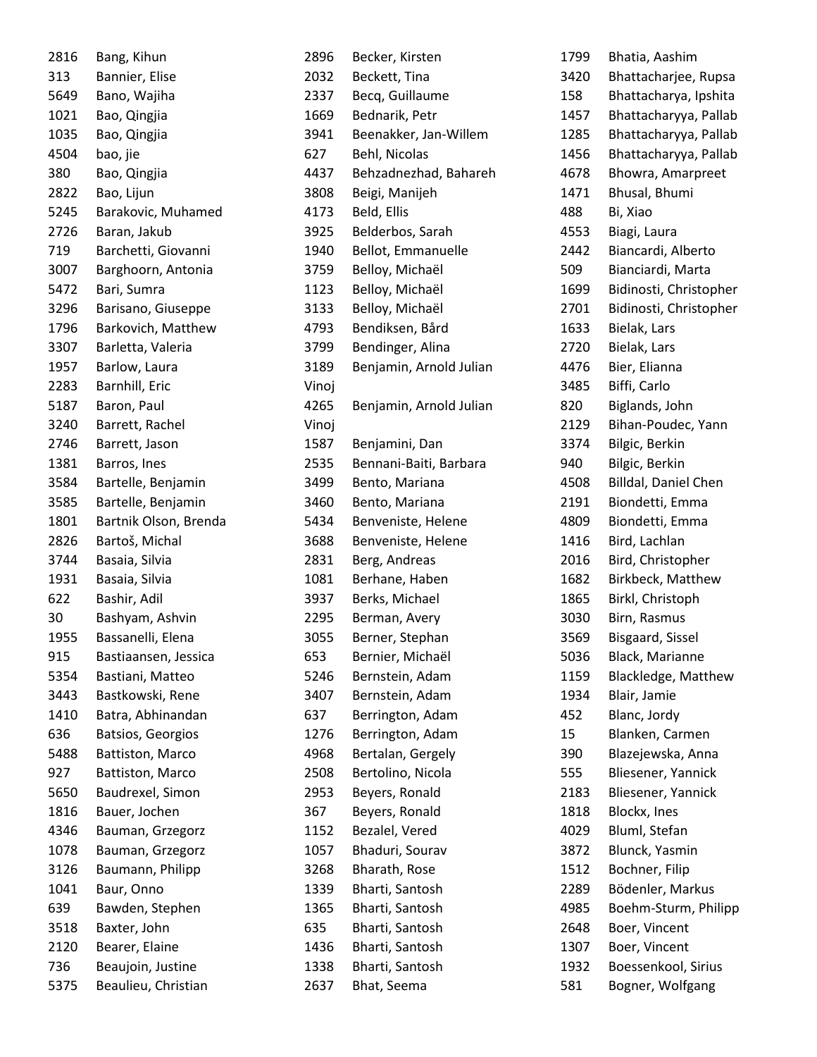| 2816 | Bang, Kihun           |
|------|-----------------------|
| 313  | Bannier, Elise        |
| 5649 | Bano, Wajiha          |
| 1021 | Bao, Qingjia          |
| 1035 | Bao, Qingjia          |
| 4504 | bao, jie              |
| 380  | Bao, Qingjia          |
| 2822 | Bao, Lijun            |
| 5245 | Barakovic, Muhamed    |
| 2726 | Baran, Jakub          |
| 719  | Barchetti, Giovanni   |
| 3007 | Barghoorn, Antonia    |
| 5472 | Bari, Sumra           |
| 3296 | Barisano, Giuseppe    |
| 1796 | Barkovich, Matthew    |
| 3307 | Barletta, Valeria     |
| 1957 | Barlow, Laura         |
| 2283 | Barnhill, Eric        |
| 5187 | Baron, Paul           |
| 3240 | Barrett, Rachel       |
| 2746 | Barrett, Jason        |
| 1381 | Barros, Ines          |
| 3584 | Bartelle, Benjamin    |
| 3585 | Bartelle, Benjamin    |
| 1801 | Bartnik Olson, Brenda |
| 2826 | Bartoš, Michal        |
| 3744 | Basaia, Silvia        |
| 1931 | Basaia, Silvia        |
| 622  | Bashir, Adil          |
| 30   | Bashyam, Ashvin       |
| 1955 | Bassanelli, Elena     |
| 915  | Bastiaansen, Jessica  |
| 5354 | Bastiani, Matteo      |
| 3443 | Bastkowski, Rene      |
| 1410 | Batra, Abhinandan     |
| 636  | Batsios, Georgios     |
| 5488 | Battiston, Marco      |
| 927  | Battiston, Marco      |
| 5650 | Baudrexel, Simon      |
| 1816 | Bauer, Jochen         |
| 4346 | Bauman, Grzegorz      |
| 1078 | Bauman, Grzegorz      |
| 3126 | Baumann, Philipp      |
| 1041 | Baur, Onno            |
| 639  | Bawden, Stephen       |
| 3518 | Baxter, John          |
| 2120 | Bearer, Elaine        |
| 736  | Beaujoin, Justine     |
| 5375 | Beaulieu, Christian   |

| 2896  | Becker, Kirsten         |
|-------|-------------------------|
| 2032  | Beckett, Tina           |
| 2337  | Becq, Guillaume         |
| 1669  | Bednarik, Petr          |
| 3941  | Beenakker, Jan-Willem   |
| 627   | Behl, Nicolas           |
| 4437  | Behzadnezhad, Bahareh   |
| 3808  | Beigi, Manijeh          |
| 4173  | Beld, Ellis             |
| 3925  | Belderbos, Sarah        |
| 1940  | Bellot, Emmanuelle      |
| 3759  | Belloy, Michaël         |
| 1123  | Belloy, Michaël         |
| 3133  | Belloy, Michaël         |
| 4793  | Bendiksen, Bård         |
| 3799  | Bendinger, Alina        |
| 3189  | Benjamin, Arnold Julian |
| Vinoj |                         |
| 4265  | Benjamin, Arnold Julian |
| Vinoj |                         |
| 1587  | Benjamini, Dan          |
| 2535  | Bennani-Baiti, Barbara  |
| 3499  | Bento, Mariana          |
| 3460  | Bento, Mariana          |
| 5434  | Benveniste, Helene      |
| 3688  | Benveniste, Helene      |
| 2831  | Berg, Andreas           |
| 1081  | Berhane, Haben          |
| 3937  | Berks, Michael          |
| 2295  | Berman, Avery           |
| 3055  | Berner, Stephan         |
| 653   | Bernier, Michaël        |
| 5246  | Bernstein, Adam         |
| 3407  | Bernstein, Adam         |
| 637   | Berrington, Adam        |
| 1276  | Berrington, Adam        |
| 4968  | Bertalan, Gergely       |
| 2508  | Bertolino, Nicola       |
| 2953  | Beyers, Ronald          |
| 367   | Beyers, Ronald          |
| 1152  | Bezalel, Vered          |
| 1057  | Bhaduri, Sourav         |
| 3268  | Bharath, Rose           |
| 1339  | Bharti, Santosh         |
| 1365  | Bharti, Santosh         |
| 635   | Bharti, Santosh         |
| 1436  | Bharti, Santosh         |
| 1338  | Bharti, Santosh         |
| 2637  | Bhat, Seema             |

| 1799 | Bhatia, Aashim         |
|------|------------------------|
| 3420 | Bhattacharjee, Rupsa   |
| 158  | Bhattacharya, Ipshita  |
| 1457 | Bhattacharyya, Pallab  |
| 1285 | Bhattacharyya, Pallab  |
| 1456 | Bhattacharyya, Pallab  |
| 4678 | Bhowra, Amarpreet      |
| 1471 | Bhusal, Bhumi          |
| 488  | Bi, Xiao               |
| 4553 | Biagi, Laura           |
| 2442 | Biancardi, Alberto     |
| 509  | Bianciardi, Marta      |
| 1699 | Bidinosti, Christopher |
| 2701 | Bidinosti, Christopher |
| 1633 | Bielak, Lars           |
| 2720 | Bielak, Lars           |
| 4476 | Bier, Elianna          |
| 3485 | Biffi, Carlo           |
| 820  | Biglands, John         |
| 2129 | Bihan-Poudec, Yann     |
| 3374 | Bilgic, Berkin         |
| 940  | Bilgic, Berkin         |
| 4508 | Billdal, Daniel Chen   |
| 2191 | Biondetti, Emma        |
| 4809 | Biondetti, Emma        |
| 1416 | Bird, Lachlan          |
| 2016 | Bird, Christopher      |
| 1682 | Birkbeck, Matthew      |
| 1865 | Birkl, Christoph       |
| 3030 | Birn, Rasmus           |
| 3569 | Bisgaard, Sissel       |
| 5036 | Black, Marianne        |
| 1159 | Blackledge, Matthew    |
| 1934 | Blair, Jamie           |
| 452  | Blanc, Jordy           |
| 15   | Blanken, Carmen        |
| 390  | Blazejewska, Anna      |
| 555  | Bliesener, Yannick     |
| 2183 | Bliesener, Yannick     |
| 1818 | Blockx, Ines           |
| 4029 | Bluml, Stefan          |
| 3872 | Blunck, Yasmin         |
| 1512 | Bochner, Filip         |
| 2289 | Bödenler, Markus       |
| 4985 | Boehm-Sturm, Philipp   |
| 2648 | Boer, Vincent          |
| 1307 | Boer, Vincent          |
| 1932 | Boessenkool, Sirius    |
| 581  | Bogner, Wolfgang       |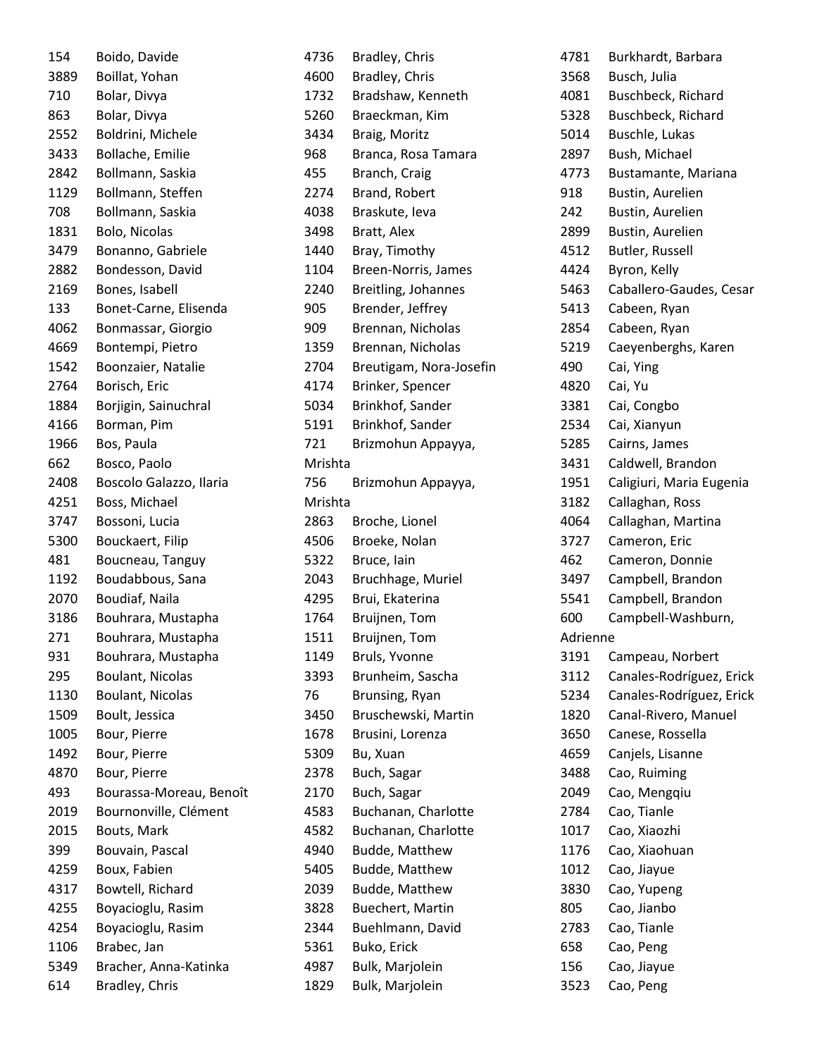| 154  | Boido, Davide           |
|------|-------------------------|
| 3889 | Boillat, Yohan          |
| 710  | Bolar, Divya            |
| 863  | Bolar, Divya            |
| 2552 | Boldrini, Michele       |
| 3433 | Bollache, Emilie        |
| 2842 | Bollmann, Saskia        |
| 1129 | Bollmann, Steffen       |
| 708  | Bollmann, Saskia        |
| 1831 | Bolo, Nicolas           |
| 3479 | Bonanno, Gabriele       |
| 2882 | Bondesson, David        |
| 2169 | Bones, Isabell          |
| 133  | Bonet-Carne, Elisenda   |
| 4062 | Bonmassar, Giorgio      |
| 4669 | Bontempi, Pietro        |
| 1542 | Boonzaier, Natalie      |
| 2764 | Borisch, Eric           |
| 1884 | Borjigin, Sainuchral    |
| 4166 | Borman, Pim             |
| 1966 | Bos, Paula              |
| 662  | Bosco, Paolo            |
| 2408 | Boscolo Galazzo, Ilaria |
| 4251 | Boss, Michael           |
| 3747 | Bossoni, Lucia          |
| 5300 | Bouckaert, Filip        |
| 481  | Boucneau, Tanguy        |
| 1192 | Boudabbous, Sana        |
| 2070 | Boudiaf, Naila          |
| 3186 | Bouhrara, Mustapha      |
| 271  | Bouhrara, Mustapha      |
| 931  | Bouhrara, Mustapha      |
| 295  | <b>Boulant, Nicolas</b> |
| 1130 | <b>Boulant, Nicolas</b> |
| 1509 | Boult, Jessica          |
| 1005 | Bour, Pierre            |
| 1492 | Bour, Pierre            |
| 4870 | Bour, Pierre            |
| 493  | Bourassa-Moreau, Benoît |
| 2019 | Bournonville, Clément   |
| 2015 | Bouts, Mark             |
| 399  | Bouvain, Pascal         |
| 4259 | Boux, Fabien            |
| 4317 | Bowtell, Richard        |
| 4255 | Boyacioglu, Rasim       |
| 4254 | Boyacioglu, Rasim       |
| 1106 | Brabec, Jan             |
| 5349 | Bracher, Anna-Katinka   |
| 614  | Bradley, Chris          |

| 4736    | Bradley, Chris          |
|---------|-------------------------|
| 4600    | Bradley, Chris          |
| 1732    | Bradshaw, Kenneth       |
| 5260    | Braeckman, Kim          |
| 3434    | Braig, Moritz           |
| 968     | Branca, Rosa Tamara     |
| 455     | Branch, Craig           |
| 2274    | Brand, Robert           |
| 4038    | Braskute, Ieva          |
| 3498    | Bratt, Alex             |
| 1440    | Bray, Timothy           |
| 1104    | Breen-Norris, James     |
| 2240    | Breitling, Johannes     |
| 905     | Brender, Jeffrey        |
| 909     | Brennan, Nicholas       |
| 1359    | Brennan, Nicholas       |
| 2704    | Breutigam, Nora-Josefin |
| 4174    | Brinker, Spencer        |
| 5034    | Brinkhof, Sander        |
| 5191    | Brinkhof, Sander        |
| 721     | Brizmohun Appayya,      |
| Mrishta |                         |
| 756     | Brizmohun Appayya,      |
| Mrishta |                         |
| 2863    | Broche, Lionel          |
| 4506    | Broeke, Nolan           |
| 5322    | Bruce, lain             |
| 2043    | Bruchhage, Muriel       |
| 4295    | Brui, Ekaterina         |
| 1764    | Bruijnen, Tom           |
| 1511    | Bruijnen, Tom           |
| 1149    | Bruls, Yvonne           |
| 3393    | Brunheim, Sascha        |
| 76      | Brunsing, Ryan          |
| 3450    | Bruschewski, Martin     |
| 1678    | Brusini, Lorenza        |
| 5309    | Bu, Xuan                |
| 2378    | Buch, Sagar             |
| 2170    | Buch, Sagar             |
| 4583    | Buchanan, Charlotte     |
| 4582    | Buchanan, Charlotte     |
| 4940    | Budde, Matthew          |
| 5405    | Budde, Matthew          |
| 2039    | <b>Budde, Matthew</b>   |
| 3828    | <b>Buechert, Martin</b> |
| 2344    | Buehlmann, David        |
| 5361    | Buko, Erick             |
| 4987    | Bulk, Marjolein         |
| 1829    | Bulk, Marjolein         |

| 4781     | Burkhardt, Barbara       |
|----------|--------------------------|
| 3568     | Busch, Julia             |
| 4081     | Buschbeck, Richard       |
| 5328     | Buschbeck, Richard       |
| 5014     | Buschle, Lukas           |
| 2897     | Bush, Michael            |
| 4773     | Bustamante, Mariana      |
| 918      | Bustin, Aurelien         |
| 242      | Bustin, Aurelien         |
| 2899     | Bustin, Aurelien         |
| 4512     | Butler, Russell          |
| 4424     | Byron, Kelly             |
| 5463     | Caballero-Gaudes, Cesar  |
| 5413     | Cabeen, Ryan             |
| 2854     | Cabeen, Ryan             |
| 5219     | Caeyenberghs, Karen      |
| 490      | Cai, Ying                |
| 4820     | Cai, Yu                  |
| 3381     | Cai, Congbo              |
| 2534     | Cai, Xianyun             |
| 5285     | Cairns, James            |
| 3431     | Caldwell, Brandon        |
| 1951     | Caligiuri, Maria Eugenia |
| 3182     | Callaghan, Ross          |
| 4064     | Callaghan, Martina       |
| 3727     | Cameron, Eric            |
| 462      | Cameron, Donnie          |
| 3497     | Campbell, Brandon        |
| 5541     | Campbell, Brandon        |
| 600      | Campbell-Washburn,       |
| Adrienne |                          |
| 3191     | Campeau, Norbert         |
| 3112     | Canales-Rodríguez, Erick |
| 5234     | Canales-Rodríguez, Erick |
| 1820     | Canal-Rivero, Manuel     |
| 3650     | Canese, Rossella         |
| 4659     | Canjels, Lisanne         |
| 3488     | Cao, Ruiming             |
| 2049     | Cao, Mengqiu             |
| 2784     | Cao, Tianle              |
| 1017     | Cao, Xiaozhi             |
| 1176     | Cao, Xiaohuan            |
| 1012     | Cao, Jiayue              |
| 3830     | Cao, Yupeng              |
| 805      | Cao, Jianbo              |
| 2783     | Cao, Tianle              |
| 658      | Cao, Peng                |
| 156      | Cao, Jiayue              |
| 3523     | Cao, Peng                |
|          |                          |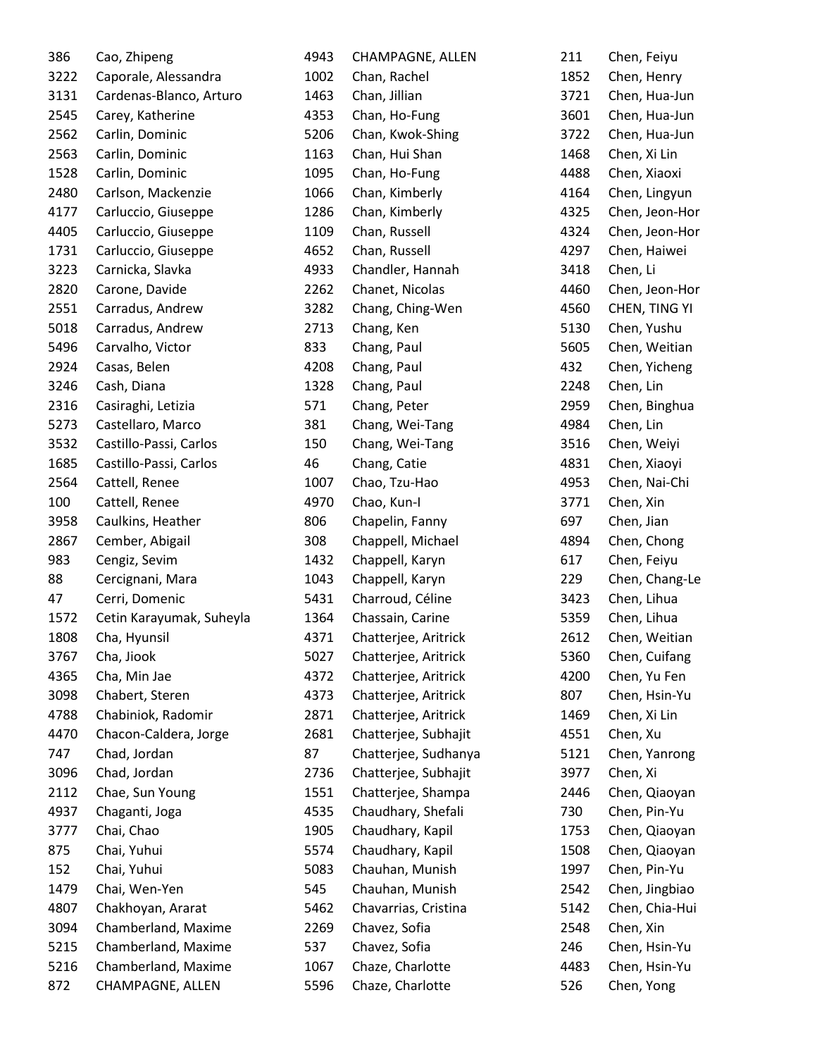| 386  | Cao, Zhipeng             | 4943 | CHAMPAGNE, ALLEN     | 211  | Chen, Feiyu    |
|------|--------------------------|------|----------------------|------|----------------|
| 3222 | Caporale, Alessandra     | 1002 | Chan, Rachel         | 1852 | Chen, Henry    |
| 3131 | Cardenas-Blanco, Arturo  | 1463 | Chan, Jillian        | 3721 | Chen, Hua-Jun  |
| 2545 | Carey, Katherine         | 4353 | Chan, Ho-Fung        | 3601 | Chen, Hua-Jun  |
| 2562 | Carlin, Dominic          | 5206 | Chan, Kwok-Shing     | 3722 | Chen, Hua-Jun  |
| 2563 | Carlin, Dominic          | 1163 | Chan, Hui Shan       | 1468 | Chen, Xi Lin   |
| 1528 | Carlin, Dominic          | 1095 | Chan, Ho-Fung        | 4488 | Chen, Xiaoxi   |
| 2480 | Carlson, Mackenzie       | 1066 | Chan, Kimberly       | 4164 | Chen, Lingyun  |
| 4177 | Carluccio, Giuseppe      | 1286 | Chan, Kimberly       | 4325 | Chen, Jeon-Hor |
| 4405 | Carluccio, Giuseppe      | 1109 | Chan, Russell        | 4324 | Chen, Jeon-Hor |
| 1731 | Carluccio, Giuseppe      | 4652 | Chan, Russell        | 4297 | Chen, Haiwei   |
| 3223 | Carnicka, Slavka         | 4933 | Chandler, Hannah     | 3418 | Chen, Li       |
| 2820 | Carone, Davide           | 2262 | Chanet, Nicolas      | 4460 | Chen, Jeon-Hor |
| 2551 | Carradus, Andrew         | 3282 | Chang, Ching-Wen     | 4560 | CHEN, TING YI  |
| 5018 | Carradus, Andrew         | 2713 | Chang, Ken           | 5130 | Chen, Yushu    |
| 5496 | Carvalho, Victor         | 833  | Chang, Paul          | 5605 | Chen, Weitian  |
| 2924 | Casas, Belen             | 4208 | Chang, Paul          | 432  | Chen, Yicheng  |
| 3246 | Cash, Diana              | 1328 | Chang, Paul          | 2248 | Chen, Lin      |
| 2316 | Casiraghi, Letizia       | 571  | Chang, Peter         | 2959 | Chen, Binghua  |
| 5273 | Castellaro, Marco        | 381  | Chang, Wei-Tang      | 4984 | Chen, Lin      |
| 3532 | Castillo-Passi, Carlos   | 150  | Chang, Wei-Tang      | 3516 | Chen, Weiyi    |
| 1685 | Castillo-Passi, Carlos   | 46   | Chang, Catie         | 4831 | Chen, Xiaoyi   |
| 2564 | Cattell, Renee           | 1007 | Chao, Tzu-Hao        | 4953 | Chen, Nai-Chi  |
| 100  | Cattell, Renee           | 4970 | Chao, Kun-I          | 3771 | Chen, Xin      |
| 3958 | Caulkins, Heather        | 806  | Chapelin, Fanny      | 697  | Chen, Jian     |
| 2867 | Cember, Abigail          | 308  | Chappell, Michael    | 4894 | Chen, Chong    |
| 983  | Cengiz, Sevim            | 1432 | Chappell, Karyn      | 617  | Chen, Feiyu    |
| 88   | Cercignani, Mara         | 1043 | Chappell, Karyn      | 229  | Chen, Chang-Le |
| 47   | Cerri, Domenic           | 5431 | Charroud, Céline     | 3423 | Chen, Lihua    |
| 1572 | Cetin Karayumak, Suheyla | 1364 | Chassain, Carine     | 5359 | Chen, Lihua    |
| 1808 | Cha, Hyunsil             | 4371 | Chatterjee, Aritrick | 2612 | Chen, Weitian  |
| 3767 | Cha, Jiook               | 5027 | Chatterjee, Aritrick | 5360 | Chen, Cuifang  |
| 4365 | Cha, Min Jae             | 4372 | Chatterjee, Aritrick | 4200 | Chen, Yu Fen   |
| 3098 | Chabert, Steren          | 4373 | Chatterjee, Aritrick | 807  | Chen, Hsin-Yu  |
| 4788 | Chabiniok, Radomir       | 2871 | Chatterjee, Aritrick | 1469 | Chen, Xi Lin   |
| 4470 | Chacon-Caldera, Jorge    | 2681 | Chatterjee, Subhajit | 4551 | Chen, Xu       |
| 747  | Chad, Jordan             | 87   | Chatterjee, Sudhanya | 5121 | Chen, Yanrong  |
| 3096 | Chad, Jordan             | 2736 | Chatterjee, Subhajit | 3977 | Chen, Xi       |
| 2112 | Chae, Sun Young          | 1551 | Chatterjee, Shampa   | 2446 | Chen, Qiaoyan  |
| 4937 | Chaganti, Joga           | 4535 | Chaudhary, Shefali   | 730  | Chen, Pin-Yu   |
| 3777 | Chai, Chao               | 1905 | Chaudhary, Kapil     | 1753 | Chen, Qiaoyan  |
| 875  | Chai, Yuhui              | 5574 | Chaudhary, Kapil     | 1508 | Chen, Qiaoyan  |
| 152  | Chai, Yuhui              | 5083 | Chauhan, Munish      | 1997 | Chen, Pin-Yu   |
| 1479 | Chai, Wen-Yen            | 545  | Chauhan, Munish      | 2542 | Chen, Jingbiao |
| 4807 | Chakhoyan, Ararat        | 5462 | Chavarrias, Cristina | 5142 | Chen, Chia-Hui |
| 3094 | Chamberland, Maxime      | 2269 | Chavez, Sofia        | 2548 | Chen, Xin      |
| 5215 | Chamberland, Maxime      | 537  | Chavez, Sofia        | 246  | Chen, Hsin-Yu  |
| 5216 | Chamberland, Maxime      | 1067 | Chaze, Charlotte     | 4483 | Chen, Hsin-Yu  |
| 872  | CHAMPAGNE, ALLEN         | 5596 | Chaze, Charlotte     | 526  | Chen, Yong     |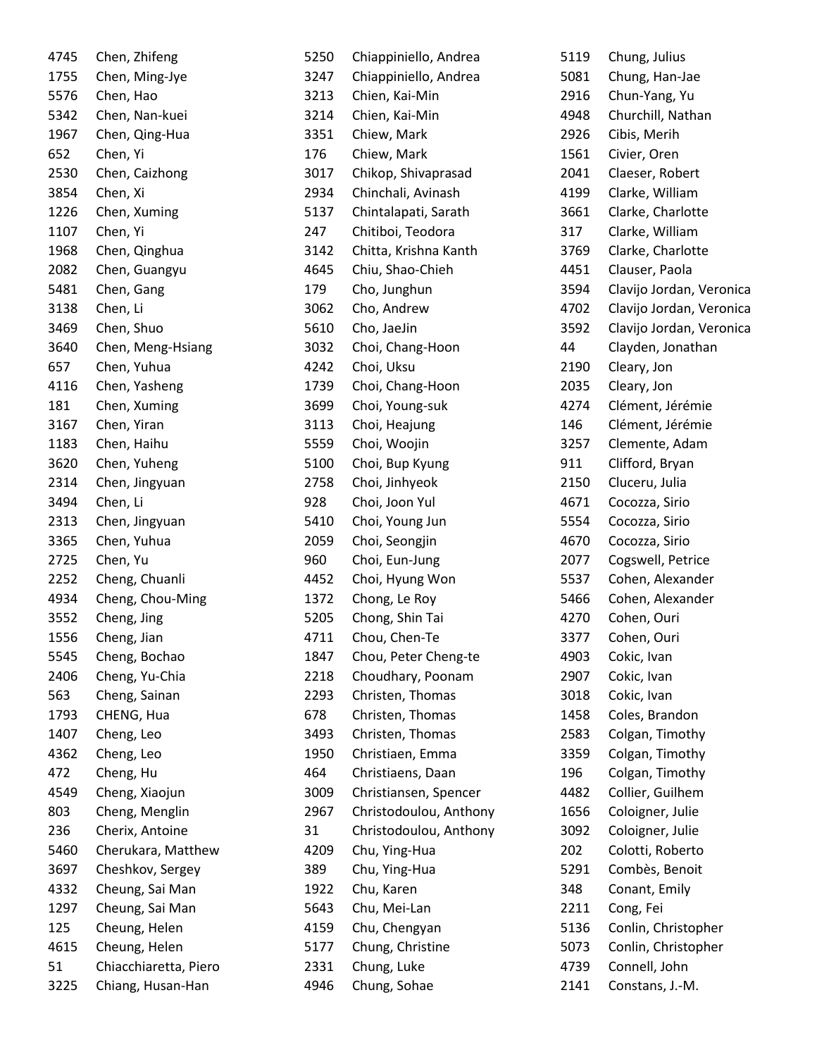| 4745 | Chen, Zhifeng         |
|------|-----------------------|
| 1755 | Chen, Ming-Jye        |
| 5576 | Chen, Hao             |
| 5342 | Chen, Nan-kuei        |
| 1967 | Chen, Qing-Hua        |
| 652  | Chen, Yi              |
| 2530 | Chen, Caizhong        |
| 3854 | Chen, Xi              |
| 1226 | Chen, Xuming          |
| 1107 | Chen, Yi              |
| 1968 | Chen, Qinghua         |
| 2082 | Chen, Guangyu         |
| 5481 | Chen, Gang            |
| 3138 | Chen, Li              |
| 3469 | Chen, Shuo            |
| 3640 | Chen, Meng-Hsiang     |
| 657  | Chen, Yuhua           |
| 4116 | Chen, Yasheng         |
| 181  | Chen, Xuming          |
| 3167 | Chen, Yiran           |
| 1183 | Chen, Haihu           |
| 3620 | Chen, Yuheng          |
| 2314 | Chen, Jingyuan        |
| 3494 | Chen, Li              |
| 2313 | Chen, Jingyuan        |
| 3365 | Chen, Yuhua           |
| 2725 | Chen, Yu              |
| 2252 | Cheng, Chuanli        |
| 4934 | Cheng, Chou-Ming      |
| 3552 | Cheng, Jing           |
| 1556 | Cheng, Jian           |
| 5545 | Cheng, Bochao         |
| 2406 | Cheng, Yu-Chia        |
| 563  | Cheng, Sainan         |
| 1793 | CHENG, Hua            |
| 1407 | Cheng, Leo            |
| 4362 | Cheng, Leo            |
| 472  | Cheng, Hu             |
| 4549 | Cheng, Xiaojun        |
| 803  | Cheng, Menglin        |
| 236  | Cherix, Antoine       |
| 5460 | Cherukara, Matthew    |
| 3697 | Cheshkov, Sergey      |
| 4332 | Cheung, Sai Man       |
| 1297 | Cheung, Sai Man       |
| 125  | Cheung, Helen         |
| 4615 | Cheung, Helen         |
| 51   | Chiacchiaretta, Piero |
| 3225 | Chiang, Husan-Han     |

| 5250 | Chiappiniello, Andrea  |
|------|------------------------|
| 3247 | Chiappiniello, Andrea  |
| 3213 | Chien, Kai-Min         |
| 3214 | Chien, Kai-Min         |
| 3351 | Chiew, Mark            |
| 176  | Chiew, Mark            |
| 3017 | Chikop, Shivaprasad    |
| 2934 | Chinchali, Avinash     |
| 5137 | Chintalapati, Sarath   |
| 247  | Chitiboi, Teodora      |
| 3142 | Chitta, Krishna Kanth  |
| 4645 | Chiu, Shao-Chieh       |
| 179  | Cho, Junghun           |
| 3062 | Cho, Andrew            |
| 5610 | Cho, JaeJin            |
| 3032 | Choi, Chang-Hoon       |
| 4242 | Choi, Uksu             |
| 1739 | Choi, Chang-Hoon       |
| 3699 | Choi, Young-suk        |
| 3113 | Choi, Heajung          |
| 5559 | Choi, Woojin           |
| 5100 | Choi, Bup Kyung        |
| 2758 | Choi, Jinhyeok         |
| 928  | Choi, Joon Yul         |
| 5410 | Choi, Young Jun        |
| 2059 | Choi, Seongjin         |
| 960  | Choi, Eun-Jung         |
| 4452 | Choi, Hyung Won        |
| 1372 | Chong, Le Roy          |
| 5205 | Chong, Shin Tai        |
| 4711 | Chou, Chen-Te          |
| 1847 | Chou, Peter Cheng-te   |
| 2218 | Choudhary, Poonam      |
| 2293 | Christen, Thomas       |
| 678  | Christen, Thomas       |
| 3493 | Christen, Thomas       |
| 1950 | Christiaen, Emma       |
| 464  | Christiaens, Daan      |
| 3009 | Christiansen, Spencer  |
| 2967 | Christodoulou, Anthony |
| 31   | Christodoulou, Anthony |
| 4209 | Chu, Ying-Hua          |
| 389  | Chu, Ying-Hua          |
| 1922 | Chu, Karen             |
| 5643 | Chu, Mei-Lan           |
| 4159 | Chu, Chengyan          |
| 5177 | Chung, Christine       |
| 2331 | Chung, Luke            |
| 4946 | Chung, Sohae           |

| 5119 | Chung, Julius            |
|------|--------------------------|
| 5081 | Chung, Han-Jae           |
| 2916 | Chun-Yang, Yu            |
| 4948 | Churchill, Nathan        |
| 2926 | Cibis, Merih             |
| 1561 | Civier, Oren             |
| 2041 | Claeser, Robert          |
| 4199 | Clarke, William          |
| 3661 | Clarke, Charlotte        |
| 317  | Clarke, William          |
| 3769 | Clarke, Charlotte        |
| 4451 | Clauser, Paola           |
| 3594 | Clavijo Jordan, Veronica |
| 4702 | Clavijo Jordan, Veronica |
| 3592 | Clavijo Jordan, Veronica |
| 44   | Clayden, Jonathan        |
| 2190 | Cleary, Jon              |
| 2035 | Cleary, Jon              |
| 4274 | Clément, Jérémie         |
| 146  | Clément, Jérémie         |
| 3257 | Clemente, Adam           |
| 911  | Clifford, Bryan          |
| 2150 | Cluceru, Julia           |
| 4671 | Cocozza, Sirio           |
| 5554 | Cocozza, Sirio           |
| 4670 | Cocozza, Sirio           |
| 2077 | Cogswell, Petrice        |
| 5537 | Cohen, Alexander         |
| 5466 | Cohen, Alexander         |
| 4270 | Cohen, Ouri              |
| 3377 | Cohen, Ouri              |
| 4903 | Cokic, Ivan              |
| 2907 | Cokic, Ivan              |
| 3018 | Cokic, Ivan              |
| 1458 | Coles, Brandon           |
| 2583 | Colgan, Timothy          |
| 3359 | Colgan, Timothy          |
| 196  | Colgan, Timothy          |
| 4482 | Collier, Guilhem         |
| 1656 | Coloigner, Julie         |
| 3092 | Coloigner, Julie         |
| 202  | Colotti, Roberto         |
| 5291 | Combès, Benoit           |
| 348  | Conant, Emily            |
| 2211 | Cong, Fei                |
| 5136 | Conlin, Christopher      |
| 5073 | Conlin, Christopher      |
| 4739 | Connell, John            |
| 2141 | Constans, J.-M.          |
|      |                          |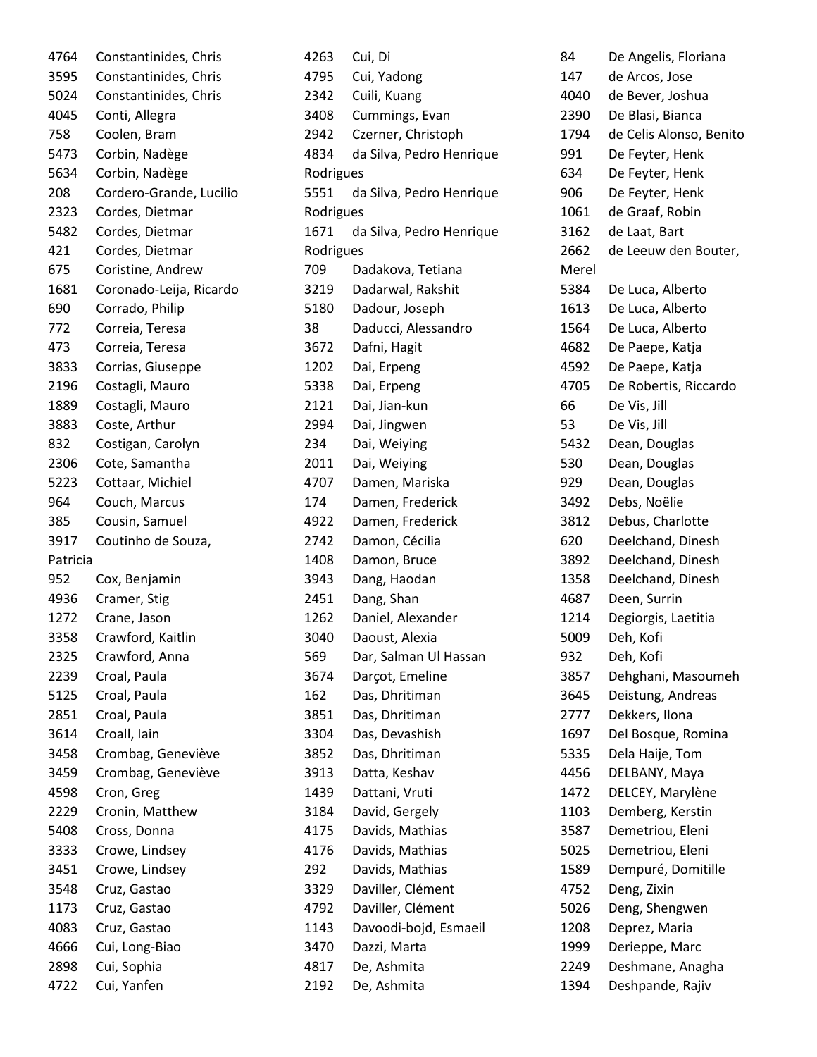| 4764     | Constantinides, Chris   |
|----------|-------------------------|
| 3595     | Constantinides, Chris   |
| 5024     | Constantinides, Chris   |
| 4045     | Conti, Allegra          |
| 758      | Coolen, Bram            |
| 5473     | Corbin, Nadège          |
| 5634     | Corbin, Nadège          |
| 208      | Cordero-Grande, Lucilio |
| 2323     | Cordes, Dietmar         |
| 5482     | Cordes, Dietmar         |
| 421      | Cordes, Dietmar         |
| 675      | Coristine, Andrew       |
| 1681     | Coronado-Leija, Ricardo |
| 690      | Corrado, Philip         |
| 772      | Correia, Teresa         |
| 473      | Correia, Teresa         |
| 3833     | Corrias, Giuseppe       |
| 2196     | Costagli, Mauro         |
| 1889     | Costagli, Mauro         |
| 3883     | Coste, Arthur           |
| 832      | Costigan, Carolyn       |
| 2306     | Cote, Samantha          |
| 5223     | Cottaar, Michiel        |
| 964      | Couch, Marcus           |
| 385      | Cousin, Samuel          |
| 3917     | Coutinho de Souza,      |
| Patricia |                         |
| 952      | Cox, Benjamin           |
| 4936     | Cramer, Stig            |
| 1272     | Crane, Jason            |
| 3358     | Crawford, Kaitlin       |
| 2325     | Crawford, Anna          |
| 2239     | Croal, Paula            |
| 5125     | Croal, Paula            |
| 2851     | Croal, Paula            |
| 3614     | Croall, lain            |
| 3458     | Crombag, Geneviève      |
| 3459     | Crombag, Geneviève      |
| 4598     | Cron, Greg              |
| 2229     | Cronin, Matthew         |
| 5408     | Cross, Donna            |
| 3333     | Crowe, Lindsey          |
| 3451     | Crowe, Lindsey          |
| 3548     | Cruz, Gastao            |
| 1173     | Cruz, Gastao            |
| 4083     | Cruz, Gastao            |
| 4666     | Cui, Long-Biao          |
| 2898     | Cui, Sophia             |
| 4722     | Cui, Yanfen             |

| 4263      | Cui, Di                  |
|-----------|--------------------------|
| 4795      | Cui, Yadong              |
| 2342      | Cuili, Kuang             |
| 3408      | Cummings, Evan           |
| 2942      | Czerner, Christoph       |
| 4834      | da Silva, Pedro Henrique |
| Rodrigues |                          |
| 5551      | da Silva, Pedro Henrique |
| Rodrigues |                          |
| 1671      | da Silva, Pedro Henrique |
| Rodrigues |                          |
| 709       | Dadakova, Tetiana        |
| 3219      | Dadarwal, Rakshit        |
| 5180      | Dadour, Joseph           |
| 38        | Daducci, Alessandro      |
| 3672      | Dafni, Hagit             |
| 1202      | Dai, Erpeng              |
| 5338      | Dai, Erpeng              |
| 2121      | Dai, Jian-kun            |
| 2994      | Dai, Jingwen             |
| 234       | Dai, Weiying             |
| 2011      | Dai, Weiying             |
| 4707      | Damen, Mariska           |
| 174       | Damen, Frederick         |
| 4922      | Damen, Frederick         |
| 2742      | Damon, Cécilia           |
| 1408      | Damon, Bruce             |
| 3943      | Dang, Haodan             |
| 2451      | Dang, Shan               |
| 1262      | Daniel, Alexander        |
| 3040      | Daoust, Alexia           |
| 569       | Dar, Salman Ul Hassan    |
| 3674      | Darçot, Emeline          |
| 162       | Das, Dhritiman           |
| 3851      | Das, Dhritiman           |
| 3304      | Das, Devashish           |
| 3852      | Das, Dhritiman           |
| 3913      | Datta, Keshav            |
| 1439      | Dattani, Vruti           |
| 3184      | David, Gergely           |
| 4175      | Davids, Mathias          |
| 4176      | Davids, Mathias          |
| 292       | Davids, Mathias          |
| 3329      | Daviller, Clément        |
| 4792      | Daviller, Clément        |
| 1143      | Davoodi-bojd, Esmaeil    |
| 3470      | Dazzi, Marta             |
| 4817      | De, Ashmita              |
| 2192      | De, Ashmita              |

| 84         | De Angelis, Floriana               |
|------------|------------------------------------|
| 147        | de Arcos, Jose                     |
| 4040       | de Bever, Joshua                   |
| 2390       | De Blasi, Bianca                   |
| 1794       | de Celis Alonso, Benito            |
| 991        | De Feyter, Henk                    |
|            |                                    |
| 634<br>906 | De Feyter, Henk                    |
|            | De Feyter, Henk<br>de Graaf, Robin |
| 1061       |                                    |
| 3162       | de Laat, Bart                      |
| 2662       | de Leeuw den Bouter,               |
| Merel      |                                    |
| 5384       | De Luca, Alberto                   |
| 1613       | De Luca, Alberto                   |
| 1564       | De Luca, Alberto                   |
| 4682       | De Paepe, Katja                    |
| 4592       | De Paepe, Katja                    |
| 4705       | De Robertis, Riccardo              |
| 66         | De Vis, Jill                       |
| 53         | De Vis, Jill                       |
| 5432       | Dean, Douglas                      |
| 530        | Dean, Douglas                      |
| 929        | Dean, Douglas                      |
| 3492       | Debs, Noëlie                       |
| 3812       | Debus, Charlotte                   |
| 620        | Deelchand, Dinesh                  |
| 3892       | Deelchand, Dinesh                  |
| 1358       | Deelchand, Dinesh                  |
| 4687       | Deen, Surrin                       |
| 1214       | Degiorgis, Laetitia                |
| 5009       | Deh, Kofi                          |
| 932        | Deh, Kofi                          |
| 3857       | Dehghani, Masoumeh                 |
| 3645       | Deistung, Andreas                  |
| 2777       | Dekkers, Ilona                     |
| 1697       | Del Bosque, Romina                 |
| 5335       | Dela Haije, Tom                    |
| 4456       | DELBANY, Maya                      |
| 1472       | DELCEY, Marylène                   |
| 1103       | Demberg, Kerstin                   |
| 3587       | Demetriou, Eleni                   |
| 5025       | Demetriou, Eleni                   |
| 1589       | Dempuré, Domitille                 |
| 4752       |                                    |
|            | Deng, Zixin                        |
| 5026       | Deng, Shengwen                     |
| 1208       | Deprez, Maria                      |
| 1999       | Derieppe, Marc                     |
| 2249       | Deshmane, Anagha                   |
| 1394       | Deshpande, Rajiv                   |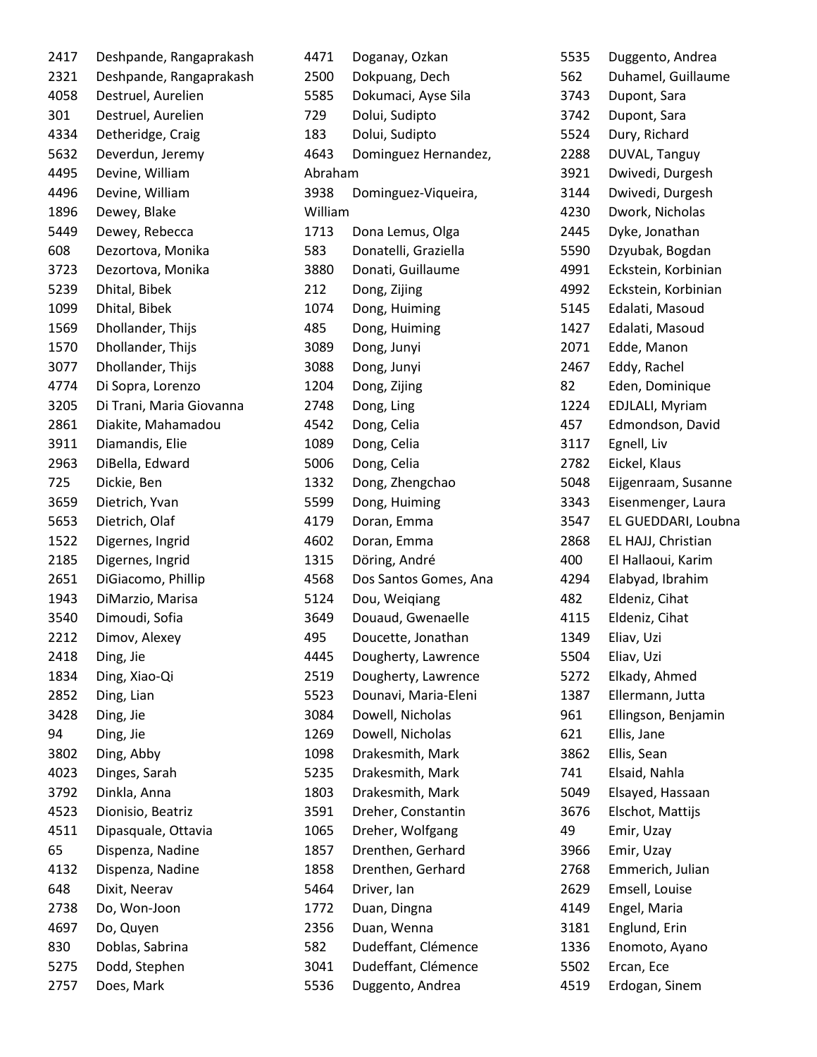| 2417 | Deshpande, Rangaprakash  |
|------|--------------------------|
| 2321 | Deshpande, Rangaprakash  |
| 4058 | Destruel, Aurelien       |
| 301  | Destruel, Aurelien       |
| 4334 | Detheridge, Craig        |
| 5632 | Deverdun, Jeremy         |
| 4495 | Devine, William          |
| 4496 | Devine, William          |
| 1896 | Dewey, Blake             |
| 5449 | Dewey, Rebecca           |
| 608  | Dezortova, Monika        |
| 3723 | Dezortova, Monika        |
| 5239 | Dhital, Bibek            |
| 1099 | Dhital, Bibek            |
| 1569 | Dhollander, Thijs        |
| 1570 | Dhollander, Thijs        |
| 3077 | Dhollander, Thijs        |
| 4774 | Di Sopra, Lorenzo        |
| 3205 | Di Trani, Maria Giovanna |
| 2861 | Diakite, Mahamadou       |
| 3911 | Diamandis, Elie          |
| 2963 | DiBella, Edward          |
| 725  | Dickie, Ben              |
| 3659 | Dietrich, Yvan           |
| 5653 | Dietrich, Olaf           |
| 1522 | Digernes, Ingrid         |
| 2185 | Digernes, Ingrid         |
| 2651 | DiGiacomo, Phillip       |
| 1943 | DiMarzio, Marisa         |
| 3540 | Dimoudi, Sofia           |
| 2212 | Dimov, Alexey            |
| 2418 | Ding, Jie                |
| 1834 | Ding, Xiao-Qi            |
| 2852 | Ding, Lian               |
| 3428 | Ding, Jie                |
| 94   | Ding, Jie                |
| 3802 | Ding, Abby               |
| 4023 | Dinges, Sarah            |
| 3792 | Dinkla, Anna             |
| 4523 | Dionisio, Beatriz        |
| 4511 | Dipasquale, Ottavia      |
| 65   | Dispenza, Nadine         |
| 4132 | Dispenza, Nadine         |
| 648  | Dixit, Neerav            |
| 2738 | Do, Won-Joon             |
| 4697 | Do, Quyen                |
| 830  | Doblas, Sabrina          |
| 5275 | Dodd, Stephen            |
| 2757 | Does, Mark               |

| 4471    | Doganay, Ozkan        |
|---------|-----------------------|
| 2500    | Dokpuang, Dech        |
| 5585    | Dokumaci, Ayse Sila   |
| 729     | Dolui, Sudipto        |
| 183     | Dolui, Sudipto        |
| 4643    | Dominguez Hernandez,  |
| Abraham |                       |
| 3938    | Dominguez-Viqueira,   |
| William |                       |
| 1713    | Dona Lemus, Olga      |
| 583     | Donatelli, Graziella  |
| 3880    | Donati, Guillaume     |
| 212     | Dong, Zijing          |
| 1074    | Dong, Huiming         |
| 485     | Dong, Huiming         |
| 3089    | Dong, Junyi           |
| 3088    | Dong, Junyi           |
| 1204    | Dong, Zijing          |
| 2748    | Dong, Ling            |
| 4542    | Dong, Celia           |
| 1089    | Dong, Celia           |
| 5006    | Dong, Celia           |
| 1332    | Dong, Zhengchao       |
| 5599    | Dong, Huiming         |
| 4179    | Doran, Emma           |
| 4602    | Doran, Emma           |
| 1315    | Döring, André         |
| 4568    | Dos Santos Gomes, Ana |
| 5124    | Dou, Weigiang         |
| 3649    | Douaud, Gwenaelle     |
| 495     | Doucette, Jonathan    |
| 4445    | Dougherty, Lawrence   |
| 2519    | Dougherty, Lawrence   |
| 5523    | Dounavi, Maria-Eleni  |
| 3084    | Dowell, Nicholas      |
| 1269    | Dowell, Nicholas      |
| 1098    | Drakesmith, Mark      |
| 5235    | Drakesmith, Mark      |
| 1803    | Drakesmith, Mark      |
| 3591    | Dreher, Constantin    |
| 1065    | Dreher, Wolfgang      |
| 1857    | Drenthen, Gerhard     |
| 1858    | Drenthen, Gerhard     |
| 5464    | Driver, Ian           |
| 1772    | Duan, Dingna          |
| 2356    | Duan, Wenna           |
| 582     | Dudeffant, Clémence   |
| 3041    | Dudeffant, Clémence   |
| 5536    | Duggento, Andrea      |

| 5535 | Duggento, Andrea       |
|------|------------------------|
| 562  | Duhamel, Guillaume     |
| 3743 | Dupont, Sara           |
| 3742 | Dupont, Sara           |
| 5524 | Dury, Richard          |
| 2288 | DUVAL, Tanguy          |
| 3921 | Dwivedi, Durgesh       |
| 3144 | Dwivedi, Durgesh       |
| 4230 | Dwork, Nicholas        |
| 2445 | Dyke, Jonathan         |
| 5590 | Dzyubak, Bogdan        |
| 4991 | Eckstein, Korbinian    |
| 4992 | Eckstein, Korbinian    |
| 5145 | Edalati, Masoud        |
| 1427 | Edalati, Masoud        |
| 2071 | Edde, Manon            |
| 2467 | Eddy, Rachel           |
| 82   | Eden, Dominique        |
| 1224 | <b>EDJLALI, Myriam</b> |
| 457  | Edmondson, David       |
| 3117 | Egnell, Liv            |
| 2782 | Eickel, Klaus          |
| 5048 | Eijgenraam, Susanne    |
| 3343 | Eisenmenger, Laura     |
| 3547 | EL GUEDDARI, Loubna    |
| 2868 | EL HAJJ, Christian     |
| 400  | El Hallaoui, Karim     |
| 4294 | Elabyad, Ibrahim       |
| 482  | Eldeniz, Cihat         |
| 4115 | Eldeniz, Cihat         |
| 1349 | Eliav, Uzi             |
| 5504 | Eliav, Uzi             |
| 5272 | Elkady, Ahmed          |
| 1387 | Ellermann, Jutta       |
| 961  | Ellingson, Benjamin    |
| 621  | Ellis, Jane            |
| 3862 | Ellis, Sean            |
| 741  | Elsaid, Nahla          |
| 5049 | Elsayed, Hassaan       |
| 3676 | Elschot, Mattijs       |
| 49   | Emir, Uzay             |
| 3966 | Emir, Uzay             |
| 2768 | Emmerich, Julian       |
| 2629 | Emsell, Louise         |
| 4149 | Engel, Maria           |
| 3181 | Englund, Erin          |
| 1336 | Enomoto, Ayano         |
| 5502 | Ercan, Ece             |
| 4519 | Erdogan, Sinem         |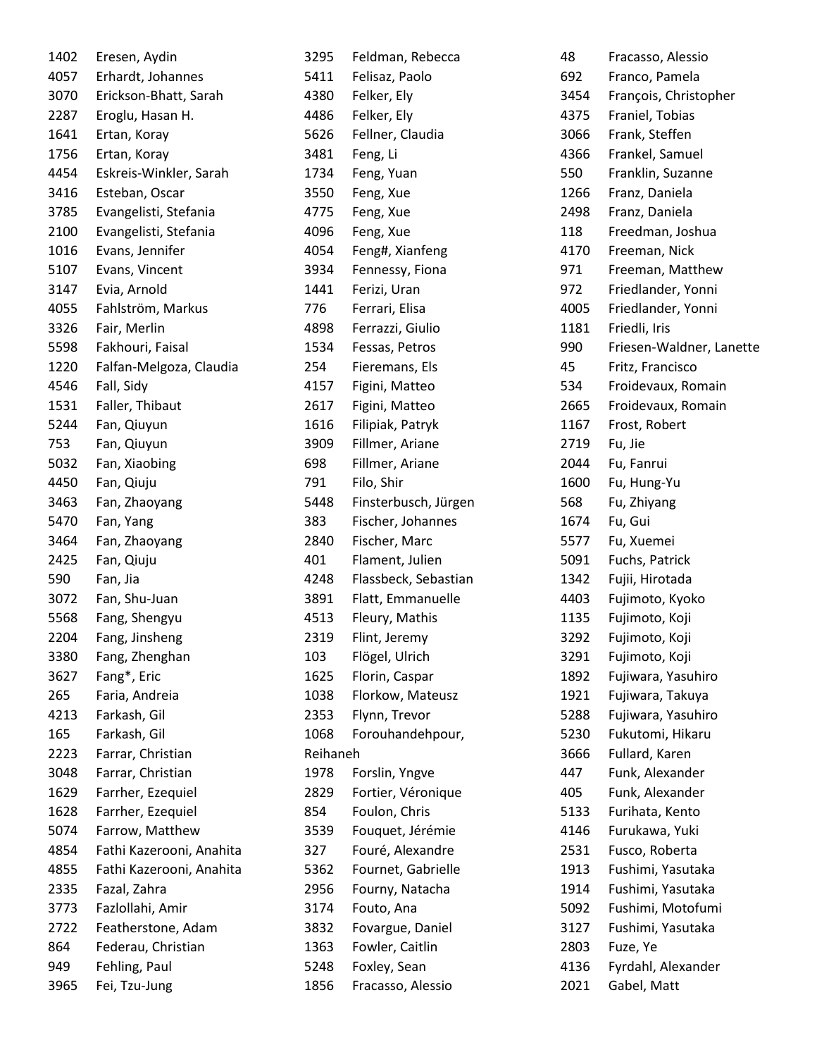| 1402 | Eresen, Aydin            | 3295     | Feldman, Rebecca     | 48   | Fracasso, Alessio        |
|------|--------------------------|----------|----------------------|------|--------------------------|
| 4057 | Erhardt, Johannes        | 5411     | Felisaz, Paolo       | 692  | Franco, Pamela           |
| 3070 | Erickson-Bhatt, Sarah    | 4380     | Felker, Ely          | 3454 | François, Christopher    |
| 2287 | Eroglu, Hasan H.         | 4486     | Felker, Ely          | 4375 | Franiel, Tobias          |
| 1641 | Ertan, Koray             | 5626     | Fellner, Claudia     | 3066 | Frank, Steffen           |
| 1756 | Ertan, Koray             | 3481     | Feng, Li             | 4366 | Frankel, Samuel          |
| 4454 | Eskreis-Winkler, Sarah   | 1734     | Feng, Yuan           | 550  | Franklin, Suzanne        |
| 3416 | Esteban, Oscar           | 3550     | Feng, Xue            | 1266 | Franz, Daniela           |
| 3785 | Evangelisti, Stefania    | 4775     | Feng, Xue            | 2498 | Franz, Daniela           |
| 2100 | Evangelisti, Stefania    | 4096     | Feng, Xue            | 118  | Freedman, Joshua         |
| 1016 | Evans, Jennifer          | 4054     | Feng#, Xianfeng      | 4170 | Freeman, Nick            |
| 5107 | Evans, Vincent           | 3934     | Fennessy, Fiona      | 971  | Freeman, Matthew         |
| 3147 | Evia, Arnold             | 1441     | Ferizi, Uran         | 972  | Friedlander, Yonni       |
| 4055 | Fahlström, Markus        | 776      | Ferrari, Elisa       | 4005 | Friedlander, Yonni       |
| 3326 | Fair, Merlin             | 4898     | Ferrazzi, Giulio     | 1181 | Friedli, Iris            |
| 5598 | Fakhouri, Faisal         | 1534     | Fessas, Petros       | 990  | Friesen-Waldner, Lanette |
| 1220 | Falfan-Melgoza, Claudia  | 254      | Fieremans, Els       | 45   | Fritz, Francisco         |
| 4546 | Fall, Sidy               | 4157     | Figini, Matteo       | 534  | Froidevaux, Romain       |
| 1531 | Faller, Thibaut          | 2617     | Figini, Matteo       | 2665 | Froidevaux, Romain       |
| 5244 | Fan, Qiuyun              | 1616     | Filipiak, Patryk     | 1167 | Frost, Robert            |
| 753  | Fan, Qiuyun              | 3909     | Fillmer, Ariane      | 2719 | Fu, Jie                  |
| 5032 | Fan, Xiaobing            | 698      | Fillmer, Ariane      | 2044 | Fu, Fanrui               |
| 4450 | Fan, Qiuju               | 791      | Filo, Shir           | 1600 | Fu, Hung-Yu              |
| 3463 | Fan, Zhaoyang            | 5448     | Finsterbusch, Jürgen | 568  | Fu, Zhiyang              |
| 5470 | Fan, Yang                | 383      | Fischer, Johannes    | 1674 | Fu, Gui                  |
| 3464 | Fan, Zhaoyang            | 2840     | Fischer, Marc        | 5577 | Fu, Xuemei               |
| 2425 | Fan, Qiuju               | 401      | Flament, Julien      | 5091 | Fuchs, Patrick           |
| 590  | Fan, Jia                 | 4248     | Flassbeck, Sebastian | 1342 | Fujii, Hirotada          |
| 3072 | Fan, Shu-Juan            | 3891     | Flatt, Emmanuelle    | 4403 | Fujimoto, Kyoko          |
| 5568 | Fang, Shengyu            | 4513     | Fleury, Mathis       | 1135 | Fujimoto, Koji           |
| 2204 | Fang, Jinsheng           | 2319     | Flint, Jeremy        | 3292 | Fujimoto, Koji           |
| 3380 | Fang, Zhenghan           | 103      | Flögel, Ulrich       | 3291 | Fujimoto, Koji           |
| 3627 | Fang*, Eric              | 1625     | Florin, Caspar       | 1892 | Fujiwara, Yasuhiro       |
| 265  | Faria, Andreia           | 1038     | Florkow, Mateusz     | 1921 | Fujiwara, Takuya         |
| 4213 | Farkash, Gil             | 2353     | Flynn, Trevor        | 5288 | Fujiwara, Yasuhiro       |
| 165  | Farkash, Gil             | 1068     | Forouhandehpour,     | 5230 | Fukutomi, Hikaru         |
| 2223 | Farrar, Christian        | Reihaneh |                      | 3666 | Fullard, Karen           |
| 3048 | Farrar, Christian        | 1978     | Forslin, Yngve       | 447  | Funk, Alexander          |
| 1629 | Farrher, Ezequiel        | 2829     | Fortier, Véronique   | 405  | Funk, Alexander          |
| 1628 | Farrher, Ezequiel        | 854      | Foulon, Chris        | 5133 | Furihata, Kento          |
| 5074 | Farrow, Matthew          | 3539     | Fouquet, Jérémie     | 4146 | Furukawa, Yuki           |
| 4854 | Fathi Kazerooni, Anahita | 327      | Fouré, Alexandre     | 2531 | Fusco, Roberta           |
| 4855 | Fathi Kazerooni, Anahita | 5362     | Fournet, Gabrielle   | 1913 | Fushimi, Yasutaka        |
| 2335 | Fazal, Zahra             | 2956     | Fourny, Natacha      | 1914 | Fushimi, Yasutaka        |
| 3773 | Fazlollahi, Amir         | 3174     | Fouto, Ana           | 5092 | Fushimi, Motofumi        |
| 2722 | Featherstone, Adam       | 3832     | Fovargue, Daniel     | 3127 | Fushimi, Yasutaka        |
| 864  | Federau, Christian       | 1363     | Fowler, Caitlin      | 2803 | Fuze, Ye                 |
| 949  | Fehling, Paul            | 5248     | Foxley, Sean         | 4136 | Fyrdahl, Alexander       |
| 3965 | Fei, Tzu-Jung            | 1856     | Fracasso, Alessio    | 2021 | Gabel, Matt              |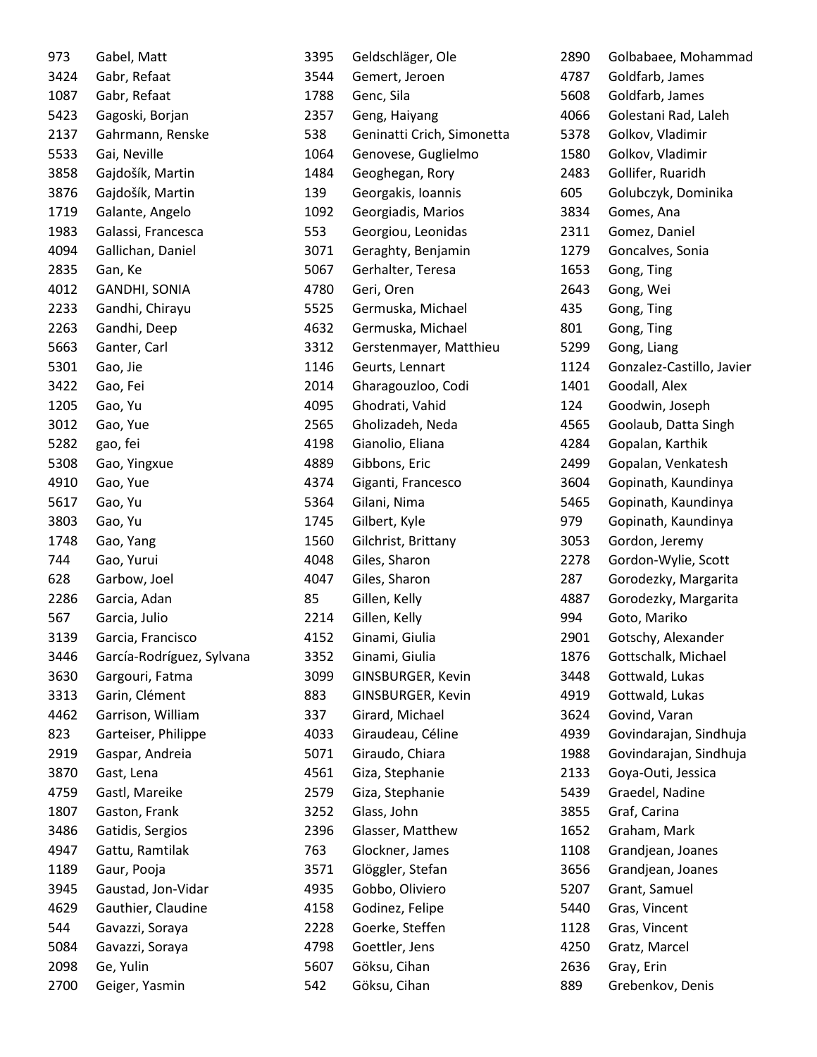| 973  | Gabel, Matt               |
|------|---------------------------|
| 3424 | Gabr, Refaat              |
| 1087 | Gabr, Refaat              |
| 5423 | Gagoski, Borjan           |
| 2137 | Gahrmann, Renske          |
| 5533 | Gai, Neville              |
| 3858 | Gajdošík, Martin          |
| 3876 | Gajdošík, Martin          |
| 1719 | Galante, Angelo           |
| 1983 | Galassi, Francesca        |
| 4094 | Gallichan, Daniel         |
| 2835 | Gan, Ke                   |
| 4012 | GANDHI, SONIA             |
| 2233 | Gandhi, Chirayu           |
| 2263 | Gandhi, Deep              |
| 5663 | Ganter, Carl              |
| 5301 | Gao, Jie                  |
| 3422 | Gao, Fei                  |
| 1205 | Gao, Yu                   |
| 3012 | Gao, Yue                  |
| 5282 | gao, fei                  |
| 5308 | Gao, Yingxue              |
| 4910 | Gao, Yue                  |
| 5617 | Gao, Yu                   |
| 3803 | Gao, Yu                   |
| 1748 | Gao, Yang                 |
| 744  | Gao, Yurui                |
| 628  | Garbow, Joel              |
| 2286 | Garcia, Adan              |
| 567  | Garcia, Julio             |
| 3139 | Garcia, Francisco         |
| 3446 | García-Rodríguez, Sylvana |
| 3630 | Gargouri, Fatma           |
| 3313 | Garin, Clément            |
| 4462 | Garrison, William         |
| 823  | Garteiser, Philippe       |
| 2919 | Gaspar, Andreia           |
| 3870 | Gast, Lena                |
| 4759 | Gastl, Mareike            |
| 1807 | Gaston, Frank             |
| 3486 | Gatidis, Sergios          |
| 4947 | Gattu, Ramtilak           |
| 1189 | Gaur, Pooja               |
| 3945 | Gaustad, Jon-Vidar        |
| 4629 | Gauthier, Claudine        |
| 544  | Gavazzi, Soraya           |
| 5084 | Gavazzi, Soraya           |
| 2098 | Ge, Yulin                 |
| 2700 | Geiger, Yasmin            |

| 3395 | Geldschläger, Ole          |
|------|----------------------------|
| 3544 | Gemert, Jeroen             |
| 1788 | Genc, Sila                 |
| 2357 | Geng, Haiyang              |
| 538  | Geninatti Crich, Simonetta |
| 1064 | Genovese, Guglielmo        |
| 1484 | Geoghegan, Rory            |
| 139  | Georgakis, Ioannis         |
| 1092 | Georgiadis, Marios         |
| 553  | Georgiou, Leonidas         |
| 3071 | Geraghty, Benjamin         |
| 5067 | Gerhalter, Teresa          |
| 4780 | Geri, Oren                 |
| 5525 | Germuska, Michael          |
| 4632 | Germuska, Michael          |
| 3312 | Gerstenmayer, Matthieu     |
| 1146 | Geurts, Lennart            |
| 2014 | Gharagouzloo, Codi         |
| 4095 | Ghodrati, Vahid            |
| 2565 | Gholizadeh, Neda           |
| 4198 | Gianolio, Eliana           |
| 4889 | Gibbons, Eric              |
| 4374 | Giganti, Francesco         |
| 5364 | Gilani, Nima               |
| 1745 | Gilbert, Kyle              |
| 1560 | Gilchrist, Brittany        |
| 4048 | Giles, Sharon              |
| 4047 | Giles, Sharon              |
| 85   | Gillen, Kelly              |
| 2214 | Gillen, Kelly              |
| 4152 | Ginami, Giulia             |
| 3352 | Ginami, Giulia             |
| 3099 | GINSBURGER, Kevin          |
| 883  | GINSBURGER, Kevin          |
| 337  | Girard, Michael            |
| 4033 | Giraudeau, Céline          |
| 5071 | Giraudo, Chiara            |
| 4561 | Giza, Stephanie            |
| 2579 | Giza, Stephanie            |
| 3252 | Glass, John                |
| 2396 | Glasser, Matthew           |
| 763  | Glockner, James            |
| 3571 | Glöggler, Stefan           |
| 4935 | Gobbo, Oliviero            |
| 4158 | Godinez, Felipe            |
| 2228 | Goerke, Steffen            |
| 4798 | Goettler, Jens             |
| 5607 | Göksu, Cihan               |
| 542  | Göksu, Cihan               |

| 2890 | Golbabaee, Mohammad       |
|------|---------------------------|
| 4787 | Goldfarb, James           |
| 5608 | Goldfarb, James           |
| 4066 | Golestani Rad, Laleh      |
| 5378 | Golkov, Vladimir          |
| 1580 | Golkov, Vladimir          |
| 2483 | Gollifer, Ruaridh         |
| 605  | Golubczyk, Dominika       |
| 3834 | Gomes, Ana                |
| 2311 | Gomez, Daniel             |
| 1279 | Goncalves, Sonia          |
| 1653 | Gong, Ting                |
| 2643 | Gong, Wei                 |
| 435  | Gong, Ting                |
| 801  | Gong, Ting                |
| 5299 | Gong, Liang               |
| 1124 | Gonzalez-Castillo, Javier |
| 1401 | Goodall, Alex             |
| 124  | Goodwin, Joseph           |
| 4565 | Goolaub, Datta Singh      |
| 4284 | Gopalan, Karthik          |
| 2499 | Gopalan, Venkatesh        |
| 3604 | Gopinath, Kaundinya       |
| 5465 | Gopinath, Kaundinya       |
| 979  | Gopinath, Kaundinya       |
| 3053 | Gordon, Jeremy            |
| 2278 | Gordon-Wylie, Scott       |
| 287  | Gorodezky, Margarita      |
| 4887 | Gorodezky, Margarita      |
| 994  | Goto, Mariko              |
| 2901 | Gotschy, Alexander        |
| 1876 | Gottschalk, Michael       |
| 3448 | Gottwald, Lukas           |
| 4919 | Gottwald, Lukas           |
| 3624 | Govind, Varan             |
| 4939 | Govindarajan, Sindhuja    |
| 1988 | Govindarajan, Sindhuja    |
| 2133 | Goya-Outi, Jessica        |
| 5439 | Graedel, Nadine           |
| 3855 | Graf, Carina              |
| 1652 | Graham, Mark              |
| 1108 | Grandjean, Joanes         |
| 3656 | Grandjean, Joanes         |
| 5207 | Grant, Samuel             |
| 5440 | Gras, Vincent             |
| 1128 | Gras, Vincent             |
| 4250 | Gratz, Marcel             |
| 2636 | Gray, Erin                |
| 889  | Grebenkov, Denis          |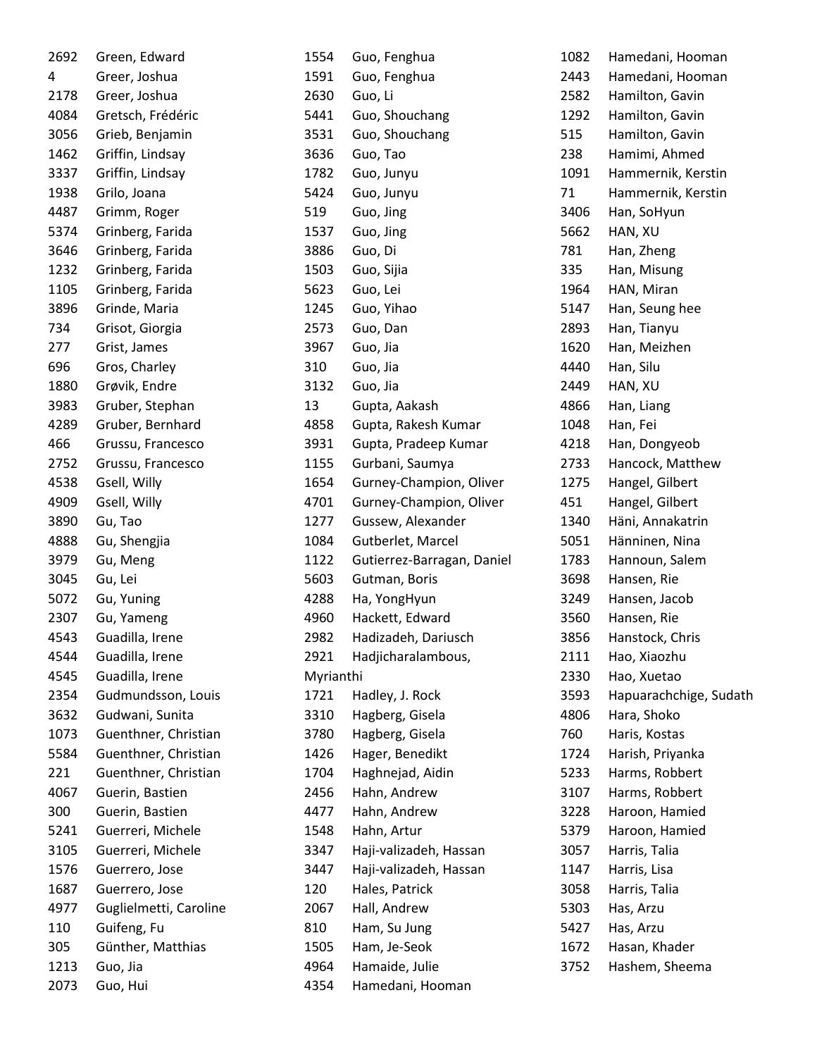| 2692 | Green, Edward          |
|------|------------------------|
| 4    | Greer, Joshua          |
| 2178 | Greer, Joshua          |
| 4084 | Gretsch, Frédéric      |
| 3056 | Grieb, Benjamin        |
| 1462 | Griffin, Lindsay       |
| 3337 | Griffin, Lindsay       |
| 1938 | Grilo, Joana           |
| 4487 | Grimm, Roger           |
| 5374 | Grinberg, Farida       |
| 3646 | Grinberg, Farida       |
| 1232 | Grinberg, Farida       |
| 1105 | Grinberg, Farida       |
| 3896 | Grinde, Maria          |
| 734  | Grisot, Giorgia        |
| 277  | Grist, James           |
| 696  | Gros, Charley          |
| 1880 | Grøvik, Endre          |
| 3983 | Gruber, Stephan        |
| 4289 | Gruber, Bernhard       |
| 466  | Grussu, Francesco      |
| 2752 | Grussu, Francesco      |
| 4538 | Gsell, Willy           |
| 4909 | Gsell, Willy           |
| 3890 | Gu, Tao                |
| 4888 | Gu, Shengjia           |
| 3979 | Gu, Meng               |
| 3045 | Gu, Lei                |
| 5072 | Gu, Yuning             |
| 2307 | Gu, Yameng             |
| 4543 | Guadilla, Irene        |
| 4544 | Guadilla, Irene        |
| 4545 | Guadilla, Irene        |
| 2354 | Gudmundsson, Louis     |
| 3632 | Gudwani, Sunita        |
| 1073 | Guenthner, Christian   |
| 5584 | Guenthner, Christian   |
| 221  | Guenthner, Christian   |
| 4067 | Guerin, Bastien        |
| 300  | Guerin, Bastien        |
| 5241 | Guerreri, Michele      |
| 3105 | Guerreri, Michele      |
| 1576 | Guerrero, Jose         |
| 1687 | Guerrero, Jose         |
| 4977 | Guglielmetti, Caroline |
| 110  | Guifeng, Fu            |
| 305  | Günther, Matthias      |
| 1213 | Guo, Jia               |
| 2073 | Guo. Hui               |

| 1554      | Guo, Fenghua               |
|-----------|----------------------------|
| 1591      | Guo, Fenghua               |
| 2630      | Guo, Li                    |
| 5441      | Guo, Shouchang             |
| 3531      | Guo, Shouchang             |
| 3636      | Guo, Tao                   |
| 1782      | Guo, Junyu                 |
| 5424      | Guo, Junyu                 |
| 519       | Guo, Jing                  |
| 1537      | Guo, Jing                  |
| 3886      | Guo, Di                    |
| 1503      | Guo, Sijia                 |
| 5623      | Guo, Lei                   |
| 1245      | Guo, Yihao                 |
| 2573      | Guo, Dan                   |
| 3967      | Guo, Jia                   |
| 310       | Guo, Jia                   |
| 3132      | Guo, Jia                   |
| 13        | Gupta, Aakash              |
| 4858      | Gupta, Rakesh Kumar        |
| 3931      | Gupta, Pradeep Kumar       |
| 1155      | Gurbani, Saumya            |
| 1654      | Gurney-Champion, Oliver    |
| 4701      | Gurney-Champion, Oliver    |
| 1277      | Gussew, Alexander          |
| 1084      | Gutberlet, Marcel          |
| 1122      | Gutierrez-Barragan, Daniel |
| 5603      | Gutman, Boris              |
| 4288      | Ha, YongHyun               |
| 4960      | Hackett, Edward            |
| 2982      | Hadizadeh, Dariusch        |
| 2921      | Hadjicharalambous,         |
| Myrianthi |                            |
| 1721      | Hadley, J. Rock            |
| 3310      | Hagberg, Gisela            |
| 3780      | Hagberg, Gisela            |
| 1426      | Hager, Benedikt            |
| 1704      | Haghnejad, Aidin           |
| 2456      | Hahn, Andrew               |
| 4477      | Hahn, Andrew               |
| 1548      | Hahn, Artur                |
| 3347      | Haji-valizadeh, Hassan     |
| 3447      | Haji-valizadeh, Hassan     |
| 120       | Hales, Patrick             |
| 2067      | Hall, Andrew               |
| 810       | Ham, Su Jung               |
| 1505      | Ham, Je-Seok               |
| 4964      | Hamaide, Julie             |
| 4354      | Hamedani, Hooman           |

| 1082 | Hamedani, Hooman       |
|------|------------------------|
| 2443 | Hamedani, Hooman       |
| 2582 | Hamilton, Gavin        |
| 1292 | Hamilton, Gavin        |
| 515  | Hamilton, Gavin        |
| 238  | Hamimi, Ahmed          |
| 1091 | Hammernik, Kerstin     |
| 71   | Hammernik, Kerstin     |
| 3406 | Han, SoHyun            |
| 5662 | HAN, XU                |
| 781  | Han, Zheng             |
| 335  | Han, Misung            |
| 1964 | HAN, Miran             |
| 5147 | Han, Seung hee         |
| 2893 | Han, Tianyu            |
| 1620 | Han, Meizhen           |
| 4440 | Han, Silu              |
| 2449 | HAN, XU                |
| 4866 | Han, Liang             |
| 1048 | Han, Fei               |
| 4218 | Han, Dongyeob          |
| 2733 | Hancock, Matthew       |
| 1275 | Hangel, Gilbert        |
| 451  | Hangel, Gilbert        |
| 1340 | Häni, Annakatrin       |
| 5051 | Hänninen, Nina         |
| 1783 | Hannoun, Salem         |
| 3698 | Hansen, Rie            |
| 3249 | Hansen, Jacob          |
| 3560 | Hansen, Rie            |
| 3856 | Hanstock, Chris        |
| 2111 | Hao, Xiaozhu           |
| 2330 | Hao, Xuetao            |
| 3593 | Hapuarachchige, Sudath |
| 4806 | Hara, Shoko            |
| 760  | Haris, Kostas          |
| 1724 | Harish, Priyanka       |
| 5233 | Harms, Robbert         |
| 3107 | Harms, Robbert         |
| 3228 | Haroon, Hamied         |
| 5379 | Haroon, Hamied         |
| 3057 | Harris, Talia          |
| 1147 | Harris, Lisa           |
| 3058 | Harris, Talia          |
| 5303 | Has, Arzu              |
| 5427 | Has, Arzu              |
| 1672 | Hasan, Khader          |
| 3752 | Hashem, Sheema         |
|      |                        |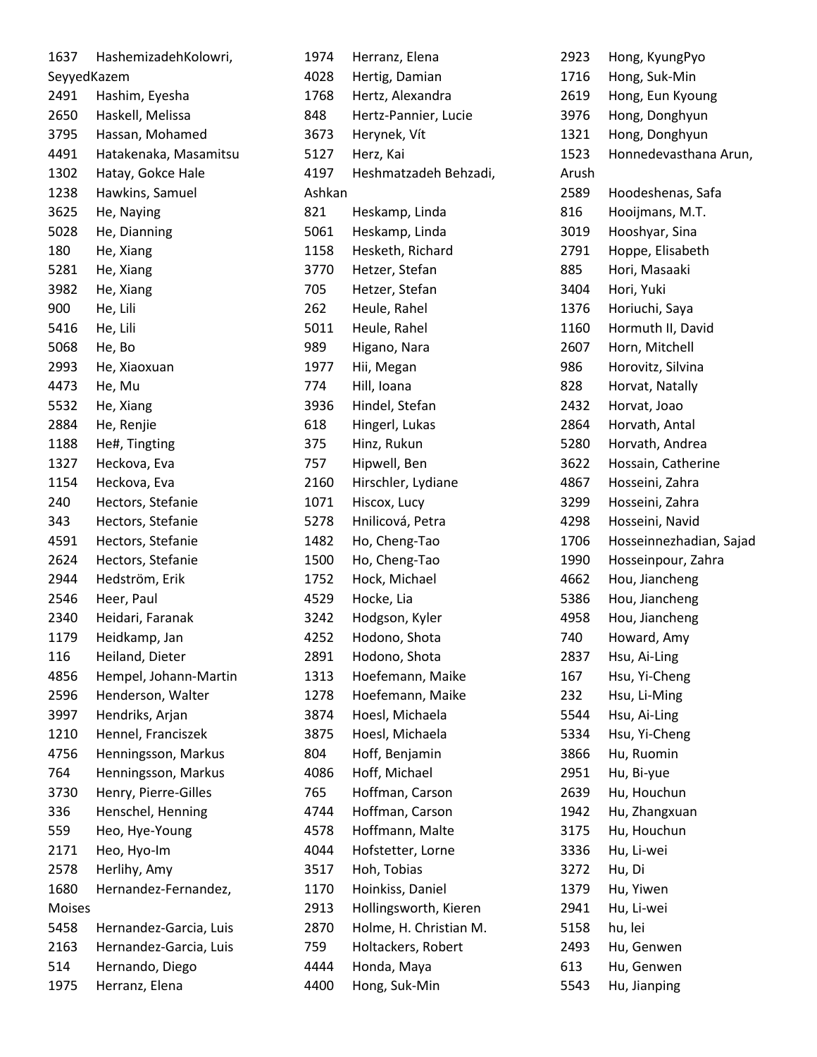| 1637        | HashemizadehKolowri,   | 1974   | Herranz, Elena         | 2923  | Hong, KyungPyo          |
|-------------|------------------------|--------|------------------------|-------|-------------------------|
| SeyyedKazem |                        | 4028   | Hertig, Damian         | 1716  | Hong, Suk-Min           |
| 2491        | Hashim, Eyesha         | 1768   | Hertz, Alexandra       | 2619  | Hong, Eun Kyoung        |
| 2650        | Haskell, Melissa       | 848    | Hertz-Pannier, Lucie   | 3976  | Hong, Donghyun          |
| 3795        | Hassan, Mohamed        | 3673   | Herynek, Vít           | 1321  | Hong, Donghyun          |
| 4491        | Hatakenaka, Masamitsu  | 5127   | Herz, Kai              | 1523  | Honnedevasthana Arun,   |
| 1302        | Hatay, Gokce Hale      | 4197   | Heshmatzadeh Behzadi,  | Arush |                         |
| 1238        | Hawkins, Samuel        | Ashkan |                        | 2589  | Hoodeshenas, Safa       |
| 3625        | He, Naying             | 821    | Heskamp, Linda         | 816   | Hooijmans, M.T.         |
| 5028        | He, Dianning           | 5061   | Heskamp, Linda         | 3019  | Hooshyar, Sina          |
| 180         | He, Xiang              | 1158   | Hesketh, Richard       | 2791  | Hoppe, Elisabeth        |
| 5281        | He, Xiang              | 3770   | Hetzer, Stefan         | 885   | Hori, Masaaki           |
| 3982        | He, Xiang              | 705    | Hetzer, Stefan         | 3404  | Hori, Yuki              |
| 900         | He, Lili               | 262    | Heule, Rahel           | 1376  | Horiuchi, Saya          |
| 5416        | He, Lili               | 5011   | Heule, Rahel           | 1160  | Hormuth II, David       |
| 5068        | He, Bo                 | 989    | Higano, Nara           | 2607  | Horn, Mitchell          |
| 2993        | He, Xiaoxuan           | 1977   | Hii, Megan             | 986   | Horovitz, Silvina       |
| 4473        | He, Mu                 | 774    | Hill, Ioana            | 828   | Horvat, Natally         |
| 5532        | He, Xiang              | 3936   | Hindel, Stefan         | 2432  | Horvat, Joao            |
| 2884        | He, Renjie             | 618    | Hingerl, Lukas         | 2864  | Horvath, Antal          |
| 1188        | He#, Tingting          | 375    | Hinz, Rukun            | 5280  | Horvath, Andrea         |
| 1327        | Heckova, Eva           | 757    | Hipwell, Ben           | 3622  | Hossain, Catherine      |
| 1154        | Heckova, Eva           | 2160   | Hirschler, Lydiane     | 4867  | Hosseini, Zahra         |
| 240         | Hectors, Stefanie      | 1071   | Hiscox, Lucy           | 3299  | Hosseini, Zahra         |
| 343         | Hectors, Stefanie      | 5278   | Hnilicová, Petra       | 4298  | Hosseini, Navid         |
| 4591        | Hectors, Stefanie      | 1482   | Ho, Cheng-Tao          | 1706  | Hosseinnezhadian, Sajad |
| 2624        | Hectors, Stefanie      | 1500   | Ho, Cheng-Tao          | 1990  | Hosseinpour, Zahra      |
| 2944        | Hedström, Erik         | 1752   | Hock, Michael          | 4662  | Hou, Jiancheng          |
| 2546        | Heer, Paul             | 4529   | Hocke, Lia             | 5386  | Hou, Jiancheng          |
| 2340        | Heidari, Faranak       | 3242   | Hodgson, Kyler         | 4958  | Hou, Jiancheng          |
| 1179        | Heidkamp, Jan          | 4252   | Hodono, Shota          | 740   | Howard, Amy             |
| 116         | Heiland, Dieter        | 2891   | Hodono, Shota          | 2837  | Hsu, Ai-Ling            |
| 4856        | Hempel, Johann-Martin  | 1313   | Hoefemann, Maike       | 167   | Hsu, Yi-Cheng           |
| 2596        | Henderson, Walter      | 1278   | Hoefemann, Maike       | 232   | Hsu, Li-Ming            |
| 3997        | Hendriks, Arjan        | 3874   | Hoesl, Michaela        | 5544  | Hsu, Ai-Ling            |
| 1210        | Hennel, Franciszek     | 3875   | Hoesl, Michaela        | 5334  | Hsu, Yi-Cheng           |
| 4756        | Henningsson, Markus    | 804    | Hoff, Benjamin         | 3866  | Hu, Ruomin              |
| 764         | Henningsson, Markus    | 4086   | Hoff, Michael          | 2951  | Hu, Bi-yue              |
| 3730        | Henry, Pierre-Gilles   | 765    | Hoffman, Carson        | 2639  | Hu, Houchun             |
| 336         | Henschel, Henning      | 4744   | Hoffman, Carson        | 1942  | Hu, Zhangxuan           |
| 559         | Heo, Hye-Young         | 4578   | Hoffmann, Malte        | 3175  | Hu, Houchun             |
| 2171        | Heo, Hyo-Im            | 4044   | Hofstetter, Lorne      | 3336  | Hu, Li-wei              |
| 2578        | Herlihy, Amy           | 3517   | Hoh, Tobias            | 3272  | Hu, Di                  |
| 1680        | Hernandez-Fernandez,   | 1170   | Hoinkiss, Daniel       | 1379  | Hu, Yiwen               |
| Moises      |                        | 2913   | Hollingsworth, Kieren  | 2941  | Hu, Li-wei              |
| 5458        | Hernandez-Garcia, Luis | 2870   | Holme, H. Christian M. | 5158  | hu, lei                 |
| 2163        | Hernandez-Garcia, Luis | 759    | Holtackers, Robert     | 2493  | Hu, Genwen              |
| 514         | Hernando, Diego        | 4444   | Honda, Maya            | 613   | Hu, Genwen              |
| 1975        | Herranz, Elena         | 4400   | Hong, Suk-Min          | 5543  | Hu, Jianping            |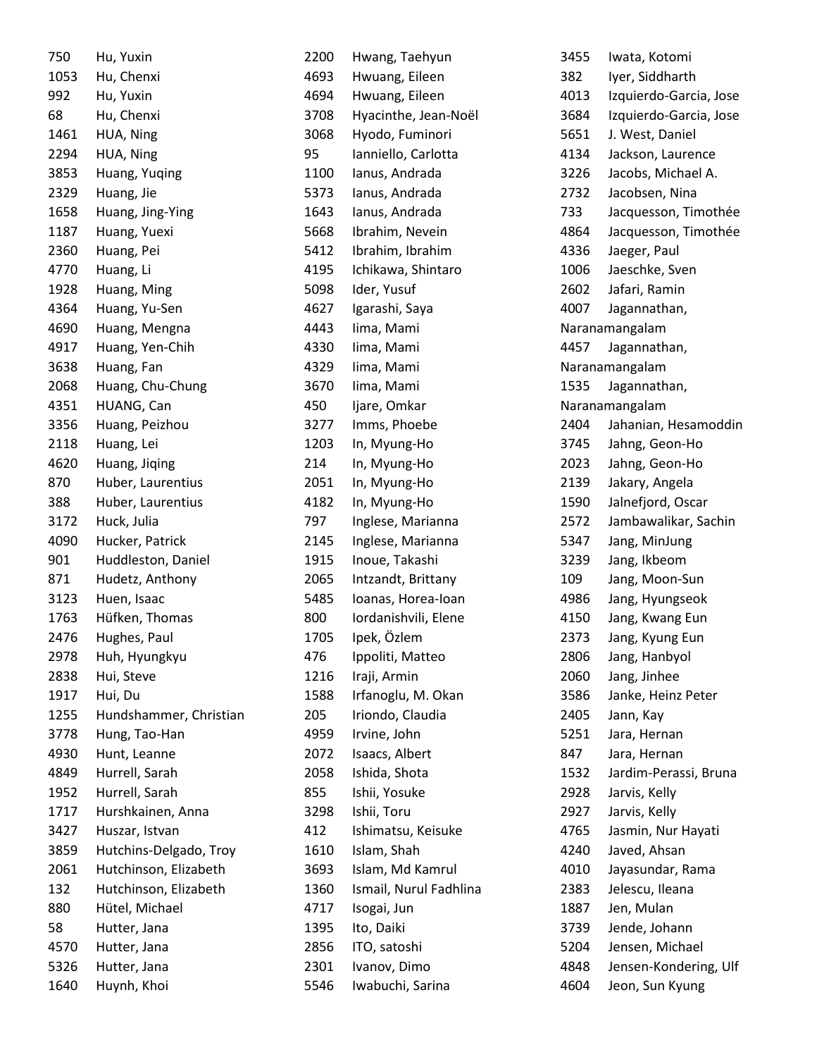| 750  | Hu, Yuxin              |
|------|------------------------|
| 1053 | Hu, Chenxi             |
| 992  | Hu, Yuxin              |
| 68   | Hu, Chenxi             |
| 1461 | HUA, Ning              |
| 2294 | HUA, Ning              |
| 3853 | Huang, Yuqing          |
| 2329 | Huang, Jie             |
| 1658 | Huang, Jing-Ying       |
| 1187 | Huang, Yuexi           |
| 2360 | Huang, Pei             |
|      | 4770 Huang, Li         |
| 1928 | Huang, Ming            |
| 4364 | Huang, Yu-Sen          |
| 4690 | Huang, Mengna          |
| 4917 | Huang, Yen-Chih        |
| 3638 | Huang, Fan             |
| 2068 | Huang, Chu-Chung       |
| 4351 | HUANG, Can             |
| 3356 | Huang, Peizhou         |
| 2118 | Huang, Lei             |
| 4620 | Huang, Jiqing          |
| 870  | Huber, Laurentius      |
| 388  | Huber, Laurentius      |
| 3172 | Huck, Julia            |
| 4090 | Hucker, Patrick        |
| 901  | Huddleston, Daniel     |
| 871  | Hudetz, Anthony        |
| 3123 | Huen, Isaac            |
| 1763 | Hüfken, Thomas         |
| 2476 | Hughes, Paul           |
| 2978 | Huh, Hyungkyu          |
| 2838 | Hui, Steve             |
| 1917 | Hui, Du                |
| 1255 | Hundshammer, Christian |
| 3778 | Hung, Tao-Han          |
| 4930 | Hunt, Leanne           |
| 4849 | Hurrell, Sarah         |
| 1952 | Hurrell, Sarah         |
| 1717 | Hurshkainen, Anna      |
| 3427 | Huszar, Istvan         |
| 3859 | Hutchins-Delgado, Troy |
| 2061 | Hutchinson, Elizabeth  |
| 132  | Hutchinson, Elizabeth  |
| 880  | Hütel, Michael         |
| 58   | Hutter, Jana           |
| 4570 | Hutter, Jana           |
| 5326 | Hutter, Jana           |
| 1640 | Huynh, Khoi            |

| 2200 | Hwang, Taehyun         |
|------|------------------------|
| 4693 | Hwuang, Eileen         |
| 4694 | Hwuang, Eileen         |
| 3708 | Hyacinthe, Jean-Noël   |
| 3068 | Hyodo, Fuminori        |
| 95   | Ianniello, Carlotta    |
| 1100 | lanus, Andrada         |
| 5373 | Ianus, Andrada         |
| 1643 | lanus, Andrada         |
| 5668 | Ibrahim, Nevein        |
| 5412 | Ibrahim, Ibrahim       |
| 4195 | Ichikawa, Shintaro     |
| 5098 | Ider, Yusuf            |
| 4627 | Igarashi, Saya         |
| 4443 | lima, Mami             |
| 4330 | lima, Mami             |
| 4329 | lima, Mami             |
| 3670 | lima, Mami             |
| 450  | Ijare, Omkar           |
| 3277 | Imms, Phoebe           |
| 1203 | In, Myung-Ho           |
| 214  | In, Myung-Ho           |
| 2051 | In, Myung-Ho           |
| 4182 | In, Myung-Ho           |
| 797  | Inglese, Marianna      |
| 2145 | Inglese, Marianna      |
| 1915 | Inoue, Takashi         |
| 2065 | Intzandt, Brittany     |
| 5485 | Ioanas, Horea-Ioan     |
| 800  | Iordanishvili, Elene   |
| 1705 | Ipek, Özlem            |
| 476  | Ippoliti, Matteo       |
| 1216 | Iraji, Armin           |
| 1588 | Irfanoglu, M. Okan     |
| 205  | Iriondo, Claudia       |
| 4959 | Irvine, John           |
| 2072 | Isaacs, Albert         |
| 2058 | Ishida, Shota          |
| 855  | Ishii, Yosuke          |
| 3298 | Ishii, Toru            |
| 412  | Ishimatsu, Keisuke     |
| 1610 | Islam, Shah            |
| 3693 | Islam, Md Kamrul       |
| 1360 | Ismail, Nurul Fadhlina |
| 4717 | Isogai, Jun            |
| 1395 | Ito, Daiki             |
| 2856 | ITO, satoshi           |
| 2301 | Ivanov, Dimo           |
| 5546 | Iwabuchi, Sarina       |

| 3455 | Iwata, Kotomi          |
|------|------------------------|
| 382  | Iyer, Siddharth        |
| 4013 | Izquierdo-Garcia, Jose |
| 3684 | Izquierdo-Garcia, Jose |
| 5651 | J. West, Daniel        |
| 4134 | Jackson, Laurence      |
| 3226 | Jacobs, Michael A.     |
| 2732 | Jacobsen, Nina         |
| 733  | Jacquesson, Timothée   |
| 4864 | Jacquesson, Timothée   |
| 4336 | Jaeger, Paul           |
| 1006 | Jaeschke, Sven         |
| 2602 | Jafari, Ramin          |
| 4007 | Jagannathan,           |
|      | Naranamangalam         |
| 4457 | Jagannathan,           |
|      | Naranamangalam         |
| 1535 | Jagannathan,           |
|      | Naranamangalam         |
| 2404 | Jahanian, Hesamoddin   |
| 3745 | Jahng, Geon-Ho         |
| 2023 | Jahng, Geon-Ho         |
| 2139 | Jakary, Angela         |
| 1590 | Jalnefjord, Oscar      |
| 2572 | Jambawalikar, Sachin   |
| 5347 | Jang, MinJung          |
| 3239 | Jang, Ikbeom           |
| 109  | Jang, Moon-Sun         |
| 4986 | Jang, Hyungseok        |
| 4150 | Jang, Kwang Eun        |
| 2373 | Jang, Kyung Eun        |
| 2806 | Jang, Hanbyol          |
| 2060 | Jang, Jinhee           |
| 3586 | Janke, Heinz Peter     |
| 2405 | Jann, Kay              |
| 5251 | Jara, Hernan           |
| 847  | Jara, Hernan           |
| 1532 | Jardim-Perassi, Bruna  |
| 2928 | Jarvis, Kelly          |
| 2927 | Jarvis, Kelly          |
| 4765 | Jasmin, Nur Hayati     |
| 4240 | Javed, Ahsan           |
| 4010 | Jayasundar, Rama       |
| 2383 | Jelescu, Ileana        |
| 1887 | Jen, Mulan             |
| 3739 | Jende, Johann          |
| 5204 | Jensen, Michael        |
| 4848 | Jensen-Kondering, Ulf  |
| 4604 | Jeon, Sun Kyung        |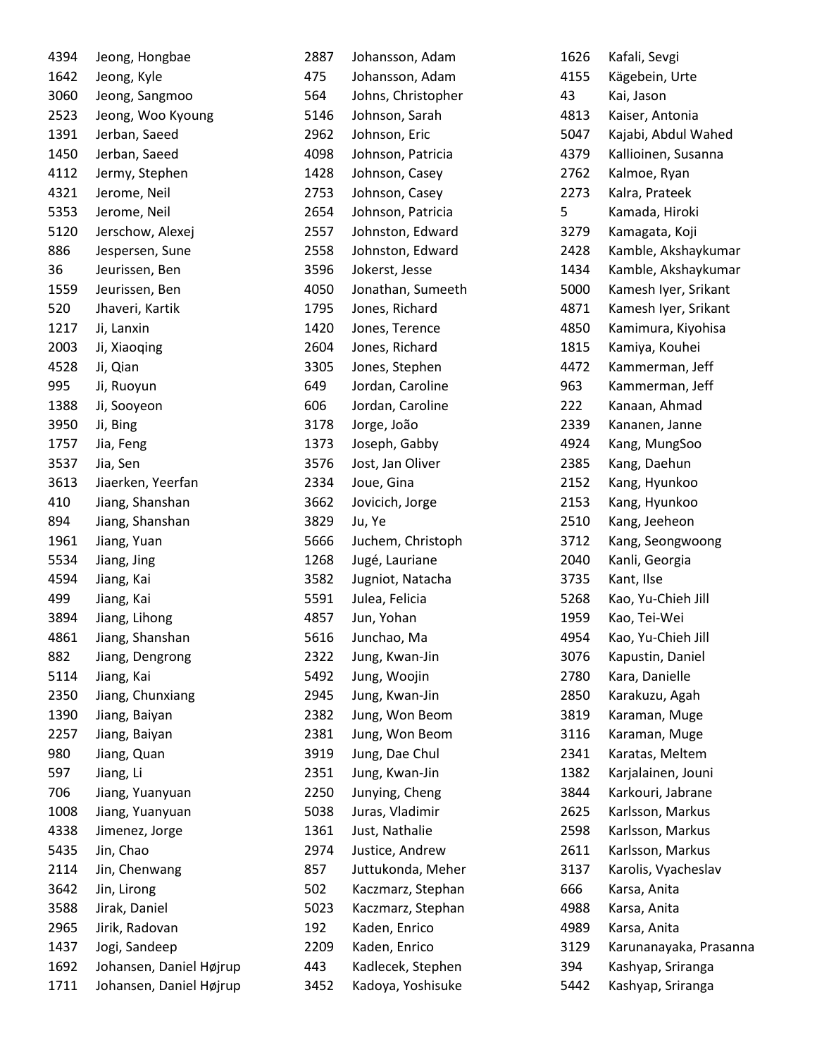| 4394 | Jeong, Hongbae          |
|------|-------------------------|
| 1642 | Jeong, Kyle             |
| 3060 | Jeong, Sangmoo          |
| 2523 | Jeong, Woo Kyoung       |
| 1391 | Jerban, Saeed           |
| 1450 | Jerban, Saeed           |
| 4112 | Jermy, Stephen          |
| 4321 | Jerome, Neil            |
| 5353 | Jerome, Neil            |
| 5120 | Jerschow, Alexej        |
| 886  | Jespersen, Sune         |
| 36   | Jeurissen, Ben          |
| 1559 | Jeurissen, Ben          |
| 520  | Jhaveri, Kartik         |
| 1217 | Ji, Lanxin              |
| 2003 | Ji, Xiaoqing            |
| 4528 | Ji, Qian                |
| 995  | Ji, Ruoyun              |
| 1388 | Ji, Sooyeon             |
| 3950 | Ji, Bing                |
| 1757 | Jia, Feng               |
| 3537 | Jia, Sen                |
| 3613 | Jiaerken, Yeerfan       |
| 410  | Jiang, Shanshan         |
| 894  | Jiang, Shanshan         |
| 1961 | Jiang, Yuan             |
| 5534 | Jiang, Jing             |
| 4594 | Jiang, Kai              |
| 499  | Jiang, Kai              |
| 3894 | Jiang, Lihong           |
| 4861 | Jiang, Shanshan         |
| 882  | Jiang, Dengrong         |
| 5114 | Jiang, Kai              |
| 2350 | Jiang, Chunxiang        |
| 1390 | Jiang, Baiyan           |
| 2257 | Jiang, Baiyan           |
| 980  | Jiang, Quan             |
| 597  | Jiang, Li               |
| 706  | Jiang, Yuanyuan         |
| 1008 | Jiang, Yuanyuan         |
| 4338 | Jimenez, Jorge          |
| 5435 | Jin, Chao               |
| 2114 | Jin, Chenwang           |
| 3642 | Jin, Lirong             |
| 3588 | Jirak, Daniel           |
| 2965 | Jirik, Radovan          |
| 1437 | Jogi, Sandeep           |
| 1692 | Johansen, Daniel Højrup |
| 1711 | Johansen, Daniel Højrup |

| 2887 | Johansson, Adam    |
|------|--------------------|
| 475  | Johansson, Adam    |
| 564  | Johns, Christopher |
| 5146 | Johnson, Sarah     |
| 2962 | Johnson, Eric      |
| 4098 | Johnson, Patricia  |
| 1428 | Johnson, Casey     |
| 2753 | Johnson, Casey     |
| 2654 | Johnson, Patricia  |
| 2557 | Johnston, Edward   |
| 2558 | Johnston, Edward   |
| 3596 | Jokerst, Jesse     |
| 4050 | Jonathan, Sumeeth  |
| 1795 | Jones, Richard     |
| 1420 | Jones, Terence     |
| 2604 | Jones, Richard     |
| 3305 | Jones, Stephen     |
| 649  | Jordan, Caroline   |
| 606  | Jordan, Caroline   |
| 3178 | Jorge, João        |
| 1373 | Joseph, Gabby      |
| 3576 | Jost, Jan Oliver   |
| 2334 | Joue, Gina         |
| 3662 | Jovicich, Jorge    |
| 3829 | Ju, Ye             |
| 5666 | Juchem, Christoph  |
| 1268 | Jugé, Lauriane     |
| 3582 | Jugniot, Natacha   |
| 5591 | Julea, Felicia     |
| 4857 | Jun, Yohan         |
| 5616 | Junchao, Ma        |
| 2322 | Jung, Kwan-Jin     |
| 5492 | Jung, Woojin       |
| 2945 | Jung, Kwan-Jin     |
| 2382 | Jung, Won Beom     |
| 2381 | Jung, Won Beom     |
| 3919 | Jung, Dae Chul     |
| 2351 | Jung, Kwan-Jin     |
| 2250 | Junying, Cheng     |
| 5038 | Juras, Vladimir    |
| 1361 | Just, Nathalie     |
| 2974 | Justice, Andrew    |
| 857  | Juttukonda, Meher  |
| 502  | Kaczmarz, Stephan  |
| 5023 | Kaczmarz, Stephan  |
| 192  | Kaden, Enrico      |
| 2209 | Kaden, Enrico      |
| 443  | Kadlecek, Stephen  |
| 3452 | Kadoya, Yoshisuke  |

| 1626 |                                 |
|------|---------------------------------|
| 4155 | Kafali, Sevgi<br>Kägebein, Urte |
| 43   | Kai, Jason                      |
| 4813 | Kaiser, Antonia                 |
| 5047 | Kajabi, Abdul Wahed             |
| 4379 | Kallioinen, Susanna             |
| 2762 | Kalmoe, Ryan                    |
| 2273 | Kalra, Prateek                  |
| 5    | Kamada, Hiroki                  |
| 3279 | Kamagata, Koji                  |
| 2428 | Kamble, Akshaykumar             |
| 1434 | Kamble, Akshaykumar             |
| 5000 | Kamesh Iyer, Srikant            |
| 4871 | Kamesh Iyer, Srikant            |
| 4850 | Kamimura, Kiyohisa              |
| 1815 | Kamiya, Kouhei                  |
| 4472 | Kammerman, Jeff                 |
| 963  | Kammerman, Jeff                 |
| 222  | Kanaan, Ahmad                   |
| 2339 | Kananen, Janne                  |
| 4924 | Kang, MungSoo                   |
| 2385 | Kang, Daehun                    |
| 2152 | Kang, Hyunkoo                   |
| 2153 | Kang, Hyunkoo                   |
| 2510 | Kang, Jeeheon                   |
| 3712 | Kang, Seongwoong                |
| 2040 | Kanli, Georgia                  |
| 3735 | Kant, Ilse                      |
| 5268 | Kao, Yu-Chieh Jill              |
| 1959 | Kao, Tei-Wei                    |
| 4954 | Kao, Yu-Chieh Jill              |
| 3076 | Kapustin, Daniel                |
| 2780 | Kara, Danielle                  |
| 2850 | Karakuzu, Agah                  |
| 3819 | Karaman, Muge                   |
| 3116 | Karaman, Muge                   |
| 2341 | Karatas, Meltem                 |
| 1382 | Karjalainen, Jouni              |
| 3844 | Karkouri, Jabrane               |
| 2625 | Karlsson, Markus                |
| 2598 | Karlsson, Markus                |
| 2611 | Karlsson, Markus                |
| 3137 | Karolis, Vyacheslav             |
| 666  | Karsa, Anita                    |
| 4988 | Karsa, Anita                    |
| 4989 | Karsa, Anita                    |
| 3129 | Karunanayaka, Prasanna          |
| 394  | Kashyap, Sriranga               |
| 5442 | Kashyap, Sriranga               |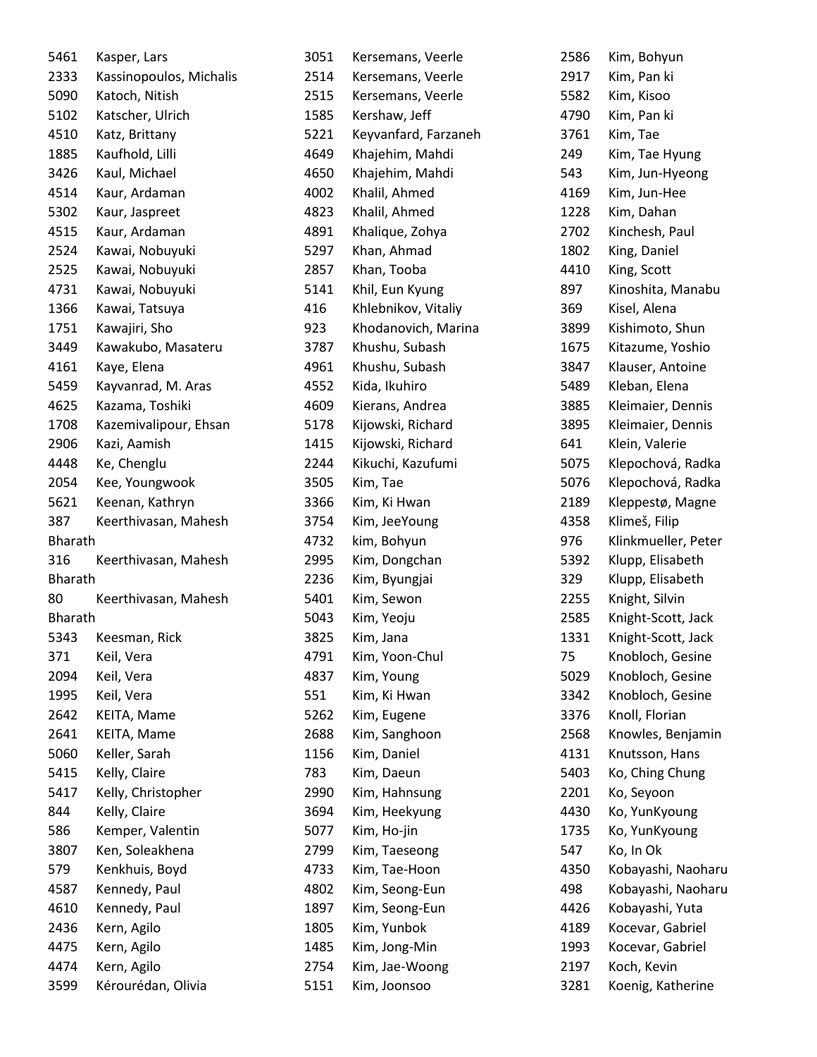| 5461    | Kasper, Lars            | 3051 | Kersemans, Veerle    | 2586 | Kim, Bohyun         |
|---------|-------------------------|------|----------------------|------|---------------------|
| 2333    | Kassinopoulos, Michalis | 2514 | Kersemans, Veerle    | 2917 | Kim, Pan ki         |
| 5090    | Katoch, Nitish          | 2515 | Kersemans, Veerle    | 5582 | Kim, Kisoo          |
| 5102    | Katscher, Ulrich        | 1585 | Kershaw, Jeff        | 4790 | Kim, Pan ki         |
| 4510    | Katz, Brittany          | 5221 | Keyvanfard, Farzaneh | 3761 | Kim, Tae            |
| 1885    | Kaufhold, Lilli         | 4649 | Khajehim, Mahdi      | 249  | Kim, Tae Hyung      |
| 3426    | Kaul, Michael           | 4650 | Khajehim, Mahdi      | 543  | Kim, Jun-Hyeong     |
| 4514    | Kaur, Ardaman           | 4002 | Khalil, Ahmed        | 4169 | Kim, Jun-Hee        |
| 5302    | Kaur, Jaspreet          | 4823 | Khalil, Ahmed        | 1228 | Kim, Dahan          |
| 4515    | Kaur, Ardaman           | 4891 | Khalique, Zohya      | 2702 | Kinchesh, Paul      |
| 2524    | Kawai, Nobuyuki         | 5297 | Khan, Ahmad          | 1802 | King, Daniel        |
| 2525    | Kawai, Nobuyuki         | 2857 | Khan, Tooba          | 4410 | King, Scott         |
| 4731    | Kawai, Nobuyuki         | 5141 | Khil, Eun Kyung      | 897  | Kinoshita, Manabu   |
| 1366    | Kawai, Tatsuya          | 416  | Khlebnikov, Vitaliy  | 369  | Kisel, Alena        |
| 1751    | Kawajiri, Sho           | 923  | Khodanovich, Marina  | 3899 | Kishimoto, Shun     |
| 3449    | Kawakubo, Masateru      | 3787 | Khushu, Subash       | 1675 | Kitazume, Yoshio    |
| 4161    | Kaye, Elena             | 4961 | Khushu, Subash       | 3847 | Klauser, Antoine    |
| 5459    | Kayvanrad, M. Aras      | 4552 | Kida, Ikuhiro        | 5489 | Kleban, Elena       |
| 4625    | Kazama, Toshiki         | 4609 | Kierans, Andrea      | 3885 | Kleimaier, Dennis   |
| 1708    | Kazemivalipour, Ehsan   | 5178 | Kijowski, Richard    | 3895 | Kleimaier, Dennis   |
| 2906    | Kazi, Aamish            | 1415 | Kijowski, Richard    | 641  | Klein, Valerie      |
| 4448    | Ke, Chenglu             | 2244 | Kikuchi, Kazufumi    | 5075 | Klepochová, Radka   |
| 2054    | Kee, Youngwook          | 3505 | Kim, Tae             | 5076 | Klepochová, Radka   |
| 5621    | Keenan, Kathryn         | 3366 | Kim, Ki Hwan         | 2189 | Kleppestø, Magne    |
| 387     | Keerthivasan, Mahesh    | 3754 | Kim, JeeYoung        | 4358 | Klimeš, Filip       |
| Bharath |                         | 4732 | kim, Bohyun          | 976  | Klinkmueller, Peter |
| 316     | Keerthivasan, Mahesh    | 2995 | Kim, Dongchan        | 5392 | Klupp, Elisabeth    |
| Bharath |                         | 2236 | Kim, Byungjai        | 329  | Klupp, Elisabeth    |
| 80      | Keerthivasan, Mahesh    | 5401 | Kim, Sewon           | 2255 | Knight, Silvin      |
| Bharath |                         | 5043 | Kim, Yeoju           | 2585 | Knight-Scott, Jack  |
| 5343    | Keesman, Rick           | 3825 | Kim, Jana            | 1331 | Knight-Scott, Jack  |
| 371     | Keil, Vera              | 4791 | Kim, Yoon-Chul       | 75   | Knobloch, Gesine    |
| 2094    | Keil, Vera              | 4837 | Kim, Young           | 5029 | Knobloch, Gesine    |
| 1995    | Keil, Vera              | 551  | Kim, Ki Hwan         | 3342 | Knobloch, Gesine    |
| 2642    | KEITA, Mame             | 5262 | Kim, Eugene          | 3376 | Knoll, Florian      |
| 2641    | KEITA, Mame             | 2688 | Kim, Sanghoon        | 2568 | Knowles, Benjamin   |
| 5060    | Keller, Sarah           | 1156 | Kim, Daniel          | 4131 | Knutsson, Hans      |
| 5415    | Kelly, Claire           | 783  | Kim, Daeun           | 5403 | Ko, Ching Chung     |
| 5417    | Kelly, Christopher      | 2990 | Kim, Hahnsung        | 2201 | Ko, Seyoon          |
| 844     | Kelly, Claire           | 3694 | Kim, Heekyung        | 4430 | Ko, YunKyoung       |
| 586     | Kemper, Valentin        | 5077 | Kim, Ho-jin          | 1735 | Ko, YunKyoung       |
| 3807    | Ken, Soleakhena         | 2799 | Kim, Taeseong        | 547  | Ko, In Ok           |
| 579     | Kenkhuis, Boyd          | 4733 | Kim, Tae-Hoon        | 4350 | Kobayashi, Naoharu  |
| 4587    | Kennedy, Paul           | 4802 | Kim, Seong-Eun       | 498  | Kobayashi, Naoharu  |
| 4610    | Kennedy, Paul           | 1897 | Kim, Seong-Eun       | 4426 | Kobayashi, Yuta     |
| 2436    | Kern, Agilo             | 1805 | Kim, Yunbok          | 4189 | Kocevar, Gabriel    |
| 4475    | Kern, Agilo             | 1485 | Kim, Jong-Min        | 1993 | Kocevar, Gabriel    |
| 4474    | Kern, Agilo             | 2754 | Kim, Jae-Woong       | 2197 | Koch, Kevin         |
| 3599    | Kérourédan, Olivia      | 5151 | Kim, Joonsoo         | 3281 | Koenig, Katherine   |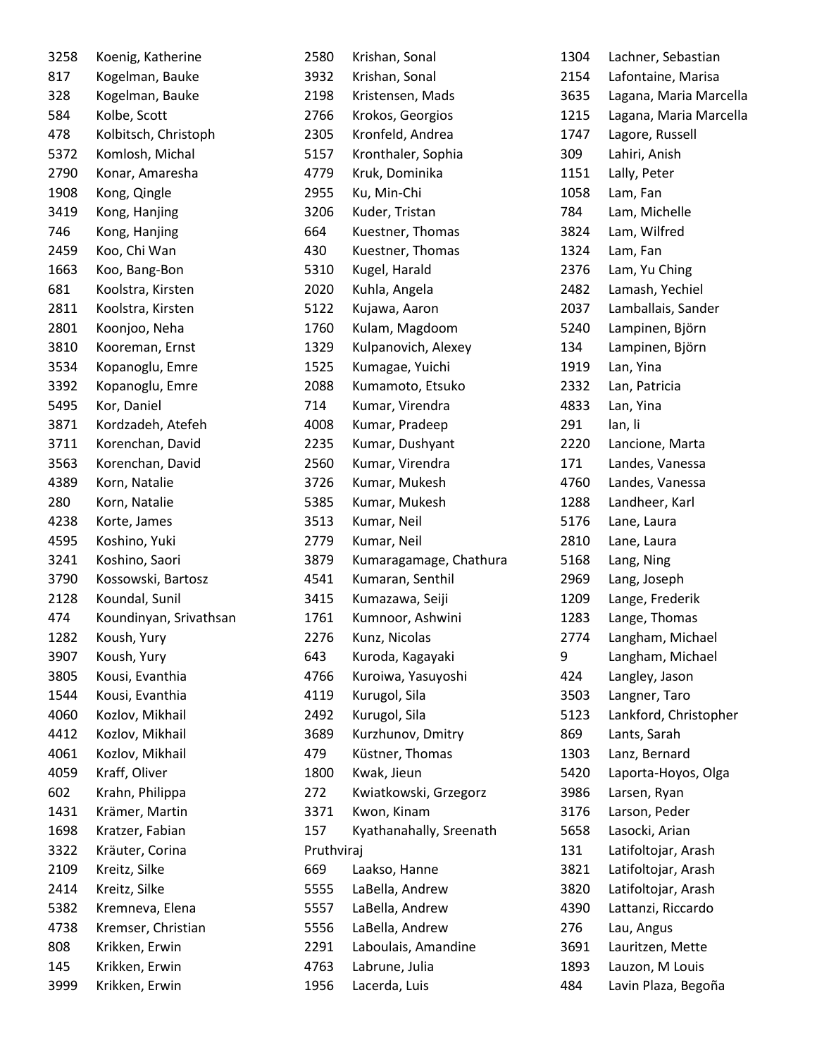| 3258 | Koenig, Katherine      | 2580       | Krishan, Sonal          | 1304 | Lachner, Sebastian     |
|------|------------------------|------------|-------------------------|------|------------------------|
| 817  | Kogelman, Bauke        | 3932       | Krishan, Sonal          | 2154 | Lafontaine, Marisa     |
| 328  | Kogelman, Bauke        | 2198       | Kristensen, Mads        | 3635 | Lagana, Maria Marcella |
| 584  | Kolbe, Scott           | 2766       | Krokos, Georgios        | 1215 | Lagana, Maria Marcella |
| 478  | Kolbitsch, Christoph   | 2305       | Kronfeld, Andrea        | 1747 | Lagore, Russell        |
| 5372 | Komlosh, Michal        | 5157       | Kronthaler, Sophia      | 309  | Lahiri, Anish          |
| 2790 | Konar, Amaresha        | 4779       | Kruk, Dominika          | 1151 | Lally, Peter           |
| 1908 | Kong, Qingle           | 2955       | Ku, Min-Chi             | 1058 | Lam, Fan               |
| 3419 | Kong, Hanjing          | 3206       | Kuder, Tristan          | 784  | Lam, Michelle          |
| 746  | Kong, Hanjing          | 664        | Kuestner, Thomas        | 3824 | Lam, Wilfred           |
| 2459 | Koo, Chi Wan           | 430        | Kuestner, Thomas        | 1324 | Lam, Fan               |
| 1663 | Koo, Bang-Bon          | 5310       | Kugel, Harald           | 2376 | Lam, Yu Ching          |
| 681  | Koolstra, Kirsten      | 2020       | Kuhla, Angela           | 2482 | Lamash, Yechiel        |
| 2811 | Koolstra, Kirsten      | 5122       | Kujawa, Aaron           | 2037 | Lamballais, Sander     |
| 2801 | Koonjoo, Neha          | 1760       | Kulam, Magdoom          | 5240 | Lampinen, Björn        |
| 3810 | Kooreman, Ernst        | 1329       | Kulpanovich, Alexey     | 134  | Lampinen, Björn        |
| 3534 | Kopanoglu, Emre        | 1525       | Kumagae, Yuichi         | 1919 | Lan, Yina              |
| 3392 | Kopanoglu, Emre        | 2088       | Kumamoto, Etsuko        | 2332 | Lan, Patricia          |
| 5495 | Kor, Daniel            | 714        | Kumar, Virendra         | 4833 | Lan, Yina              |
| 3871 | Kordzadeh, Atefeh      | 4008       | Kumar, Pradeep          | 291  | lan, li                |
| 3711 | Korenchan, David       | 2235       | Kumar, Dushyant         | 2220 | Lancione, Marta        |
| 3563 | Korenchan, David       | 2560       | Kumar, Virendra         | 171  | Landes, Vanessa        |
| 4389 | Korn, Natalie          | 3726       | Kumar, Mukesh           | 4760 | Landes, Vanessa        |
| 280  | Korn, Natalie          | 5385       | Kumar, Mukesh           | 1288 | Landheer, Karl         |
| 4238 | Korte, James           | 3513       | Kumar, Neil             | 5176 | Lane, Laura            |
| 4595 | Koshino, Yuki          | 2779       | Kumar, Neil             | 2810 | Lane, Laura            |
| 3241 | Koshino, Saori         | 3879       | Kumaragamage, Chathura  | 5168 | Lang, Ning             |
| 3790 | Kossowski, Bartosz     | 4541       | Kumaran, Senthil        | 2969 | Lang, Joseph           |
| 2128 | Koundal, Sunil         | 3415       | Kumazawa, Seiji         | 1209 | Lange, Frederik        |
| 474  | Koundinyan, Srivathsan | 1761       | Kumnoor, Ashwini        | 1283 | Lange, Thomas          |
| 1282 | Koush, Yury            | 2276       | Kunz, Nicolas           | 2774 | Langham, Michael       |
| 3907 | Koush, Yury            | 643        | Kuroda, Kagayaki        | 9    | Langham, Michael       |
| 3805 | Kousi, Evanthia        | 4766       | Kuroiwa, Yasuyoshi      | 424  | Langley, Jason         |
| 1544 | Kousi, Evanthia        | 4119       | Kurugol, Sila           | 3503 | Langner, Taro          |
| 4060 | Kozlov, Mikhail        | 2492       | Kurugol, Sila           | 5123 | Lankford, Christopher  |
| 4412 | Kozlov, Mikhail        | 3689       | Kurzhunov, Dmitry       | 869  | Lants, Sarah           |
| 4061 | Kozlov, Mikhail        | 479        | Küstner, Thomas         | 1303 | Lanz, Bernard          |
| 4059 | Kraff, Oliver          | 1800       | Kwak, Jieun             | 5420 | Laporta-Hoyos, Olga    |
| 602  | Krahn, Philippa        | 272        | Kwiatkowski, Grzegorz   | 3986 | Larsen, Ryan           |
| 1431 | Krämer, Martin         | 3371       | Kwon, Kinam             | 3176 | Larson, Peder          |
| 1698 | Kratzer, Fabian        | 157        | Kyathanahally, Sreenath | 5658 | Lasocki, Arian         |
| 3322 | Kräuter, Corina        | Pruthviraj |                         | 131  | Latifoltojar, Arash    |
| 2109 | Kreitz, Silke          | 669        | Laakso, Hanne           | 3821 | Latifoltojar, Arash    |
| 2414 | Kreitz, Silke          | 5555       | LaBella, Andrew         | 3820 | Latifoltojar, Arash    |
| 5382 | Kremneva, Elena        | 5557       | LaBella, Andrew         | 4390 | Lattanzi, Riccardo     |
| 4738 | Kremser, Christian     | 5556       | LaBella, Andrew         | 276  | Lau, Angus             |
| 808  | Krikken, Erwin         | 2291       | Laboulais, Amandine     | 3691 | Lauritzen, Mette       |
| 145  | Krikken, Erwin         | 4763       | Labrune, Julia          | 1893 | Lauzon, M Louis        |
| 3999 | Krikken, Erwin         | 1956       | Lacerda, Luis           | 484  | Lavin Plaza, Begoña    |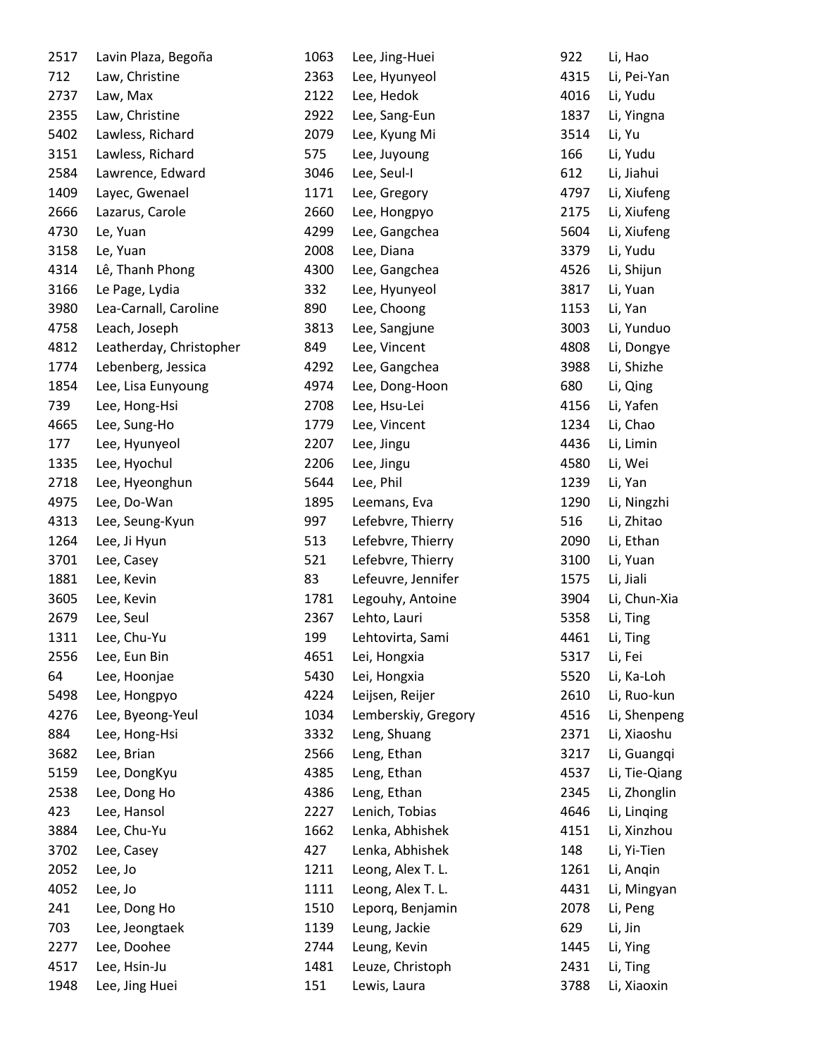| 2517 | Lavin Plaza, Begoña     | 1063 | Lee, Jing-Huei      | 922  | Li, Hao       |
|------|-------------------------|------|---------------------|------|---------------|
| 712  | Law, Christine          | 2363 | Lee, Hyunyeol       | 4315 | Li, Pei-Yan   |
| 2737 | Law, Max                | 2122 | Lee, Hedok          | 4016 | Li, Yudu      |
| 2355 | Law, Christine          | 2922 | Lee, Sang-Eun       | 1837 | Li, Yingna    |
| 5402 | Lawless, Richard        | 2079 | Lee, Kyung Mi       | 3514 | Li, Yu        |
| 3151 | Lawless, Richard        | 575  | Lee, Juyoung        | 166  | Li, Yudu      |
| 2584 | Lawrence, Edward        | 3046 | Lee, Seul-I         | 612  | Li, Jiahui    |
| 1409 | Layec, Gwenael          | 1171 | Lee, Gregory        | 4797 | Li, Xiufeng   |
| 2666 | Lazarus, Carole         | 2660 | Lee, Hongpyo        | 2175 | Li, Xiufeng   |
| 4730 | Le, Yuan                | 4299 | Lee, Gangchea       | 5604 | Li, Xiufeng   |
| 3158 | Le, Yuan                | 2008 | Lee, Diana          | 3379 | Li, Yudu      |
| 4314 | Lê, Thanh Phong         | 4300 | Lee, Gangchea       | 4526 | Li, Shijun    |
| 3166 | Le Page, Lydia          | 332  | Lee, Hyunyeol       | 3817 | Li, Yuan      |
| 3980 | Lea-Carnall, Caroline   | 890  | Lee, Choong         | 1153 | Li, Yan       |
| 4758 | Leach, Joseph           | 3813 | Lee, Sangjune       | 3003 | Li, Yunduo    |
| 4812 | Leatherday, Christopher | 849  | Lee, Vincent        | 4808 | Li, Dongye    |
| 1774 | Lebenberg, Jessica      | 4292 | Lee, Gangchea       | 3988 | Li, Shizhe    |
| 1854 | Lee, Lisa Eunyoung      | 4974 | Lee, Dong-Hoon      | 680  | Li, Qing      |
| 739  | Lee, Hong-Hsi           | 2708 | Lee, Hsu-Lei        | 4156 | Li, Yafen     |
| 4665 | Lee, Sung-Ho            | 1779 | Lee, Vincent        | 1234 | Li, Chao      |
| 177  | Lee, Hyunyeol           | 2207 | Lee, Jingu          | 4436 | Li, Limin     |
| 1335 | Lee, Hyochul            | 2206 | Lee, Jingu          | 4580 | Li, Wei       |
| 2718 | Lee, Hyeonghun          | 5644 | Lee, Phil           | 1239 | Li, Yan       |
| 4975 | Lee, Do-Wan             | 1895 | Leemans, Eva        | 1290 | Li, Ningzhi   |
| 4313 | Lee, Seung-Kyun         | 997  | Lefebvre, Thierry   | 516  | Li, Zhitao    |
| 1264 | Lee, Ji Hyun            | 513  | Lefebvre, Thierry   | 2090 | Li, Ethan     |
| 3701 | Lee, Casey              | 521  | Lefebvre, Thierry   | 3100 | Li, Yuan      |
| 1881 | Lee, Kevin              | 83   | Lefeuvre, Jennifer  | 1575 | Li, Jiali     |
| 3605 | Lee, Kevin              | 1781 | Legouhy, Antoine    | 3904 | Li, Chun-Xia  |
| 2679 | Lee, Seul               | 2367 | Lehto, Lauri        | 5358 | Li, Ting      |
| 1311 | Lee, Chu-Yu             | 199  | Lehtovirta, Sami    | 4461 | Li, Ting      |
| 2556 | Lee, Eun Bin            | 4651 | Lei, Hongxia        | 5317 | Li, Fei       |
| 64   | Lee, Hoonjae            | 5430 | Lei, Hongxia        | 5520 | Li, Ka-Loh    |
| 5498 | Lee, Hongpyo            | 4224 | Leijsen, Reijer     | 2610 | Li, Ruo-kun   |
| 4276 | Lee, Byeong-Yeul        | 1034 | Lemberskiy, Gregory | 4516 | Li, Shenpeng  |
| 884  | Lee, Hong-Hsi           | 3332 | Leng, Shuang        | 2371 | Li, Xiaoshu   |
| 3682 | Lee, Brian              | 2566 | Leng, Ethan         | 3217 | Li, Guangqi   |
| 5159 | Lee, DongKyu            | 4385 | Leng, Ethan         | 4537 | Li, Tie-Qiang |
| 2538 | Lee, Dong Ho            | 4386 | Leng, Ethan         | 2345 | Li, Zhonglin  |
| 423  | Lee, Hansol             | 2227 | Lenich, Tobias      | 4646 | Li, Linqing   |
| 3884 | Lee, Chu-Yu             | 1662 | Lenka, Abhishek     | 4151 | Li, Xinzhou   |
| 3702 | Lee, Casey              | 427  | Lenka, Abhishek     | 148  | Li, Yi-Tien   |
| 2052 | Lee, Jo                 | 1211 | Leong, Alex T. L.   | 1261 | Li, Angin     |
| 4052 | Lee, Jo                 | 1111 | Leong, Alex T. L.   | 4431 | Li, Mingyan   |
| 241  | Lee, Dong Ho            | 1510 | Leporq, Benjamin    | 2078 | Li, Peng      |
| 703  | Lee, Jeongtaek          | 1139 | Leung, Jackie       | 629  | Li, Jin       |
| 2277 | Lee, Doohee             | 2744 | Leung, Kevin        | 1445 | Li, Ying      |
| 4517 | Lee, Hsin-Ju            | 1481 | Leuze, Christoph    | 2431 | Li, Ting      |
| 1948 | Lee, Jing Huei          | 151  | Lewis, Laura        | 3788 | Li, Xiaoxin   |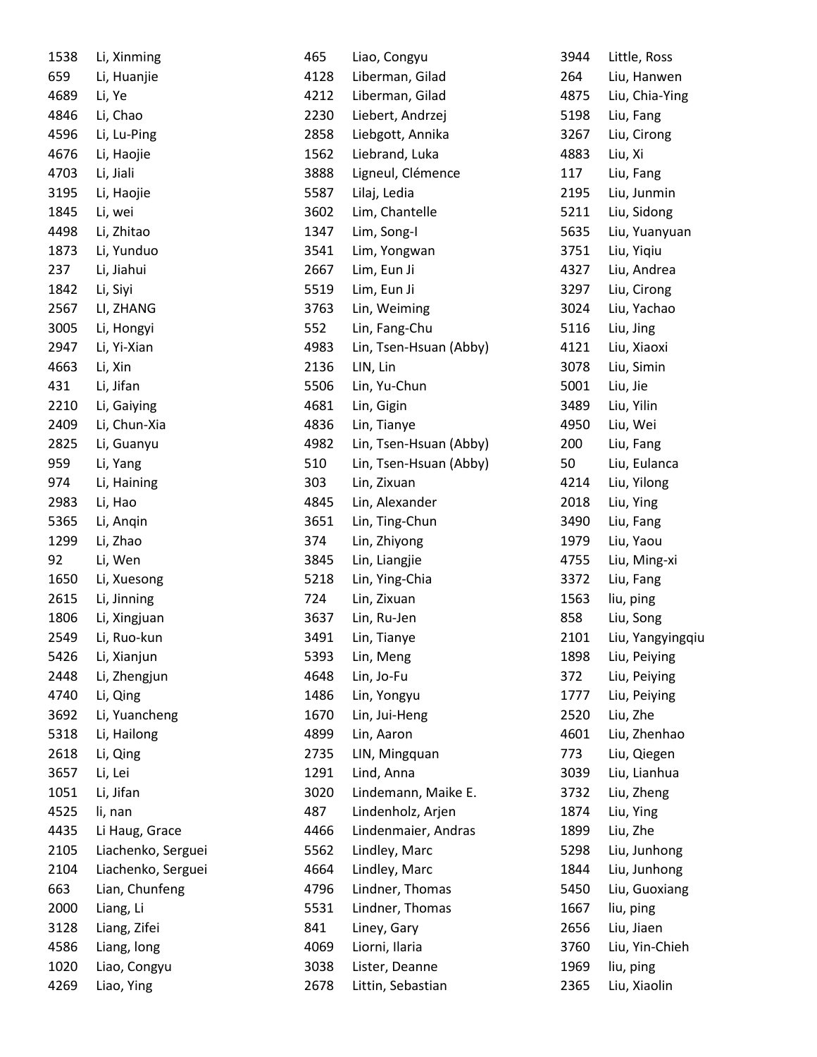| 1538 | Li, Xinming        |
|------|--------------------|
| 659  | Li, Huanjie        |
| 4689 | Li, Ye             |
| 4846 | Li, Chao           |
| 4596 | Li, Lu-Ping        |
| 4676 | Li, Haojie         |
| 4703 | Li, Jiali          |
| 3195 | Li, Haojie         |
| 1845 | Li, wei            |
| 4498 | Li, Zhitao         |
| 1873 | Li, Yunduo         |
| 237  | Li, Jiahui         |
| 1842 | Li, Siyi           |
| 2567 | LI, ZHANG          |
| 3005 | Li, Hongyi         |
| 2947 | Li, Yi-Xian        |
| 4663 | Li, Xin            |
| 431  | Li, Jifan          |
| 2210 | Li, Gaiying        |
| 2409 | Li, Chun-Xia       |
| 2825 | Li, Guanyu         |
| 959  | Li, Yang           |
| 974  | Li, Haining        |
| 2983 | Li, Hao            |
| 5365 | Li, Angin          |
| 1299 | Li, Zhao           |
| 92   | Li, Wen            |
| 1650 | Li, Xuesong        |
| 2615 | Li, Jinning        |
| 1806 | Li, Xingjuan       |
| 2549 | Li, Ruo-kun        |
| 5426 | Li, Xianjun        |
| 2448 | Li, Zhengjun       |
| 4740 | Li, Qing           |
| 3692 | Li, Yuancheng      |
| 5318 | Li, Hailong        |
| 2618 | Li, Qing           |
| 3657 | Li, Lei            |
| 1051 | Li, Jifan          |
| 4525 | li, nan            |
| 4435 | Li Haug, Grace     |
| 2105 | Liachenko, Serguei |
| 2104 | Liachenko, Serguei |
| 663  | Lian, Chunfeng     |
| 2000 | Liang, Li          |
| 3128 | Liang, Zifei       |
| 4586 | Liang, long        |
| 1020 | Liao, Congyu       |
| 4269 | Liao, Ying         |

| 465  | Liao, Congyu           |
|------|------------------------|
| 4128 | Liberman, Gilad        |
| 4212 | Liberman, Gilad        |
| 2230 | Liebert, Andrzej       |
| 2858 | Liebgott, Annika       |
| 1562 | Liebrand, Luka         |
| 3888 | Ligneul, Clémence      |
| 5587 | Lilaj, Ledia           |
| 3602 | Lim, Chantelle         |
| 1347 | Lim, Song-I            |
| 3541 | Lim, Yongwan           |
| 2667 | Lim, Eun Ji            |
| 5519 | Lim, Eun Ji            |
| 3763 | Lin, Weiming           |
| 552  | Lin, Fang-Chu          |
| 4983 | Lin, Tsen-Hsuan (Abby) |
| 2136 | LIN, Lin               |
| 5506 | Lin, Yu-Chun           |
| 4681 | Lin, Gigin             |
| 4836 | Lin, Tianye            |
| 4982 | Lin, Tsen-Hsuan (Abby) |
| 510  | Lin, Tsen-Hsuan (Abby) |
| 303  | Lin, Zixuan            |
| 4845 | Lin, Alexander         |
| 3651 | Lin, Ting-Chun         |
| 374  | Lin, Zhiyong           |
| 3845 | Lin, Liangjie          |
| 5218 | Lin, Ying-Chia         |
| 724  | Lin, Zixuan            |
| 3637 | Lin, Ru-Jen            |
| 3491 | Lin, Tianye            |
| 5393 | Lin, Meng              |
| 4648 | Lin, Jo-Fu             |
| 1486 | Lin, Yongyu            |
| 1670 | Lin, Jui-Heng          |
| 4899 | Lin, Aaron             |
| 2735 | LIN, Mingquan          |
| 1291 | Lind, Anna             |
| 3020 | Lindemann, Maike E.    |
|      |                        |
| 487  | Lindenholz, Arjen      |
| 4466 | Lindenmaier, Andras    |
| 5562 | Lindley, Marc          |
| 4664 | Lindley, Marc          |
| 4796 | Lindner, Thomas        |
| 5531 | Lindner, Thomas        |
| 841  | Liney, Gary            |
| 4069 | Liorni, Ilaria         |
| 3038 | Lister, Deanne         |
| 2678 | Littin, Sebastian      |

| 3944 | Little, Ross     |
|------|------------------|
| 264  | Liu, Hanwen      |
| 4875 | Liu, Chia-Ying   |
| 5198 | Liu, Fang        |
| 3267 | Liu, Cirong      |
| 4883 | Liu, Xi          |
| 117  | Liu, Fang        |
| 2195 | Liu, Junmin      |
| 5211 | Liu, Sidong      |
| 5635 | Liu, Yuanyuan    |
| 3751 | Liu, Yiqiu       |
| 4327 | Liu, Andrea      |
| 3297 | Liu, Cirong      |
| 3024 | Liu, Yachao      |
| 5116 | Liu, Jing        |
| 4121 | Liu, Xiaoxi      |
| 3078 | Liu, Simin       |
| 5001 | Liu, Jie         |
| 3489 | Liu, Yilin       |
| 4950 | Liu, Wei         |
| 200  | Liu, Fang        |
| 50   | Liu, Eulanca     |
| 4214 | Liu, Yilong      |
| 2018 | Liu, Ying        |
| 3490 | Liu, Fang        |
| 1979 | Liu, Yaou        |
| 4755 | Liu, Ming-xi     |
| 3372 | Liu, Fang        |
| 1563 | liu, ping        |
| 858  | Liu, Song        |
| 2101 | Liu, Yangyingqiu |
| 1898 | Liu, Peiying     |
| 372  | Liu, Peiying     |
| 1777 | Liu, Peiying     |
| 2520 | Liu, Zhe         |
| 4601 | Liu, Zhenhao     |
| 773  | Liu, Qiegen      |
| 3039 | Liu, Lianhua     |
| 3732 | Liu, Zheng       |
| 1874 | Liu, Ying        |
| 1899 | Liu, Zhe         |
| 5298 | Liu, Junhong     |
| 1844 | Liu, Junhong     |
| 5450 | Liu, Guoxiang    |
| 1667 | liu, ping        |
| 2656 | Liu, Jiaen       |
| 3760 | Liu, Yin-Chieh   |
| 1969 | liu, ping        |
| 2365 | Liu, Xiaolin     |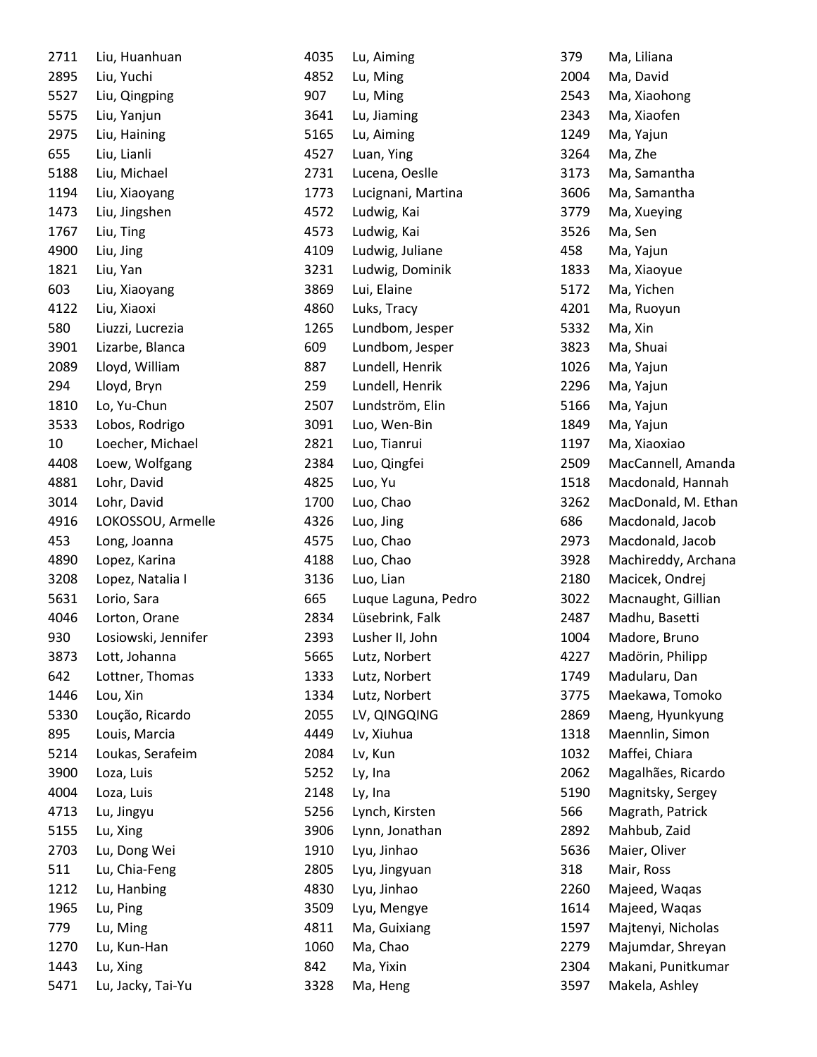| 2711 | Liu, Huanhuan       |
|------|---------------------|
| 2895 | Liu, Yuchi          |
| 5527 | Liu, Qingping       |
| 5575 | Liu, Yanjun         |
| 2975 | Liu, Haining        |
| 655  | Liu, Lianli         |
| 5188 | Liu, Michael        |
| 1194 | Liu, Xiaoyang       |
| 1473 | Liu, Jingshen       |
| 1767 | Liu, Ting           |
| 4900 | Liu, Jing           |
| 1821 | Liu, Yan            |
| 603  | Liu, Xiaoyang       |
| 4122 | Liu, Xiaoxi         |
| 580  | Liuzzi, Lucrezia    |
| 3901 | Lizarbe, Blanca     |
| 2089 | Lloyd, William      |
| 294  | Lloyd, Bryn         |
| 1810 | Lo, Yu-Chun         |
| 3533 | Lobos, Rodrigo      |
| 10   | Loecher, Michael    |
| 4408 | Loew, Wolfgang      |
| 4881 | Lohr, David         |
| 3014 | Lohr, David         |
| 4916 | LOKOSSOU, Armelle   |
| 453  | Long, Joanna        |
| 4890 | Lopez, Karina       |
| 3208 | Lopez, Natalia I    |
| 5631 | Lorio, Sara         |
| 4046 | Lorton, Orane       |
| 930  | Losiowski, Jennifer |
| 3873 | Lott, Johanna       |
| 642  | Lottner, Thomas     |
| 1446 | Lou, Xin            |
| 5330 | Loução, Ricardo     |
| 895  | Louis, Marcia       |
| 5214 | Loukas, Serafeim    |
| 3900 | Loza, Luis          |
| 4004 | Loza, Luis          |
| 4713 | Lu, Jingyu          |
| 5155 | Lu, Xing            |
| 2703 | Lu, Dong Wei        |
| 511  | Lu, Chia-Feng       |
| 1212 | Lu, Hanbing         |
| 1965 | Lu, Ping            |
| 779  | Lu, Ming            |
| 1270 | Lu, Kun-Han         |
| 1443 | Lu, Xing            |
| 5471 | Lu, Jacky, Tai-Yu   |

| 4035         | Lu, Aiming                         |
|--------------|------------------------------------|
| 4852         | Lu, Ming                           |
| 907          | Lu, Ming                           |
| 3641         | Lu, Jiaming                        |
| 5165         | Lu, Aiming                         |
| 4527         | Luan, Ying                         |
| 2731         | Lucena, Oeslle                     |
| 1773         | Lucignani, Martina                 |
| 4572         | Ludwig, Kai                        |
| 4573         | Ludwig, Kai                        |
| 4109         | Ludwig, Juliane                    |
| 3231         | Ludwig, Dominik                    |
| 3869         | Lui, Elaine                        |
| 4860         | Luks, Tracy                        |
| 1265         | Lundbom, Jesper                    |
| 609          | Lundbom, Jesper                    |
| 887          | Lundell, Henrik                    |
| 259          | Lundell, Henrik                    |
| 2507         | Lundström, Elin                    |
| 3091         | Luo, Wen-Bin                       |
| 2821         | Luo, Tianrui                       |
| 2384         | Luo, Qingfei                       |
| 4825         | Luo, Yu                            |
| 1700         | Luo, Chao                          |
| 4326         | Luo, Jing                          |
| 4575         | Luo, Chao                          |
| 4188         | Luo, Chao                          |
| 3136         | Luo, Lian                          |
| 665          | Luque Laguna, Pedro                |
| 2834<br>2393 | Lüsebrink, Falk<br>Lusher II. John |
| 5665         |                                    |
|              | Lutz, Norbert<br>Lutz, Norbert     |
| 1333<br>1334 | Lutz, Norbert                      |
| 2055         | LV, QINGQING                       |
| 4449         | Lv, Xiuhua                         |
| 2084         | Lv, Kun                            |
| 5252         | Ly, Ina                            |
| 2148         | Ly, Ina                            |
| 5256         | Lynch, Kirsten                     |
| 3906         | Lynn, Jonathan                     |
| 1910         | Lyu, Jinhao                        |
| 2805         | Lyu, Jingyuan                      |
| 4830         | Lyu, Jinhao                        |
| 3509         | Lyu, Mengye                        |
| 4811         | Ma, Guixiang                       |
| 1060         | Ma, Chao                           |
| 842          | Ma, Yixin                          |
| 3328         | Ma, Heng                           |
|              |                                    |

| 379  | Ma, Liliana         |
|------|---------------------|
| 2004 | Ma, David           |
| 2543 | Ma, Xiaohong        |
| 2343 | Ma, Xiaofen         |
| 1249 | Ma, Yajun           |
| 3264 | Ma, Zhe             |
| 3173 | Ma, Samantha        |
| 3606 | Ma, Samantha        |
| 3779 | Ma, Xueying         |
| 3526 | Ma, Sen             |
| 458  | Ma, Yajun           |
| 1833 | Ma, Xiaoyue         |
| 5172 | Ma, Yichen          |
| 4201 | Ma, Ruoyun          |
| 5332 | Ma, Xin             |
| 3823 | Ma, Shuai           |
| 1026 | Ma, Yajun           |
| 2296 | Ma, Yajun           |
| 5166 | Ma, Yajun           |
| 1849 | Ma, Yajun           |
| 1197 | Ma, Xiaoxiao        |
| 2509 | MacCannell, Amanda  |
| 1518 | Macdonald, Hannah   |
| 3262 | MacDonald, M. Ethan |
| 686  | Macdonald, Jacob    |
| 2973 | Macdonald, Jacob    |
| 3928 | Machireddy, Archana |
| 2180 | Macicek, Ondrej     |
| 3022 | Macnaught, Gillian  |
| 2487 | Madhu, Basetti      |
| 1004 | Madore, Bruno       |
| 4227 | Madörin, Philipp    |
| 1749 | Madularu, Dan       |
| 3775 | Maekawa, Tomoko     |
| 2869 | Maeng, Hyunkyung    |
| 1318 | Maennlin, Simon     |
| 1032 | Maffei, Chiara      |
| 2062 | Magalhães, Ricardo  |
| 5190 | Magnitsky, Sergey   |
| 566  | Magrath, Patrick    |
| 2892 | Mahbub, Zaid        |
| 5636 | Maier, Oliver       |
| 318  | Mair, Ross          |
| 2260 | Majeed, Waqas       |
| 1614 | Majeed, Waqas       |
| 1597 | Majtenyi, Nicholas  |
| 2279 | Majumdar, Shreyan   |
| 2304 | Makani, Punitkumar  |
| 3597 | Makela, Ashley      |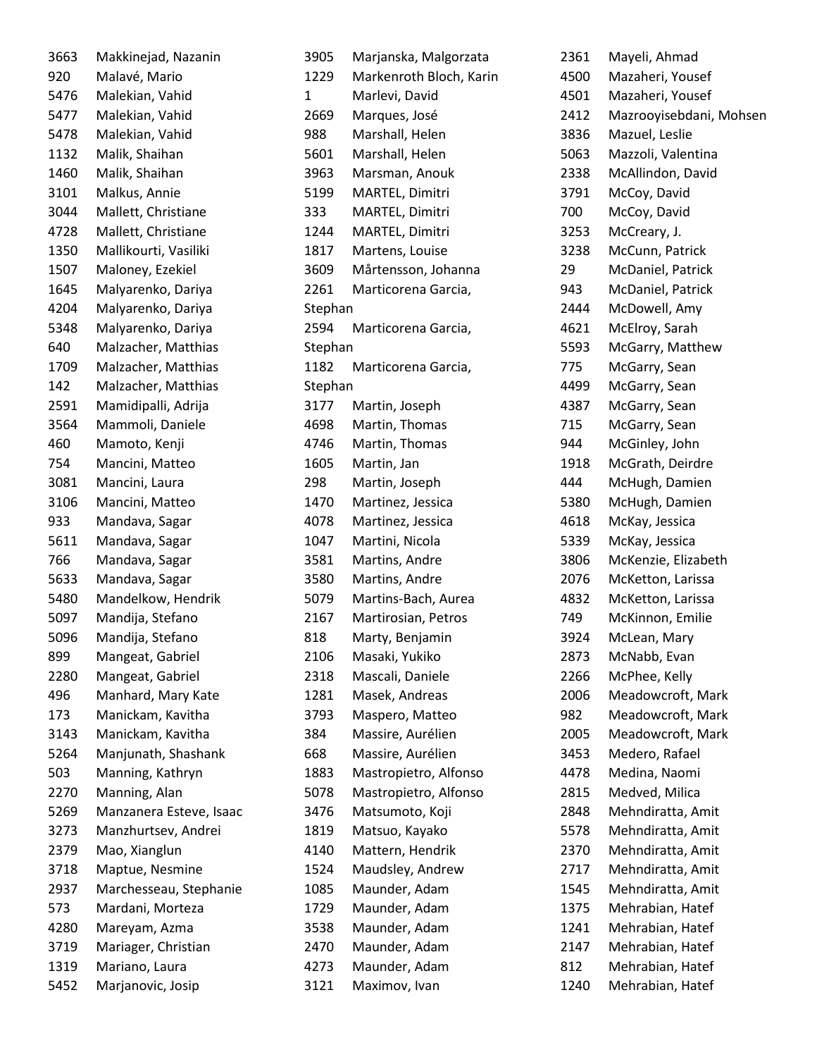| 3663 | Makkinejad, Nazanin     |
|------|-------------------------|
| 920  | Malavé, Mario           |
| 5476 | Malekian, Vahid         |
| 5477 | Malekian, Vahid         |
| 5478 | Malekian, Vahid         |
| 1132 | Malik, Shaihan          |
| 1460 | Malik, Shaihan          |
| 3101 | Malkus, Annie           |
| 3044 | Mallett, Christiane     |
| 4728 | Mallett, Christiane     |
| 1350 | Mallikourti, Vasiliki   |
| 1507 | Maloney, Ezekiel        |
| 1645 | Malyarenko, Dariya      |
| 4204 | Malyarenko, Dariya      |
| 5348 | Malyarenko, Dariya      |
| 640  | Malzacher, Matthias     |
| 1709 | Malzacher, Matthias     |
| 142  | Malzacher, Matthias     |
| 2591 | Mamidipalli, Adrija     |
| 3564 | Mammoli, Daniele        |
| 460  | Mamoto, Kenji           |
| 754  | Mancini, Matteo         |
| 3081 | Mancini, Laura          |
| 3106 | Mancini, Matteo         |
| 933  | Mandava, Sagar          |
| 5611 | Mandava, Sagar          |
| 766  | Mandava, Sagar          |
| 5633 | Mandava, Sagar          |
| 5480 | Mandelkow, Hendrik      |
| 5097 | Mandija, Stefano        |
| 5096 | Mandija, Stefano        |
| 899  | Mangeat, Gabriel        |
| 2280 | Mangeat, Gabriel        |
| 496  | Manhard, Mary Kate      |
| 173  | Manickam, Kavitha       |
| 3143 | Manickam, Kavitha       |
| 5264 | Manjunath, Shashank     |
| 503  | Manning, Kathryn        |
| 2270 | Manning, Alan           |
| 5269 | Manzanera Esteve, Isaac |
| 3273 | Manzhurtsev, Andrei     |
| 2379 | Mao, Xianglun           |
| 3718 | Maptue, Nesmine         |
| 2937 | Marchesseau, Stephanie  |
| 573  | Mardani, Morteza        |
| 4280 | Mareyam, Azma           |
| 3719 | Mariager, Christian     |
| 1319 | Mariano, Laura          |
| 5452 | Marjanovic, Josip       |

| 3905    | Marjanska, Malgorzata             |
|---------|-----------------------------------|
| 1229    | Markenroth Bloch, Karin           |
| 1       | Marlevi, David                    |
| 2669    | Marques, José                     |
| 988     | Marshall, Helen                   |
| 5601    | Marshall, Helen                   |
| 3963    | Marsman, Anouk                    |
| 5199    | MARTEL, Dimitri                   |
| 333     | MARTEL, Dimitri                   |
| 1244    | MARTEL, Dimitri                   |
| 1817    | Martens, Louise                   |
| 3609    | Mårtensson, Johanna               |
| 2261    | Marticorena Garcia,               |
| Stephan |                                   |
| 2594    | Marticorena Garcia,               |
| Stephan |                                   |
| 1182    | Marticorena Garcia,               |
| Stephan |                                   |
| 3177    | Martin, Joseph                    |
| 4698    | Martin, Thomas                    |
| 4746    | Martin, Thomas                    |
| 1605    | Martin, Jan                       |
| 298     | Martin, Joseph                    |
| 1470    | Martinez, Jessica                 |
| 4078    | Martinez, Jessica                 |
| 1047    | Martini, Nicola                   |
| 3581    | Martins, Andre                    |
| 3580    | Martins, Andre                    |
| 5079    | Martins-Bach, Aurea               |
| 2167    | Martirosian, Petros               |
| 818     |                                   |
| 2106    | Marty, Benjamin<br>Masaki, Yukiko |
|         |                                   |
| 2318    | Mascali, Daniele                  |
| 1281    | Masek, Andreas                    |
| 3793    | Maspero, Matteo                   |
| 384     | Massire, Aurélien                 |
| 668     | Massire, Aurélien                 |
| 1883    | Mastropietro, Alfonso             |
| 5078    | Mastropietro, Alfonso             |
| 3476    | Matsumoto, Koji                   |
| 1819    | Matsuo, Kayako                    |
| 4140    | Mattern, Hendrik                  |
| 1524    | Maudsley, Andrew                  |
| 1085    | Maunder, Adam                     |
| 1729    | Maunder, Adam                     |
| 3538    | Maunder, Adam                     |
| 2470    | Maunder, Adam                     |
| 4273    | Maunder, Adam                     |
| 3121    | Maximov, Ivan                     |

| 2361 | Mayeli, Ahmad           |
|------|-------------------------|
| 4500 | Mazaheri, Yousef        |
| 4501 | Mazaheri, Yousef        |
| 2412 | Mazrooyisebdani, Mohsen |
| 3836 | Mazuel, Leslie          |
| 5063 | Mazzoli, Valentina      |
| 2338 | McAllindon, David       |
| 3791 | McCoy, David            |
| 700  | McCoy, David            |
| 3253 | McCreary, J.            |
| 3238 | McCunn, Patrick         |
| 29   | McDaniel, Patrick       |
| 943  | McDaniel, Patrick       |
| 2444 | McDowell, Amy           |
| 4621 | McElroy, Sarah          |
| 5593 | McGarry, Matthew        |
| 775  | McGarry, Sean           |
| 4499 | McGarry, Sean           |
| 4387 | McGarry, Sean           |
| 715  | McGarry, Sean           |
| 944  | McGinley, John          |
| 1918 | McGrath, Deirdre        |
| 444  | McHugh, Damien          |
| 5380 | McHugh, Damien          |
| 4618 | McKay, Jessica          |
| 5339 | McKay, Jessica          |
| 3806 | McKenzie, Elizabeth     |
| 2076 | McKetton, Larissa       |
| 4832 | McKetton, Larissa       |
| 749  | McKinnon, Emilie        |
| 3924 | McLean, Mary            |
| 2873 | McNabb, Evan            |
| 2266 | McPhee, Kelly           |
| 2006 | Meadowcroft, Mark       |
| 982  | Meadowcroft, Mark       |
| 2005 | Meadowcroft, Mark       |
| 3453 | Medero, Rafael          |
| 4478 | Medina, Naomi           |
| 2815 | Medved, Milica          |
| 2848 | Mehndiratta, Amit       |
| 5578 | Mehndiratta, Amit       |
| 2370 | Mehndiratta, Amit       |
| 2717 | Mehndiratta, Amit       |
| 1545 | Mehndiratta, Amit       |
| 1375 | Mehrabian, Hatef        |
| 1241 | Mehrabian, Hatef        |
| 2147 | Mehrabian, Hatef        |
| 812  | Mehrabian, Hatef        |
| 1240 | Mehrabian, Hatef        |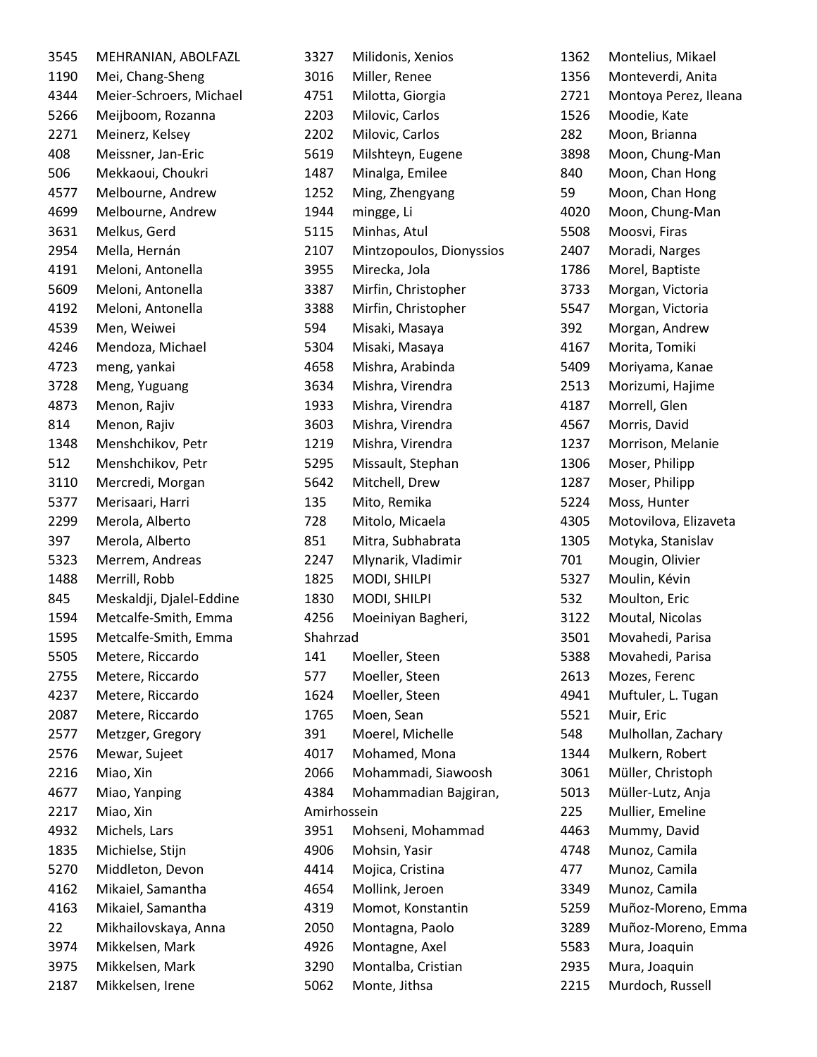| 3545 | MEHRANIAN, ABOLFAZL      | 3327        | Milidonis, Xenios        | 1362 | Montelius, Mikael     |
|------|--------------------------|-------------|--------------------------|------|-----------------------|
| 1190 | Mei, Chang-Sheng         | 3016        | Miller, Renee            | 1356 | Monteverdi, Anita     |
| 4344 | Meier-Schroers, Michael  | 4751        | Milotta, Giorgia         | 2721 | Montoya Perez, Ileana |
| 5266 | Meijboom, Rozanna        | 2203        | Milovic, Carlos          | 1526 | Moodie, Kate          |
| 2271 | Meinerz, Kelsey          | 2202        | Milovic, Carlos          | 282  | Moon, Brianna         |
| 408  | Meissner, Jan-Eric       | 5619        | Milshteyn, Eugene        | 3898 | Moon, Chung-Man       |
| 506  | Mekkaoui, Choukri        | 1487        | Minalga, Emilee          | 840  | Moon, Chan Hong       |
| 4577 | Melbourne, Andrew        | 1252        | Ming, Zhengyang          | 59   | Moon, Chan Hong       |
| 4699 | Melbourne, Andrew        | 1944        | mingge, Li               | 4020 | Moon, Chung-Man       |
| 3631 | Melkus, Gerd             | 5115        | Minhas, Atul             | 5508 | Moosvi, Firas         |
| 2954 | Mella, Hernán            | 2107        | Mintzopoulos, Dionyssios | 2407 | Moradi, Narges        |
| 4191 | Meloni, Antonella        | 3955        | Mirecka, Jola            | 1786 | Morel, Baptiste       |
| 5609 | Meloni, Antonella        | 3387        | Mirfin, Christopher      | 3733 | Morgan, Victoria      |
| 4192 | Meloni, Antonella        | 3388        | Mirfin, Christopher      | 5547 | Morgan, Victoria      |
| 4539 | Men, Weiwei              | 594         | Misaki, Masaya           | 392  | Morgan, Andrew        |
| 4246 | Mendoza, Michael         | 5304        | Misaki, Masaya           | 4167 | Morita, Tomiki        |
| 4723 | meng, yankai             | 4658        | Mishra, Arabinda         | 5409 | Moriyama, Kanae       |
| 3728 | Meng, Yuguang            | 3634        | Mishra, Virendra         | 2513 | Morizumi, Hajime      |
| 4873 | Menon, Rajiv             | 1933        | Mishra, Virendra         | 4187 | Morrell, Glen         |
| 814  | Menon, Rajiv             | 3603        | Mishra, Virendra         | 4567 | Morris, David         |
| 1348 | Menshchikov, Petr        | 1219        | Mishra, Virendra         | 1237 | Morrison, Melanie     |
| 512  | Menshchikov, Petr        | 5295        | Missault, Stephan        | 1306 | Moser, Philipp        |
| 3110 | Mercredi, Morgan         | 5642        | Mitchell, Drew           | 1287 | Moser, Philipp        |
| 5377 | Merisaari, Harri         | 135         | Mito, Remika             | 5224 | Moss, Hunter          |
| 2299 | Merola, Alberto          | 728         | Mitolo, Micaela          | 4305 | Motovilova, Elizaveta |
| 397  | Merola, Alberto          | 851         | Mitra, Subhabrata        | 1305 | Motyka, Stanislav     |
| 5323 | Merrem, Andreas          | 2247        | Mlynarik, Vladimir       | 701  | Mougin, Olivier       |
| 1488 | Merrill, Robb            | 1825        | MODI, SHILPI             | 5327 | Moulin, Kévin         |
| 845  | Meskaldji, Djalel-Eddine | 1830        | MODI, SHILPI             | 532  | Moulton, Eric         |
| 1594 | Metcalfe-Smith, Emma     | 4256        | Moeiniyan Bagheri,       | 3122 | Moutal, Nicolas       |
| 1595 | Metcalfe-Smith, Emma     | Shahrzad    |                          | 3501 | Movahedi, Parisa      |
| 5505 | Metere, Riccardo         | 141         | Moeller, Steen           | 5388 | Movahedi, Parisa      |
| 2755 | Metere, Riccardo         | 577         | Moeller, Steen           | 2613 | Mozes, Ferenc         |
| 4237 | Metere, Riccardo         | 1624        | Moeller, Steen           | 4941 | Muftuler, L. Tugan    |
| 2087 | Metere, Riccardo         | 1765        | Moen, Sean               | 5521 | Muir, Eric            |
| 2577 | Metzger, Gregory         | 391         | Moerel, Michelle         | 548  | Mulhollan, Zachary    |
| 2576 | Mewar, Sujeet            | 4017        | Mohamed, Mona            | 1344 | Mulkern, Robert       |
| 2216 | Miao, Xin                | 2066        | Mohammadi, Siawoosh      | 3061 | Müller, Christoph     |
| 4677 | Miao, Yanping            | 4384        | Mohammadian Bajgiran,    | 5013 | Müller-Lutz, Anja     |
| 2217 | Miao, Xin                | Amirhossein |                          | 225  | Mullier, Emeline      |
| 4932 | Michels, Lars            | 3951        | Mohseni, Mohammad        | 4463 | Mummy, David          |
| 1835 | Michielse, Stijn         | 4906        | Mohsin, Yasir            | 4748 | Munoz, Camila         |
| 5270 | Middleton, Devon         | 4414        | Mojica, Cristina         | 477  | Munoz, Camila         |
| 4162 | Mikaiel, Samantha        | 4654        | Mollink, Jeroen          | 3349 | Munoz, Camila         |
| 4163 | Mikaiel, Samantha        | 4319        | Momot, Konstantin        | 5259 | Muñoz-Moreno, Emma    |
| 22   | Mikhailovskaya, Anna     | 2050        | Montagna, Paolo          | 3289 | Muñoz-Moreno, Emma    |
| 3974 | Mikkelsen, Mark          | 4926        | Montagne, Axel           | 5583 | Mura, Joaquin         |
| 3975 | Mikkelsen, Mark          | 3290        | Montalba, Cristian       | 2935 | Mura, Joaquin         |
| 2187 | Mikkelsen, Irene         | 5062        | Monte, Jithsa            | 2215 | Murdoch, Russell      |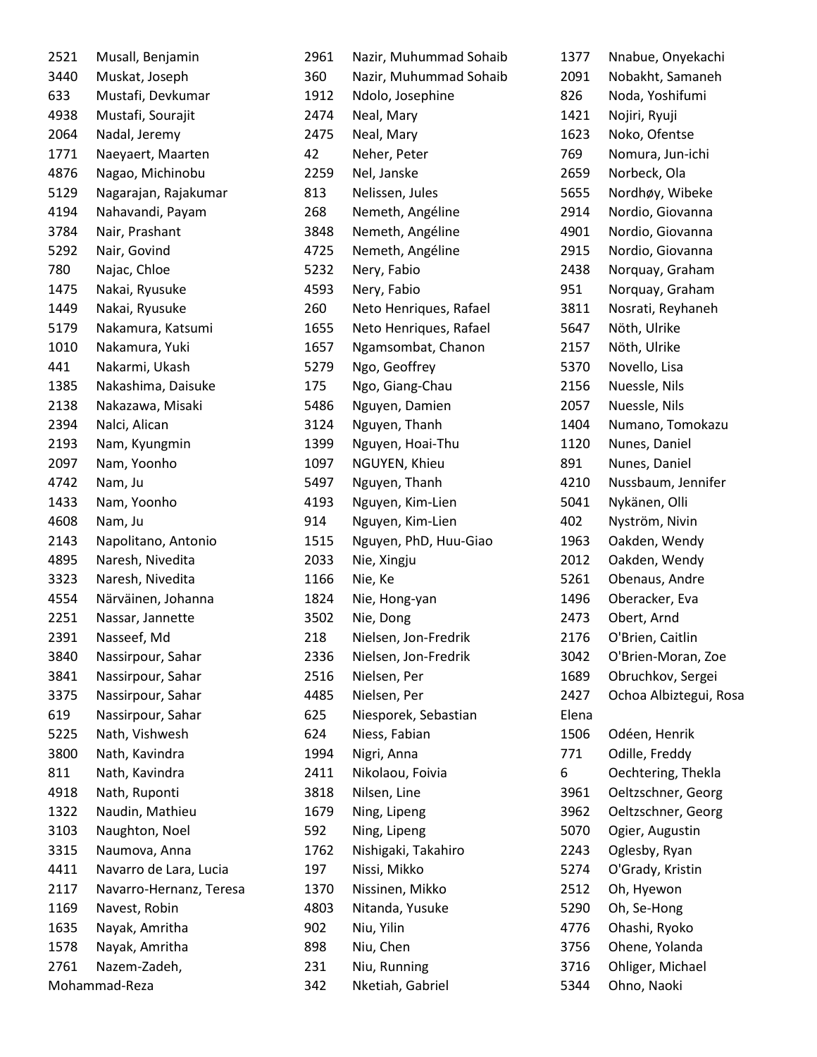| 2521 | Musall, Benjamin        |
|------|-------------------------|
| 3440 | Muskat, Joseph          |
| 633  | Mustafi, Devkumar       |
| 4938 | Mustafi, Sourajit       |
| 2064 | Nadal, Jeremy           |
| 1771 | Naeyaert, Maarten       |
| 4876 | Nagao, Michinobu        |
| 5129 | Nagarajan, Rajakumar    |
| 4194 | Nahavandi, Payam        |
| 3784 | Nair, Prashant          |
| 5292 | Nair, Govind            |
| 780  | Najac, Chloe            |
| 1475 | Nakai, Ryusuke          |
| 1449 | Nakai, Ryusuke          |
| 5179 | Nakamura, Katsumi       |
| 1010 | Nakamura, Yuki          |
| 441  | Nakarmi, Ukash          |
| 1385 | Nakashima, Daisuke      |
| 2138 | Nakazawa, Misaki        |
| 2394 | Nalci, Alican           |
| 2193 | Nam, Kyungmin           |
| 2097 | Nam, Yoonho             |
| 4742 | Nam, Ju                 |
| 1433 | Nam, Yoonho             |
| 4608 | Nam, Ju                 |
| 2143 | Napolitano, Antonio     |
| 4895 | Naresh, Nivedita        |
| 3323 | Naresh, Nivedita        |
| 4554 | Närväinen, Johanna      |
| 2251 | Nassar, Jannette        |
| 2391 | Nasseef, Md             |
| 3840 | Nassirpour, Sahar       |
| 3841 | Nassirpour, Sahar       |
| 3375 | Nassirpour, Sahar       |
| 619  | Nassirpour, Sahar       |
| 5225 | Nath, Vishwesh          |
| 3800 | Nath, Kavindra          |
| 811  | Nath, Kavindra          |
| 4918 | Nath, Ruponti           |
| 1322 | Naudin, Mathieu         |
| 3103 | Naughton, Noel          |
| 3315 | Naumova, Anna           |
| 4411 | Navarro de Lara, Lucia  |
| 2117 | Navarro-Hernanz, Teresa |
| 1169 | Navest, Robin           |
| 1635 | Nayak, Amritha          |
| 1578 | Nayak, Amritha          |
| 2761 | Nazem-Zadeh,            |
|      | Mohammad-Reza           |

| 2961 | Nazir, Muhummad Sohaib |
|------|------------------------|
| 360  | Nazir, Muhummad Sohaib |
| 1912 | Ndolo, Josephine       |
| 2474 | Neal, Mary             |
| 2475 | Neal, Mary             |
| 42   | Neher, Peter           |
| 2259 | Nel, Janske            |
| 813  | Nelissen, Jules        |
| 268  | Nemeth, Angéline       |
| 3848 | Nemeth, Angéline       |
| 4725 | Nemeth, Angéline       |
| 5232 | Nery, Fabio            |
| 4593 | Nery, Fabio            |
| 260  | Neto Henriques, Rafael |
| 1655 | Neto Henriques, Rafael |
| 1657 | Ngamsombat, Chanon     |
| 5279 | Ngo, Geoffrey          |
| 175  | Ngo, Giang-Chau        |
| 5486 | Nguyen, Damien         |
| 3124 | Nguyen, Thanh          |
| 1399 | Nguyen, Hoai-Thu       |
| 1097 | NGUYEN, Khieu          |
| 5497 | Nguyen, Thanh          |
| 4193 | Nguyen, Kim-Lien       |
| 914  | Nguyen, Kim-Lien       |
| 1515 | Nguyen, PhD, Huu-Giao  |
| 2033 | Nie, Xingju            |
| 1166 | Nie, Ke                |
| 1824 | Nie, Hong-yan          |
| 3502 | Nie, Dong              |
| 218  | Nielsen, Jon-Fredrik   |
| 2336 | Nielsen, Jon-Fredrik   |
| 2516 | Nielsen, Per           |
| 4485 | Nielsen, Per           |
| 625  | Niesporek, Sebastian   |
| 624  | Niess, Fabian          |
| 1994 | Nigri, Anna            |
| 2411 | Nikolaou, Foivia       |
| 3818 | Nilsen, Line           |
| 1679 | Ning, Lipeng           |
| 592  | Ning, Lipeng           |
| 1762 | Nishigaki, Takahiro    |
| 197  | Nissi, Mikko           |
| 1370 | Nissinen, Mikko        |
| 4803 | Nitanda, Yusuke        |
| 902  | Niu, Yilin             |
| 898  | Niu, Chen              |
| 231  | Niu, Running           |
| 342  | Nketiah, Gabriel       |

| 1377  | Nnabue, Onyekachi      |
|-------|------------------------|
| 2091  | Nobakht, Samaneh       |
| 826   | Noda, Yoshifumi        |
| 1421  | Nojiri, Ryuji          |
| 1623  | Noko, Ofentse          |
| 769   | Nomura, Jun-ichi       |
| 2659  | Norbeck, Ola           |
| 5655  | Nordhøy, Wibeke        |
| 2914  | Nordio, Giovanna       |
| 4901  | Nordio, Giovanna       |
| 2915  | Nordio, Giovanna       |
| 2438  | Norquay, Graham        |
| 951   | Norquay, Graham        |
| 3811  | Nosrati, Reyhaneh      |
| 5647  | Nöth, Ulrike           |
| 2157  | Nöth, Ulrike           |
| 5370  | Novello, Lisa          |
| 2156  | Nuessle, Nils          |
| 2057  | Nuessle, Nils          |
| 1404  | Numano, Tomokazu       |
| 1120  | Nunes, Daniel          |
| 891   | Nunes, Daniel          |
| 4210  | Nussbaum, Jennifer     |
| 5041  | Nykänen, Olli          |
| 402   | Nyström, Nivin         |
| 1963  | Oakden, Wendy          |
| 2012  | Oakden, Wendy          |
| 5261  | Obenaus, Andre         |
| 1496  | Oberacker, Eva         |
| 2473  | Obert, Arnd            |
| 2176  | O'Brien, Caitlin       |
| 3042  | O'Brien-Moran, Zoe     |
| 1689  | Obruchkov, Sergei      |
| 2427  | Ochoa Albiztegui, Rosa |
| Elena |                        |
| 1506  | Odéen, Henrik          |
| 771   | Odille, Freddy         |
| 6     | Oechtering, Thekla     |
| 3961  | Oeltzschner, Georg     |
| 3962  | Oeltzschner, Georg     |
| 5070  | Ogier, Augustin        |
| 2243  | Oglesby, Ryan          |
| 5274  | O'Grady, Kristin       |
| 2512  | Oh, Hyewon             |
| 5290  | Oh, Se-Hong            |
| 4776  | Ohashi, Ryoko          |
| 3756  | Ohene, Yolanda         |
| 3716  | Ohliger, Michael       |
| 5344  | Ohno, Naoki            |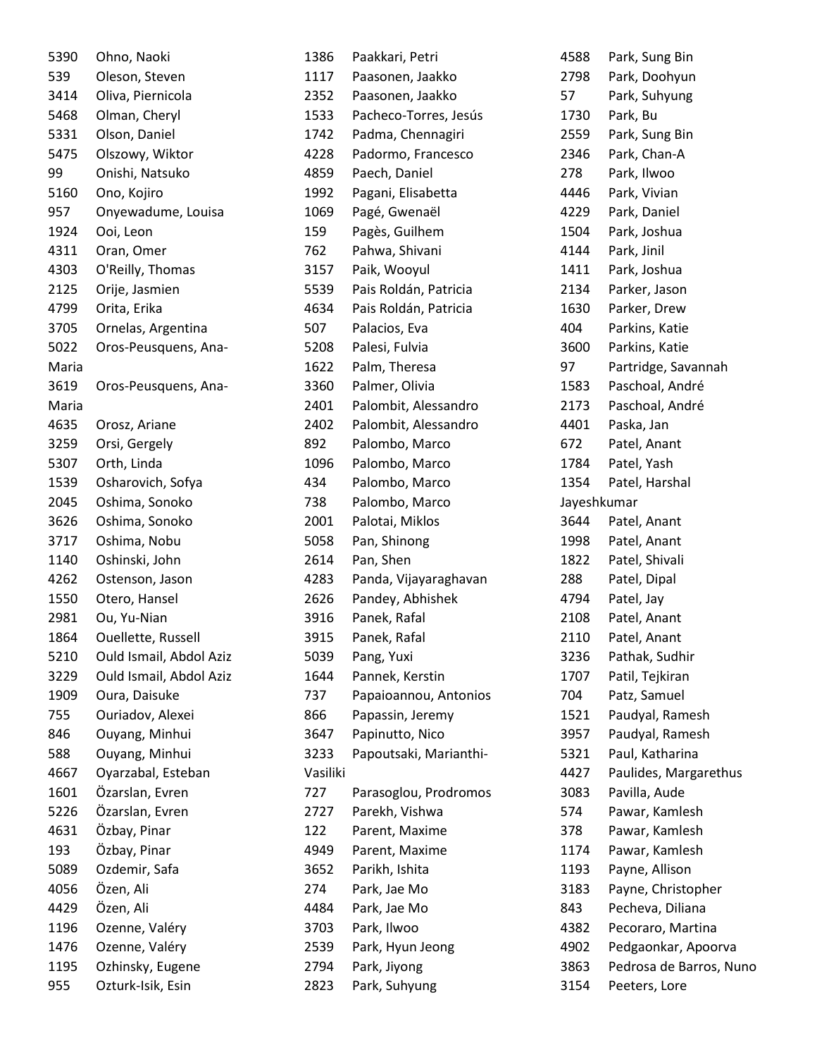| 5390       | Ohno, Naoki             |
|------------|-------------------------|
| 539        | Oleson, Steven          |
| 3414       | Oliva, Piernicola       |
| 5468       | Olman, Cheryl           |
| 5331       | Olson, Daniel           |
| 5475       | Olszowy, Wiktor         |
| 99         | Onishi, Natsuko         |
| 5160       | Ono, Kojiro             |
| 957        | Onyewadume, Louisa      |
| 1924       | Ooi, Leon               |
| 4311       | Oran, Omer              |
| 4303       | O'Reilly, Thomas        |
| 2125       | Orije, Jasmien          |
| 4799       | Orita, Erika            |
| 3705       | Ornelas, Argentina      |
| 5022       | Oros-Peusquens, Ana-    |
| Maria      |                         |
| 3619       | Oros-Peusquens, Ana-    |
| Maria      |                         |
| 4635       | Orosz, Ariane           |
| 3259       | Orsi, Gergely           |
| 5307       | Orth, Linda             |
| 1539       | Osharovich, Sofya       |
| 2045       | Oshima, Sonoko          |
| 3626       | Oshima, Sonoko          |
| 3717       | Oshima, Nobu            |
| 1140       | Oshinski, John          |
| 4262       | Ostenson, Jason         |
| 1550       | Otero, Hansel           |
| 2981       | Ou, Yu-Nian             |
| 1864       | Ouellette, Russell      |
| 5210       | Ould Ismail, Abdol Aziz |
| 3229       | Ould Ismail, Abdol Aziz |
|            |                         |
| 1909       | Oura, Daisuke           |
| 755<br>846 | Ouriadov, Alexei        |
|            | Ouyang, Minhui          |
| 588        | Ouyang, Minhui          |
| 4667       | Oyarzabal, Esteban      |
| 1601       | Özarslan, Evren         |
| 5226       | Özarslan, Evren         |
| 4631       | Özbay, Pinar            |
| 193        | Özbay, Pinar            |
| 5089       | Ozdemir, Safa           |
| 4056       | Özen, Ali               |
| 4429       | Özen, Ali               |
| 1196       | Ozenne, Valéry          |
| 1476       | Ozenne, Valéry          |
| 1195       | Ozhinsky, Eugene        |
| 955        | Ozturk-Isik, Esin       |

| 1386     | Paakkari, Petri        |
|----------|------------------------|
| 1117     | Paasonen, Jaakko       |
| 2352     | Paasonen, Jaakko       |
| 1533     | Pacheco-Torres, Jesús  |
| 1742     | Padma, Chennagiri      |
| 4228     | Padormo, Francesco     |
| 4859     | Paech, Daniel          |
| 1992     | Pagani, Elisabetta     |
| 1069     | Pagé, Gwenaël          |
| 159      | Pagès, Guilhem         |
| 762      | Pahwa, Shivani         |
| 3157     | Paik, Wooyul           |
| 5539     | Pais Roldán, Patricia  |
| 4634     | Pais Roldán, Patricia  |
| 507      | Palacios, Eva          |
| 5208     | Palesi, Fulvia         |
| 1622     | Palm, Theresa          |
| 3360     | Palmer, Olivia         |
| 2401     | Palombit, Alessandro   |
| 2402     | Palombit, Alessandro   |
| 892      | Palombo, Marco         |
| 1096     | Palombo, Marco         |
| 434      | Palombo, Marco         |
| 738      | Palombo, Marco         |
| 2001     | Palotai, Miklos        |
| 5058     | Pan, Shinong           |
| 2614     | Pan, Shen              |
| 4283     | Panda, Vijayaraghavan  |
| 2626     | Pandey, Abhishek       |
| 3916     | Panek, Rafal           |
| 3915     | Panek, Rafal           |
| 5039     | Pang, Yuxi             |
| 1644     | Pannek, Kerstin        |
| 737      | Papaioannou, Antonios  |
| 866      | Papassin, Jeremy       |
| 3647     | Papinutto, Nico        |
| 3233     | Papoutsaki, Marianthi- |
| Vasiliki |                        |
| 727      | Parasoglou, Prodromos  |
| 2727     | Parekh, Vishwa         |
| 122      | Parent, Maxime         |
| 4949     | Parent, Maxime         |
| 3652     | Parikh, Ishita         |
| 274      | Park, Jae Mo           |
| 4484     | Park, Jae Mo           |
| 3703     | Park, Ilwoo            |
| 2539     | Park, Hyun Jeong       |
| 2794     | Park, Jiyong           |
| 2823     | Park, Suhyung          |

| 4588        | Park, Sung Bin          |
|-------------|-------------------------|
| 2798        | Park, Doohyun           |
| 57          | Park, Suhyung           |
| 1730        | Park, Bu                |
| 2559        | Park, Sung Bin          |
| 2346        | Park, Chan-A            |
| 278         | Park, Ilwoo             |
| 4446        | Park, Vivian            |
| 4229        | Park, Daniel            |
| 1504        | Park, Joshua            |
| 4144        | Park, Jinil             |
| 1411        | Park, Joshua            |
| 2134        | Parker, Jason           |
| 1630        | Parker, Drew            |
| 404         | Parkins, Katie          |
| 3600        | Parkins, Katie          |
| 97          | Partridge, Savannah     |
| 1583        | Paschoal, André         |
| 2173        | Paschoal, André         |
| 4401        | Paska, Jan              |
| 672         | Patel, Anant            |
| 1784        | Patel, Yash             |
| 1354        | Patel, Harshal          |
| Jayeshkumar |                         |
| 3644        | Patel, Anant            |
| 1998        | Patel, Anant            |
| 1822        | Patel, Shivali          |
| 288         | Patel, Dipal            |
| 4794        | Patel, Jay              |
| 2108        | Patel, Anant            |
| 2110        | Patel, Anant            |
| 3236        | Pathak, Sudhir          |
| 1707        | Patil, Tejkiran         |
| 704         | Patz, Samuel            |
| 1521        | Paudyal, Ramesh         |
| 3957        | Paudyal, Ramesh         |
| 5321        | Paul, Katharina         |
| 4427        | Paulides, Margarethus   |
| 3083        | Pavilla, Aude           |
| 574         | Pawar, Kamlesh          |
| 378         | Pawar, Kamlesh          |
| 1174        | Pawar, Kamlesh          |
| 1193        | Payne, Allison          |
| 3183        | Payne, Christopher      |
| 843         | Pecheva, Diliana        |
| 4382        | Pecoraro, Martina       |
| 4902        | Pedgaonkar, Apoorva     |
| 3863        | Pedrosa de Barros, Nuno |
| 3154        | Peeters, Lore           |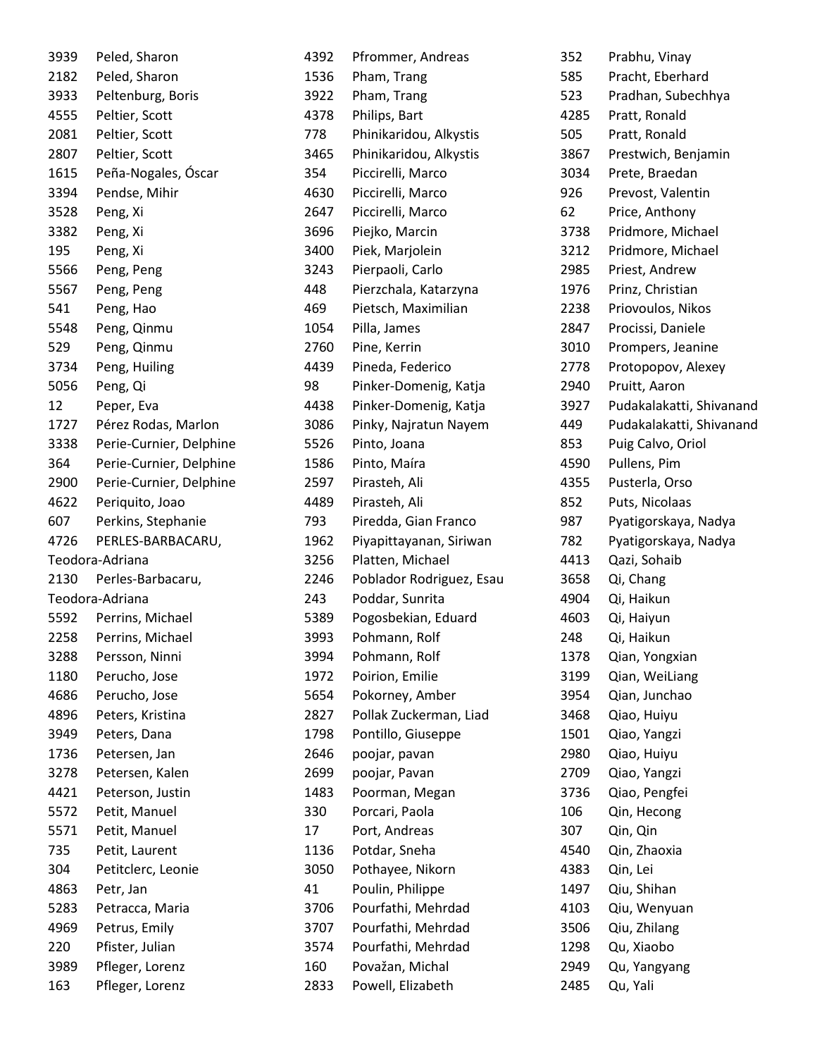| 3939 | Peled, Sharon           |
|------|-------------------------|
| 2182 | Peled, Sharon           |
| 3933 | Peltenburg, Boris       |
| 4555 | Peltier, Scott          |
| 2081 | Peltier, Scott          |
| 2807 | Peltier, Scott          |
| 1615 | Peña-Nogales, Óscar     |
| 3394 | Pendse, Mihir           |
| 3528 | Peng, Xi                |
| 3382 | Peng, Xi                |
| 195  | Peng, Xi                |
| 5566 | Peng, Peng              |
| 5567 | Peng, Peng              |
| 541  | Peng, Hao               |
| 5548 | Peng, Qinmu             |
| 529  | Peng, Qinmu             |
| 3734 | Peng, Huiling           |
| 5056 | Peng, Qi                |
| 12   | Peper, Eva              |
| 1727 | Pérez Rodas, Marlon     |
| 3338 | Perie-Curnier, Delphine |
| 364  | Perie-Curnier, Delphine |
| 2900 | Perie-Curnier, Delphine |
| 4622 | Periquito, Joao         |
| 607  | Perkins, Stephanie      |
| 4726 | PERLES-BARBACARU,       |
|      | Teodora-Adriana         |
| 2130 | Perles-Barbacaru,       |
|      | Teodora-Adriana         |
|      | 5592 Perrins, Michael   |
| 2258 | Perrins, Michael        |
| 3288 | Persson, Ninni          |
| 1180 | Perucho, Jose           |
| 4686 | Perucho, Jose           |
| 4896 | Peters, Kristina        |
| 3949 | Peters, Dana            |
| 1736 | Petersen, Jan           |
| 3278 | Petersen, Kalen         |
| 4421 | Peterson, Justin        |
| 5572 | Petit, Manuel           |
| 5571 | Petit, Manuel           |
| 735  | Petit, Laurent          |
| 304  | Petitclerc, Leonie      |
| 4863 | Petr, Jan               |
| 5283 | Petracca, Maria         |
| 4969 | Petrus, Emily           |
| 220  | Pfister, Julian         |
| 3989 | Pfleger, Lorenz         |
| 163  | Pfleger, Lorenz         |
|      |                         |

| 4392 | Pfrommer, Andreas        |
|------|--------------------------|
| 1536 | Pham, Trang              |
| 3922 | Pham, Trang              |
| 4378 | Philips, Bart            |
| 778  | Phinikaridou, Alkystis   |
| 3465 | Phinikaridou, Alkystis   |
| 354  | Piccirelli, Marco        |
| 4630 | Piccirelli, Marco        |
| 2647 | Piccirelli, Marco        |
| 3696 | Piejko, Marcin           |
| 3400 | Piek, Marjolein          |
| 3243 | Pierpaoli, Carlo         |
| 448  | Pierzchala, Katarzyna    |
| 469  | Pietsch, Maximilian      |
| 1054 | Pilla, James             |
| 2760 | Pine, Kerrin             |
| 4439 | Pineda, Federico         |
| 98   | Pinker-Domenig, Katja    |
| 4438 | Pinker-Domenig, Katja    |
| 3086 | Pinky, Najratun Nayem    |
| 5526 | Pinto, Joana             |
| 1586 | Pinto, Maíra             |
| 2597 | Pirasteh, Ali            |
| 4489 | Pirasteh, Ali            |
| 793  | Piredda, Gian Franco     |
| 1962 | Piyapittayanan, Siriwan  |
| 3256 | Platten, Michael         |
| 2246 | Poblador Rodriguez, Esau |
| 243  | Poddar, Sunrita          |
| 5389 | Pogosbekian, Eduard      |
| 3993 | Pohmann, Rolf            |
| 3994 | Pohmann, Rolf            |
| 1972 | Poirion, Emilie          |
| 5654 | Pokorney, Amber          |
| 2827 | Pollak Zuckerman, Liad   |
| 1798 | Pontillo, Giuseppe       |
| 2646 | poojar, pavan            |
| 2699 | poojar, Pavan            |
| 1483 | Poorman, Megan           |
| 330  | Porcari, Paola           |
| 17   | Port, Andreas            |
| 1136 | Potdar, Sneha            |
| 3050 | Pothayee, Nikorn         |
| 41   | Poulin, Philippe         |
| 3706 | Pourfathi, Mehrdad       |
| 3707 | Pourfathi, Mehrdad       |
| 3574 | Pourfathi, Mehrdad       |
| 160  | Považan, Michal          |
| 2833 | Powell, Elizabeth        |

| 352  | Prabhu, Vinay            |
|------|--------------------------|
| 585  | Pracht, Eberhard         |
| 523  | Pradhan, Subechhya       |
| 4285 | Pratt, Ronald            |
| 505  | Pratt, Ronald            |
| 3867 | Prestwich, Benjamin      |
| 3034 | Prete, Braedan           |
| 926  | Prevost, Valentin        |
| 62   | Price, Anthony           |
| 3738 | Pridmore, Michael        |
| 3212 | Pridmore, Michael        |
| 2985 | Priest, Andrew           |
| 1976 | Prinz, Christian         |
| 2238 | Priovoulos, Nikos        |
| 2847 | Procissi, Daniele        |
| 3010 | Prompers, Jeanine        |
| 2778 | Protopopov, Alexey       |
| 2940 | Pruitt, Aaron            |
| 3927 | Pudakalakatti, Shivanand |
| 449  | Pudakalakatti, Shivanand |
| 853  | Puig Calvo, Oriol        |
| 4590 | Pullens, Pim             |
| 4355 | Pusterla, Orso           |
| 852  | Puts, Nicolaas           |
| 987  | Pyatigorskaya, Nadya     |
| 782  | Pyatigorskaya, Nadya     |
| 4413 | Qazi, Sohaib             |
| 3658 | Qi, Chang                |
| 4904 | Qi, Haikun               |
| 4603 | Qi, Haiyun               |
| 248  | Qi, Haikun               |
| 1378 | Qian, Yongxian           |
| 3199 | Qian, WeiLiang           |
| 3954 | Qian, Junchao            |
| 3468 | Qiao, Huiyu              |
| 1501 | Qiao, Yangzi             |
| 2980 | Qiao, Huiyu              |
| 2709 | Qiao, Yangzi             |
| 3736 | Qiao, Pengfei            |
| 106  | Qin, Hecong              |
| 307  | Qin, Qin                 |
| 4540 | Qin, Zhaoxia             |
| 4383 | Qin, Lei                 |
| 1497 | Qiu, Shihan              |
| 4103 | Qiu, Wenyuan             |
| 3506 | Qiu, Zhilang             |
| 1298 | Qu, Xiaobo               |
| 2949 | Qu, Yangyang             |
| 2485 | Qu, Yali                 |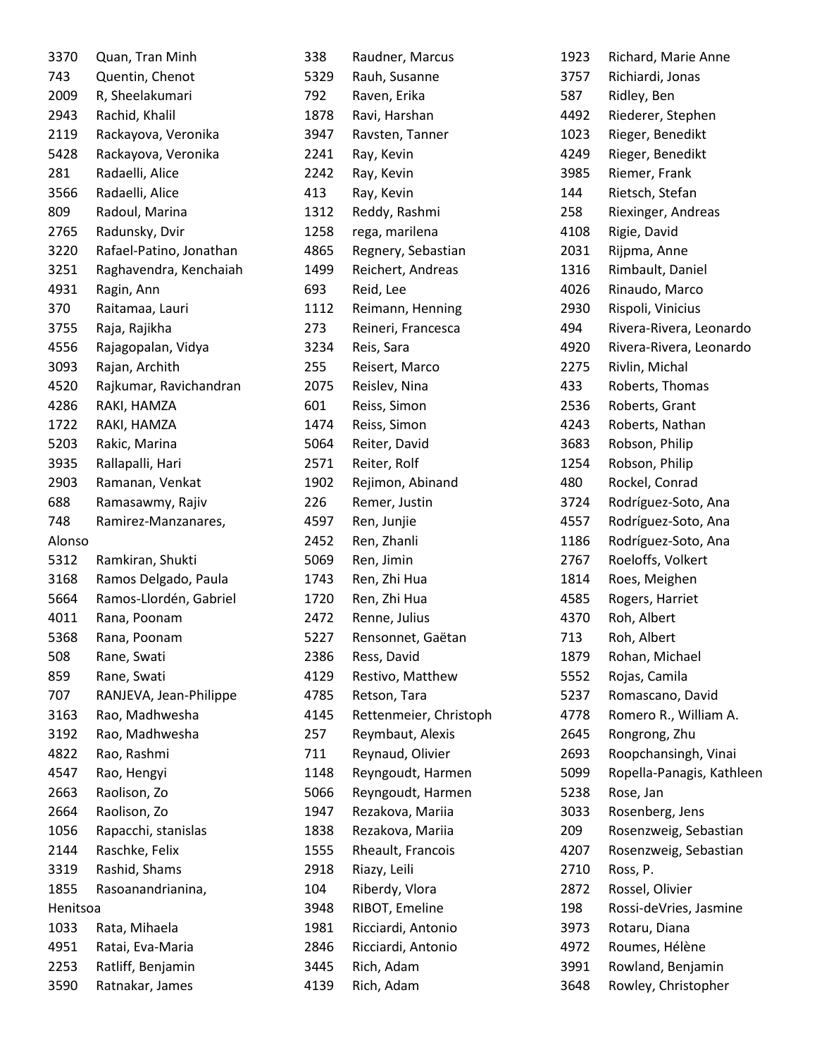| 3370     | Quan, Tran Minh         | 338  | Raudner, Marcus        | 1923 | Richard, Marie Anne       |
|----------|-------------------------|------|------------------------|------|---------------------------|
| 743      | Quentin, Chenot         | 5329 | Rauh, Susanne          | 3757 | Richiardi, Jonas          |
| 2009     | R, Sheelakumari         | 792  | Raven, Erika           | 587  | Ridley, Ben               |
| 2943     | Rachid, Khalil          | 1878 | Ravi, Harshan          | 4492 | Riederer, Stephen         |
| 2119     | Rackayova, Veronika     | 3947 | Ravsten, Tanner        | 1023 | Rieger, Benedikt          |
| 5428     | Rackayova, Veronika     | 2241 | Ray, Kevin             | 4249 | Rieger, Benedikt          |
| 281      | Radaelli, Alice         | 2242 | Ray, Kevin             | 3985 | Riemer, Frank             |
| 3566     | Radaelli, Alice         | 413  | Ray, Kevin             | 144  | Rietsch, Stefan           |
| 809      | Radoul, Marina          | 1312 | Reddy, Rashmi          | 258  | Riexinger, Andreas        |
| 2765     | Radunsky, Dvir          | 1258 | rega, marilena         | 4108 | Rigie, David              |
| 3220     | Rafael-Patino, Jonathan | 4865 | Regnery, Sebastian     | 2031 | Rijpma, Anne              |
| 3251     | Raghavendra, Kenchaiah  | 1499 | Reichert, Andreas      | 1316 | Rimbault, Daniel          |
| 4931     | Ragin, Ann              | 693  | Reid, Lee              | 4026 | Rinaudo, Marco            |
| 370      | Raitamaa, Lauri         | 1112 | Reimann, Henning       | 2930 | Rispoli, Vinicius         |
| 3755     | Raja, Rajikha           | 273  | Reineri, Francesca     | 494  | Rivera-Rivera, Leonardo   |
| 4556     | Rajagopalan, Vidya      | 3234 | Reis, Sara             | 4920 | Rivera-Rivera, Leonardo   |
| 3093     | Rajan, Archith          | 255  | Reisert, Marco         | 2275 | Rivlin, Michal            |
| 4520     | Rajkumar, Ravichandran  | 2075 | Reislev, Nina          | 433  | Roberts, Thomas           |
| 4286     | RAKI, HAMZA             | 601  | Reiss, Simon           | 2536 | Roberts, Grant            |
| 1722     | RAKI, HAMZA             | 1474 | Reiss, Simon           | 4243 | Roberts, Nathan           |
| 5203     | Rakic, Marina           | 5064 | Reiter, David          | 3683 | Robson, Philip            |
| 3935     | Rallapalli, Hari        | 2571 | Reiter, Rolf           | 1254 | Robson, Philip            |
| 2903     | Ramanan, Venkat         | 1902 | Rejimon, Abinand       | 480  | Rockel, Conrad            |
| 688      | Ramasawmy, Rajiv        | 226  | Remer, Justin          | 3724 | Rodríguez-Soto, Ana       |
| 748      | Ramirez-Manzanares,     | 4597 | Ren, Junjie            | 4557 | Rodríguez-Soto, Ana       |
| Alonso   |                         | 2452 | Ren, Zhanli            | 1186 | Rodríguez-Soto, Ana       |
| 5312     | Ramkiran, Shukti        | 5069 | Ren, Jimin             | 2767 | Roeloffs, Volkert         |
| 3168     | Ramos Delgado, Paula    | 1743 | Ren, Zhi Hua           | 1814 | Roes, Meighen             |
| 5664     | Ramos-Llordén, Gabriel  | 1720 | Ren, Zhi Hua           | 4585 | Rogers, Harriet           |
| 4011     | Rana, Poonam            | 2472 | Renne, Julius          | 4370 | Roh, Albert               |
| 5368     | Rana, Poonam            | 5227 | Rensonnet, Gaëtan      | 713  | Roh, Albert               |
| 508      | Rane, Swati             | 2386 | Ress, David            | 1879 | Rohan, Michael            |
| 859      | Rane, Swati             | 4129 | Restivo, Matthew       | 5552 | Rojas, Camila             |
| 707      | RANJEVA, Jean-Philippe  | 4785 | Retson, Tara           | 5237 | Romascano, David          |
| 3163     | Rao, Madhwesha          | 4145 | Rettenmeier, Christoph | 4778 | Romero R., William A.     |
| 3192     | Rao, Madhwesha          | 257  | Reymbaut, Alexis       | 2645 | Rongrong, Zhu             |
| 4822     | Rao, Rashmi             | 711  | Reynaud, Olivier       | 2693 | Roopchansingh, Vinai      |
| 4547     | Rao, Hengyi             | 1148 | Reyngoudt, Harmen      | 5099 | Ropella-Panagis, Kathleen |
| 2663     | Raolison, Zo            | 5066 | Reyngoudt, Harmen      | 5238 | Rose, Jan                 |
| 2664     | Raolison, Zo            | 1947 | Rezakova, Mariia       | 3033 | Rosenberg, Jens           |
| 1056     | Rapacchi, stanislas     | 1838 | Rezakova, Mariia       | 209  | Rosenzweig, Sebastian     |
| 2144     | Raschke, Felix          | 1555 | Rheault, Francois      | 4207 | Rosenzweig, Sebastian     |
| 3319     | Rashid, Shams           | 2918 | Riazy, Leili           | 2710 | Ross, P.                  |
| 1855     | Rasoanandrianina,       | 104  | Riberdy, Vlora         | 2872 | Rossel, Olivier           |
| Henitsoa |                         | 3948 | RIBOT, Emeline         | 198  | Rossi-deVries, Jasmine    |
| 1033     | Rata, Mihaela           | 1981 | Ricciardi, Antonio     | 3973 | Rotaru, Diana             |
| 4951     | Ratai, Eva-Maria        | 2846 | Ricciardi, Antonio     | 4972 | Roumes, Hélène            |
| 2253     | Ratliff, Benjamin       | 3445 | Rich, Adam             | 3991 | Rowland, Benjamin         |
| 3590     | Ratnakar, James         | 4139 | Rich, Adam             | 3648 | Rowley, Christopher       |
|          |                         |      |                        |      |                           |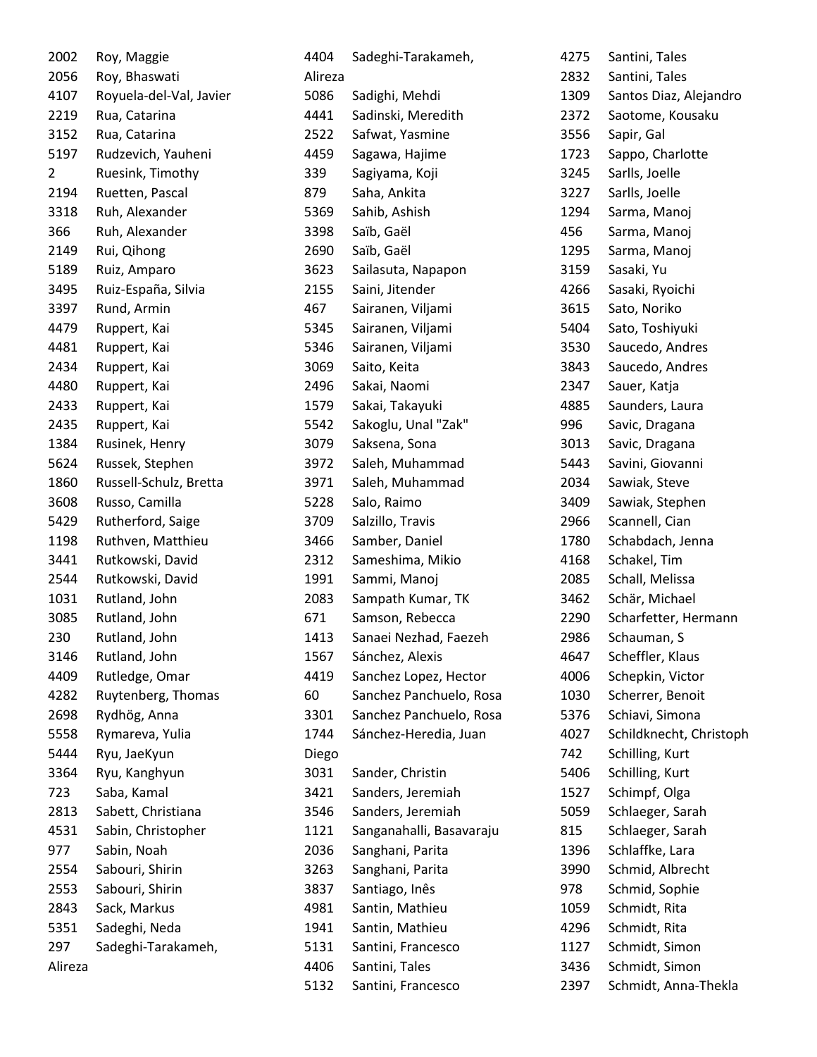| 2002    | Roy, Maggie                    |
|---------|--------------------------------|
| 2056    | Roy, Bhaswati                  |
| 4107    | Royuela-del-Val, Javier        |
| 2219    | Rua, Catarina                  |
| 3152    | Rua, Catarina                  |
| 5197    | Rudzevich, Yauheni             |
| 2       | Ruesink, Timothy               |
| 2194    | Ruetten, Pascal                |
| 3318    | Ruh, Alexander                 |
| 366     | Ruh, Alexander                 |
| 2149    | Rui, Qihong                    |
| 5189    | Ruiz, Amparo                   |
| 3495    | Ruiz-España, Silvia            |
| 3397    | Rund, Armin                    |
| 4479    | Ruppert, Kai                   |
| 4481    | Ruppert, Kai                   |
| 2434    | Ruppert, Kai                   |
| 4480    | Ruppert, Kai                   |
| 2433    | Ruppert, Kai                   |
| 2435    | Ruppert, Kai                   |
| 1384    | Rusinek, Henry                 |
| 5624    | Russek, Stephen                |
| 1860    | Russell-Schulz, Bretta         |
| 3608    | Russo, Camilla                 |
| 5429    | Rutherford, Saige              |
| 1198    | Ruthven, Matthieu              |
| 3441    | Rutkowski, David               |
| 2544    | Rutkowski, David               |
| 1031    | Rutland, John                  |
| 3085    | Rutland, John                  |
| 230     |                                |
| 3146    | Rutland, John<br>Rutland, John |
|         |                                |
| 4409    | Rutledge, Omar                 |
| 4282    | Ruytenberg, Thomas             |
| 2698    | Rydhög, Anna                   |
| 5558    | Rymareva, Yulia                |
| 5444    | Ryu, JaeKyun                   |
| 3364    | Ryu, Kanghyun                  |
| 723     | Saba, Kamal                    |
| 2813    | Sabett, Christiana             |
| 4531    | Sabin, Christopher             |
| 977     | Sabin, Noah                    |
| 2554    | Sabouri, Shirin                |
| 2553    | Sabouri, Shirin                |
| 2843    | Sack, Markus                   |
| 5351    | Sadeghi, Neda                  |
| 297     | Sadeghi-Tarakameh,             |
| Alireza |                                |

| 4404    | Sadeghi-Tarakameh,       |
|---------|--------------------------|
| Alireza |                          |
| 5086    | Sadighi, Mehdi           |
| 4441    | Sadinski, Meredith       |
| 2522    | Safwat, Yasmine          |
| 4459    | Sagawa, Hajime           |
| 339     | Sagiyama, Koji           |
| 879     | Saha, Ankita             |
| 5369    | Sahib, Ashish            |
| 3398    | Saïb, Gaël               |
| 2690    | Saïb, Gaël               |
| 3623    | Sailasuta, Napapon       |
| 2155    | Saini, Jitender          |
| 467     | Sairanen, Viljami        |
| 5345    | Sairanen, Viljami        |
| 5346    | Sairanen, Viljami        |
| 3069    | Saito, Keita             |
| 2496    | Sakai, Naomi             |
| 1579    | Sakai, Takayuki          |
| 5542    | Sakoglu, Unal "Zak"      |
| 3079    | Saksena, Sona            |
| 3972    | Saleh, Muhammad          |
| 3971    | Saleh, Muhammad          |
| 5228    | Salo, Raimo              |
| 3709    | Salzillo, Travis         |
| 3466    | Samber, Daniel           |
| 2312    | Sameshima, Mikio         |
| 1991    | Sammi, Manoj             |
| 2083    | Sampath Kumar, TK        |
| 671     | Samson, Rebecca          |
| 1413    | Sanaei Nezhad, Faezeh    |
| 1567    | Sánchez, Alexis          |
| 4419    | Sanchez Lopez, Hector    |
| 60      | Sanchez Panchuelo, Rosa  |
| 3301    | Sanchez Panchuelo, Rosa  |
| 1744    | Sánchez-Heredia, Juan    |
| Diego   |                          |
| 3031    | Sander, Christin         |
| 3421    | Sanders, Jeremiah        |
| 3546    | Sanders, Jeremiah        |
| 1121    | Sanganahalli, Basavaraju |
| 2036    | Sanghani, Parita         |
| 3263    | Sanghani, Parita         |
| 3837    | Santiago, Inês           |
| 4981    | Santin, Mathieu          |
| 1941    | Santin, Mathieu          |
| 5131    | Santini, Francesco       |
| 4406    | Santini, Tales           |
| 5132    | Santini, Francesco       |

| 4275 | Santini, Tales          |
|------|-------------------------|
| 2832 | Santini, Tales          |
| 1309 | Santos Diaz, Alejandro  |
| 2372 | Saotome, Kousaku        |
| 3556 | Sapir, Gal              |
| 1723 | Sappo, Charlotte        |
| 3245 | Sarlls, Joelle          |
| 3227 | Sarlls, Joelle          |
| 1294 | Sarma, Manoj            |
| 456  | Sarma, Manoj            |
| 1295 | Sarma, Manoj            |
| 3159 | Sasaki, Yu              |
| 4266 | Sasaki, Ryoichi         |
| 3615 | Sato, Noriko            |
| 5404 | Sato, Toshiyuki         |
| 3530 | Saucedo, Andres         |
| 3843 | Saucedo, Andres         |
| 2347 | Sauer, Katja            |
| 4885 | Saunders, Laura         |
| 996  | Savic, Dragana          |
| 3013 | Savic, Dragana          |
| 5443 | Savini, Giovanni        |
| 2034 | Sawiak, Steve           |
| 3409 | Sawiak, Stephen         |
| 2966 | Scannell, Cian          |
| 1780 | Schabdach, Jenna        |
| 4168 | Schakel, Tim            |
| 2085 | Schall, Melissa         |
| 3462 | Schär, Michael          |
| 2290 | Scharfetter, Hermann    |
| 2986 | Schauman, S             |
| 4647 | Scheffler, Klaus        |
| 4006 | Schepkin, Victor        |
| 1030 | Scherrer, Benoit        |
| 5376 | Schiavi, Simona         |
| 4027 | Schildknecht, Christoph |
| 742  | Schilling, Kurt         |
| 5406 | Schilling, Kurt         |
| 1527 | Schimpf, Olga           |
| 5059 | Schlaeger, Sarah        |
| 815  | Schlaeger, Sarah        |
| 1396 | Schlaffke, Lara         |
| 3990 | Schmid, Albrecht        |
| 978  | Schmid, Sophie          |
| 1059 | Schmidt, Rita           |
| 4296 | Schmidt, Rita           |
| 1127 | Schmidt, Simon          |
| 3436 | Schmidt, Simon          |
| 2397 | Schmidt, Anna-Thekla    |
|      |                         |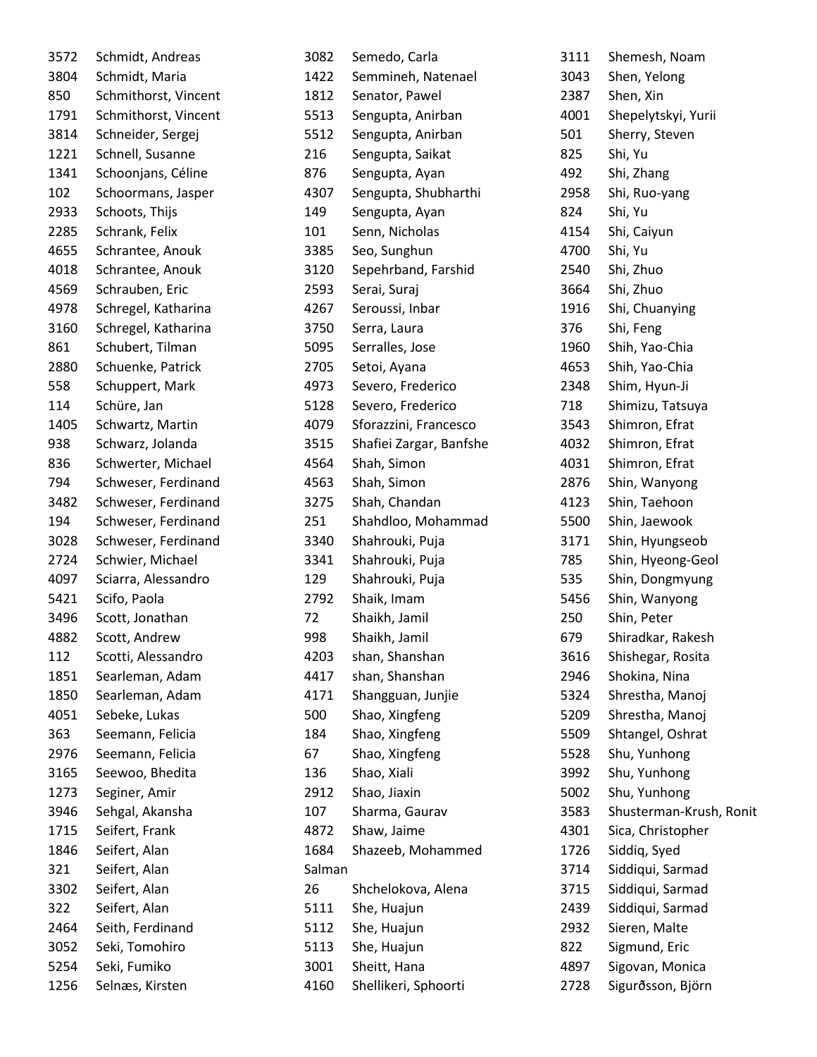| 3572 | Schmidt, Andreas     |
|------|----------------------|
| 3804 | Schmidt, Maria       |
| 850  | Schmithorst, Vincent |
| 1791 | Schmithorst, Vincent |
| 3814 | Schneider, Sergej    |
| 1221 | Schnell, Susanne     |
| 1341 | Schoonjans, Céline   |
| 102  | Schoormans, Jasper   |
| 2933 | Schoots, Thijs       |
| 2285 | Schrank, Felix       |
| 4655 | Schrantee, Anouk     |
| 4018 | Schrantee, Anouk     |
| 4569 | Schrauben, Eric      |
| 4978 | Schregel, Katharina  |
| 3160 | Schregel, Katharina  |
| 861  | Schubert, Tilman     |
| 2880 | Schuenke, Patrick    |
| 558  | Schuppert, Mark      |
| 114  | Schüre, Jan          |
| 1405 | Schwartz, Martin     |
| 938  | Schwarz, Jolanda     |
| 836  | Schwerter, Michael   |
| 794  | Schweser, Ferdinand  |
| 3482 | Schweser, Ferdinand  |
| 194  | Schweser, Ferdinand  |
| 3028 | Schweser, Ferdinand  |
| 2724 | Schwier, Michael     |
| 4097 | Sciarra, Alessandro  |
| 5421 | Scifo, Paola         |
| 3496 | Scott, Jonathan      |
| 4882 | Scott, Andrew        |
| 112  | Scotti, Alessandro   |
| 1851 | Searleman, Adam      |
| 1850 | Searleman, Adam      |
| 4051 | Sebeke, Lukas        |
| 363  | Seemann, Felicia     |
| 2976 | Seemann, Felicia     |
| 3165 | Seewoo, Bhedita      |
| 1273 | Seginer, Amir        |
| 3946 | Sehgal, Akansha      |
| 1715 | Seifert, Frank       |
| 1846 | Seifert, Alan        |
| 321  | Seifert, Alan        |
| 3302 | Seifert, Alan        |
| 322  | Seifert, Alan        |
| 2464 | Seith, Ferdinand     |
| 3052 | Seki, Tomohiro       |
| 5254 | Seki, Fumiko         |
| 1256 | Selnæs, Kirsten      |

| 3082   | Semedo, Carla           |
|--------|-------------------------|
| 1422   | Semmineh, Natenael      |
| 1812   | Senator, Pawel          |
| 5513   | Sengupta, Anirban       |
| 5512   | Sengupta, Anirban       |
| 216    | Sengupta, Saikat        |
| 876    | Sengupta, Ayan          |
| 4307   | Sengupta, Shubharthi    |
| 149    | Sengupta, Ayan          |
| 101    | Senn, Nicholas          |
| 3385   | Seo, Sunghun            |
| 3120   | Sepehrband, Farshid     |
| 2593   | Serai, Suraj            |
| 4267   | Seroussi, Inbar         |
| 3750   | Serra, Laura            |
| 5095   | Serralles, Jose         |
| 2705   | Setoi, Ayana            |
| 4973   | Severo, Frederico       |
| 5128   | Severo, Frederico       |
| 4079   | Sforazzini, Francesco   |
| 3515   | Shafiei Zargar, Banfshe |
| 4564   | Shah, Simon             |
| 4563   | Shah, Simon             |
| 3275   | Shah, Chandan           |
| 251    | Shahdloo, Mohammad      |
| 3340   | Shahrouki, Puja         |
| 3341   | Shahrouki, Puja         |
| 129    | Shahrouki, Puja         |
| 2792   | Shaik, Imam             |
| 72     | Shaikh, Jamil           |
| 998    | Shaikh, Jamil           |
| 4203   | shan, Shanshan          |
| 4417   | shan, Shanshan          |
| 4171   | Shangguan, Junjie       |
| 500    | Shao, Xingfeng          |
| 184    | Shao, Xingfeng          |
| 67     | Shao, Xingfeng          |
| 136    | Shao, Xiali             |
| 2912   | Shao, Jiaxin            |
| 107    | Sharma, Gaurav          |
| 4872   | Shaw, Jaime             |
| 1684   | Shazeeb, Mohammed       |
| Salman |                         |
| 26     | Shchelokova, Alena      |
| 5111   | She, Huajun             |
| 5112   | She, Huajun             |
| 5113   | She, Huajun             |
| 3001   | Sheitt, Hana            |
| 4160   | Shellikeri, Sphoorti    |

| 3111         | Shemesh, Noam                     |
|--------------|-----------------------------------|
| 3043         | Shen, Yelong                      |
| 2387         | Shen, Xin                         |
| 4001         | Shepelytskyi, Yurii               |
| 501          | Sherry, Steven                    |
| 825          | Shi, Yu                           |
| 492          | Shi, Zhang                        |
| 2958         | Shi, Ruo-yang                     |
| 824          | Shi, Yu                           |
| 4154         | Shi, Caiyun                       |
| 4700         | Shi, Yu                           |
| 2540         | Shi, Zhuo                         |
| 3664         | Shi, Zhuo                         |
| 1916         | Shi, Chuanying                    |
| 376          | Shi, Feng                         |
| 1960         | Shih, Yao-Chia                    |
| 4653         | Shih, Yao-Chia                    |
| 2348         | Shim, Hyun-Ji                     |
| 718          | Shimizu, Tatsuya                  |
| 3543         | Shimron, Efrat                    |
| 4032         | Shimron, Efrat                    |
| 4031         | Shimron, Efrat                    |
| 2876         | Shin, Wanyong                     |
| 4123         | Shin, Taehoon                     |
| 5500         | Shin, Jaewook                     |
| 3171         | Shin, Hyungseob                   |
| 785          | Shin, Hyeong-Geol                 |
| 535          | Shin, Dongmyung                   |
| 5456         | Shin, Wanyong                     |
| 250          | Shin, Peter                       |
| 679          | Shiradkar, Rakesh                 |
| 3616         | Shishegar, Rosita                 |
| 2946         | Shokina, Nina                     |
| 5324         | Shrestha, Manoj                   |
| 5209         | Shrestha, Manoj                   |
| 5509         | Shtangel, Oshrat                  |
| 5528         | Shu, Yunhong                      |
| 3992         | Shu, Yunhong                      |
| 5002         | Shu, Yunhong                      |
| 3583         | Shusterman-Krush, Ronit           |
| 4301         | Sica, Christopher                 |
| 1726         | Siddiq, Syed                      |
| 3714         | Siddiqui, Sarmad                  |
| 3715         | Siddiqui, Sarmad                  |
|              |                                   |
| 2439<br>2932 | Siddiqui, Sarmad<br>Sieren, Malte |
| 822          | Sigmund, Eric                     |
| 4897         | Sigovan, Monica                   |
|              |                                   |
| 2728         | Sigurðsson, Björn                 |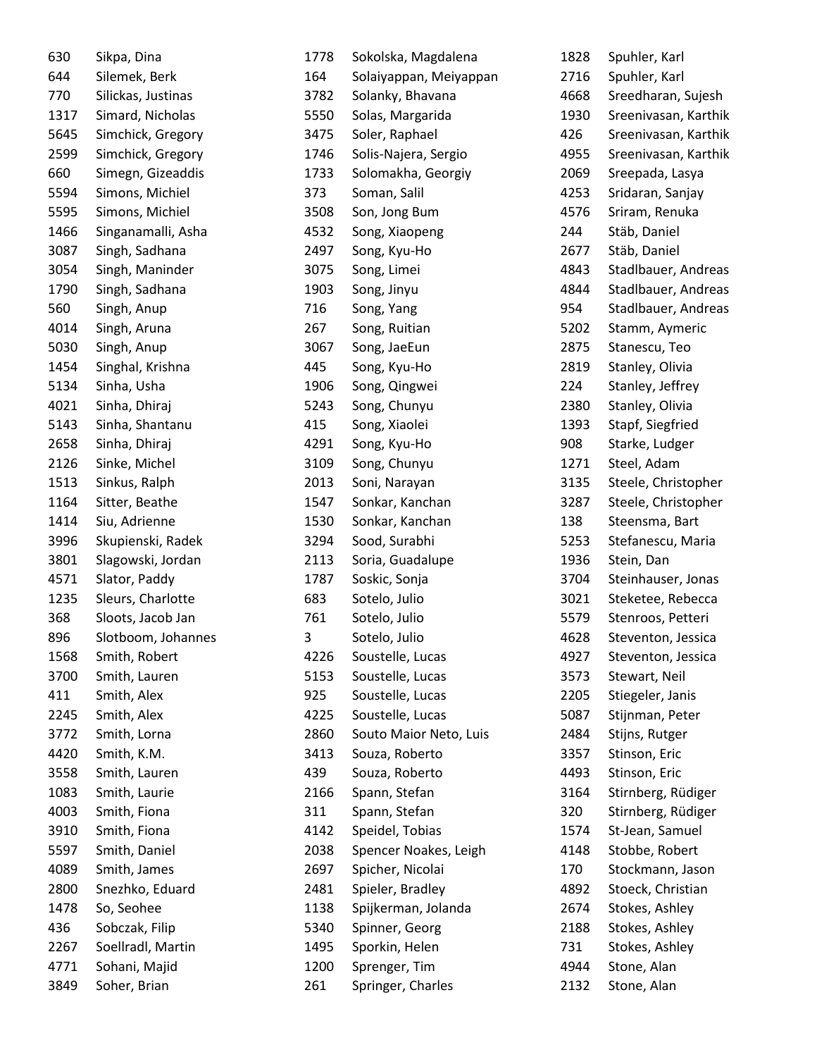| 630  | Sikpa, Dina        |
|------|--------------------|
| 644  | Silemek, Berk      |
| 770  | Silickas, Justinas |
| 1317 | Simard, Nicholas   |
| 5645 | Simchick, Gregory  |
| 2599 | Simchick, Gregory  |
| 660  | Simegn, Gizeaddis  |
| 5594 | Simons, Michiel    |
| 5595 | Simons, Michiel    |
| 1466 | Singanamalli, Asha |
| 3087 | Singh, Sadhana     |
| 3054 | Singh, Maninder    |
| 1790 | Singh, Sadhana     |
| 560  | Singh, Anup        |
| 4014 | Singh, Aruna       |
| 5030 | Singh, Anup        |
| 1454 | Singhal, Krishna   |
| 5134 | Sinha, Usha        |
| 4021 | Sinha, Dhiraj      |
| 5143 | Sinha, Shantanu    |
| 2658 | Sinha, Dhiraj      |
| 2126 | Sinke, Michel      |
| 1513 | Sinkus, Ralph      |
| 1164 | Sitter, Beathe     |
| 1414 | Siu, Adrienne      |
| 3996 | Skupienski, Radek  |
| 3801 | Slagowski, Jordan  |
| 4571 | Slator, Paddy      |
| 1235 | Sleurs, Charlotte  |
| 368  | Sloots, Jacob Jan  |
| 896  | Slotboom, Johannes |
| 1568 | Smith, Robert      |
| 3700 | Smith, Lauren      |
| 411  | Smith, Alex        |
| 2245 | Smith, Alex        |
| 3772 | Smith, Lorna       |
| 4420 | Smith, K.M.        |
| 3558 | Smith, Lauren      |
| 1083 | Smith, Laurie      |
| 4003 | Smith, Fiona       |
| 3910 | Smith, Fiona       |
| 5597 | Smith, Daniel      |
| 4089 | Smith, James       |
| 2800 | Snezhko, Eduard    |
| 1478 | So, Seohee         |
| 436  | Sobczak, Filip     |
| 2267 | Soellradl, Martin  |
| 4771 | Sohani, Majid      |
| 3849 | Soher, Brian       |

| 1778 | Sokolska, Magdalena    |
|------|------------------------|
| 164  | Solaiyappan, Meiyappan |
| 3782 | Solanky, Bhavana       |
| 5550 | Solas, Margarida       |
| 3475 | Soler, Raphael         |
| 1746 | Solis-Najera, Sergio   |
| 1733 | Solomakha, Georgiy     |
| 373  | Soman, Salil           |
| 3508 | Son, Jong Bum          |
| 4532 | Song, Xiaopeng         |
| 2497 | Song, Kyu-Ho           |
| 3075 | Song, Limei            |
| 1903 | Song, Jinyu            |
| 716  | Song, Yang             |
| 267  | Song, Ruitian          |
| 3067 | Song, JaeEun           |
| 445  | Song, Kyu-Ho           |
| 1906 | Song, Qingwei          |
| 5243 | Song, Chunyu           |
| 415  | Song, Xiaolei          |
| 4291 | Song, Kyu-Ho           |
| 3109 | Song, Chunyu           |
| 2013 | Soni, Narayan          |
| 1547 | Sonkar, Kanchan        |
| 1530 | Sonkar, Kanchan        |
| 3294 | Sood, Surabhi          |
| 2113 | Soria, Guadalupe       |
| 1787 | Soskic, Sonja          |
| 683  | Sotelo, Julio          |
| 761  | Sotelo, Julio          |
| 3    | Sotelo, Julio          |
| 4226 | Soustelle, Lucas       |
| 5153 | Soustelle, Lucas       |
| 925  | Soustelle, Lucas       |
| 4225 | Soustelle, Lucas       |
| 2860 | Souto Maior Neto, Luis |
| 3413 | Souza, Roberto         |
| 439  | Souza, Roberto         |
| 2166 | Spann, Stefan          |
| 311  | Spann, Stefan          |
| 4142 | Speidel, Tobias        |
| 2038 | Spencer Noakes, Leigh  |
| 2697 | Spicher, Nicolai       |
| 2481 | Spieler, Bradley       |
| 1138 | Spijkerman, Jolanda    |
| 5340 | Spinner, Georg         |
| 1495 | Sporkin, Helen         |
| 1200 | Sprenger, Tim          |
| 261  | Springer, Charles      |

| 1828 | Spuhler, Karl        |
|------|----------------------|
| 2716 | Spuhler, Karl        |
| 4668 | Sreedharan, Sujesh   |
| 1930 | Sreenivasan, Karthik |
| 426  | Sreenivasan, Karthik |
| 4955 | Sreenivasan, Karthik |
| 2069 | Sreepada, Lasya      |
| 4253 | Sridaran, Sanjay     |
| 4576 | Sriram, Renuka       |
| 244  | Stäb, Daniel         |
| 2677 | Stäb, Daniel         |
| 4843 | Stadlbauer, Andreas  |
| 4844 | Stadlbauer, Andreas  |
| 954  | Stadlbauer, Andreas  |
| 5202 | Stamm, Aymeric       |
| 2875 | Stanescu, Teo        |
| 2819 | Stanley, Olivia      |
| 224  | Stanley, Jeffrey     |
| 2380 | Stanley, Olivia      |
| 1393 | Stapf, Siegfried     |
| 908  | Starke, Ludger       |
| 1271 | Steel, Adam          |
| 3135 | Steele, Christopher  |
| 3287 | Steele, Christopher  |
| 138  | Steensma, Bart       |
| 5253 | Stefanescu, Maria    |
| 1936 | Stein, Dan           |
| 3704 | Steinhauser, Jonas   |
| 3021 | Steketee, Rebecca    |
| 5579 | Stenroos, Petteri    |
| 4628 | Steventon, Jessica   |
| 4927 | Steventon, Jessica   |
| 3573 | Stewart, Neil        |
| 2205 | Stiegeler, Janis     |
| 5087 | Stijnman, Peter      |
| 2484 | Stijns, Rutger       |
| 3357 | Stinson, Eric        |
| 4493 | Stinson, Eric        |
| 3164 | Stirnberg, Rüdiger   |
| 320  | Stirnberg, Rüdiger   |
| 1574 | St-Jean, Samuel      |
| 4148 | Stobbe, Robert       |
| 170  | Stockmann, Jason     |
| 4892 | Stoeck, Christian    |
| 2674 | Stokes, Ashley       |
| 2188 | Stokes, Ashley       |
| 731  | Stokes, Ashley       |
| 4944 | Stone, Alan          |
| 2132 | Stone, Alan          |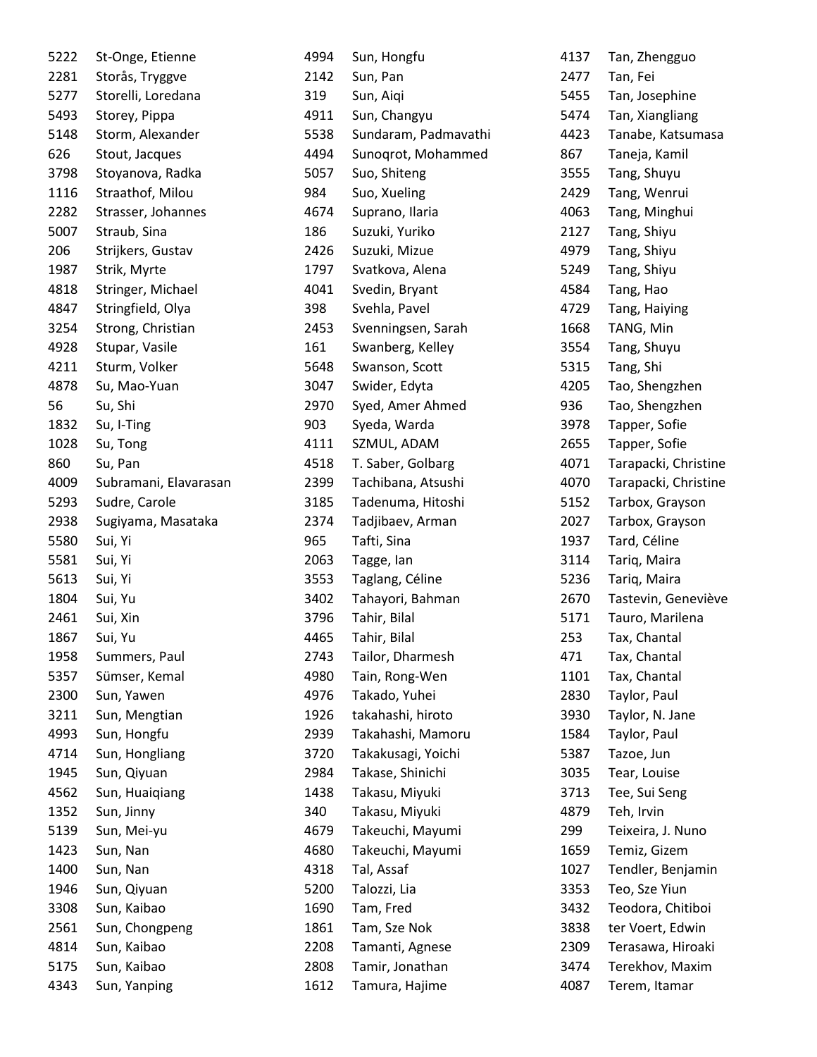| 5222 | St-Onge, Etienne      |
|------|-----------------------|
| 2281 | Storås, Tryggve       |
| 5277 | Storelli, Loredana    |
| 5493 | Storey, Pippa         |
| 5148 | Storm, Alexander      |
| 626  | Stout, Jacques        |
| 3798 | Stoyanova, Radka      |
| 1116 | Straathof, Milou      |
| 2282 | Strasser, Johannes    |
| 5007 | Straub, Sina          |
| 206  | Strijkers, Gustav     |
| 1987 | Strik, Myrte          |
| 4818 | Stringer, Michael     |
| 4847 | Stringfield, Olya     |
| 3254 | Strong, Christian     |
| 4928 | Stupar, Vasile        |
| 4211 | Sturm, Volker         |
| 4878 | Su, Mao-Yuan          |
| 56   | Su, Shi               |
| 1832 | Su, I-Ting            |
| 1028 | Su, Tong              |
| 860  | Su, Pan               |
| 4009 | Subramani, Elavarasan |
| 5293 | Sudre, Carole         |
| 2938 | Sugiyama, Masataka    |
| 5580 | Sui, Yi               |
| 5581 | Sui, Yi               |
| 5613 | Sui, Yi               |
| 1804 | Sui, Yu               |
| 2461 | Sui, Xin              |
| 1867 | Sui, Yu               |
| 1958 | Summers, Paul         |
| 5357 | Sümser, Kemal         |
| 2300 | Sun, Yawen            |
| 3211 | Sun, Mengtian         |
| 4993 | Sun, Hongfu           |
| 4714 | Sun, Hongliang        |
| 1945 | Sun, Qiyuan           |
| 4562 | Sun, Huaiqiang        |
| 1352 | Sun, Jinny            |
| 5139 | Sun, Mei-yu           |
| 1423 | Sun, Nan              |
| 1400 | Sun, Nan              |
| 1946 | Sun, Qiyuan           |
| 3308 | Sun, Kaibao           |
| 2561 | Sun, Chongpeng        |
| 4814 | Sun, Kaibao           |
| 5175 | Sun, Kaibao           |
| 4343 | Sun, Yanping          |

| 4994 | Sun, Hongfu          |
|------|----------------------|
| 2142 | Sun, Pan             |
| 319  | Sun, Aiqi            |
| 4911 | Sun, Changyu         |
| 5538 | Sundaram, Padmavathi |
| 4494 | Sunoqrot, Mohammed   |
| 5057 | Suo, Shiteng         |
| 984  | Suo, Xueling         |
| 4674 | Suprano, Ilaria      |
| 186  | Suzuki, Yuriko       |
| 2426 | Suzuki, Mizue        |
| 1797 | Svatkova, Alena      |
| 4041 | Svedin, Bryant       |
| 398  | Svehla, Pavel        |
| 2453 | Svenningsen, Sarah   |
| 161  | Swanberg, Kelley     |
| 5648 | Swanson, Scott       |
| 3047 | Swider, Edyta        |
| 2970 | Syed, Amer Ahmed     |
| 903  | Syeda, Warda         |
| 4111 | SZMUL, ADAM          |
| 4518 | T. Saber, Golbarg    |
| 2399 | Tachibana, Atsushi   |
| 3185 | Tadenuma, Hitoshi    |
| 2374 | Tadjibaev, Arman     |
| 965  | Tafti, Sina          |
| 2063 | Tagge, lan           |
| 3553 | Taglang, Céline      |
| 3402 | Tahayori, Bahman     |
| 3796 | Tahir, Bilal         |
| 4465 | Tahir, Bilal         |
| 2743 | Tailor, Dharmesh     |
| 4980 | Tain, Rong-Wen       |
| 4976 | Takado, Yuhei        |
| 1926 | takahashi, hiroto    |
| 2939 | Takahashi, Mamoru    |
| 3720 | Takakusagi, Yoichi   |
| 2984 | Takase, Shinichi     |
| 1438 | Takasu, Miyuki       |
| 340  | Takasu, Miyuki       |
| 4679 | Takeuchi, Mayumi     |
| 4680 | Takeuchi, Mayumi     |
| 4318 | Tal, Assaf           |
| 5200 | Talozzi, Lia         |
| 1690 | Tam, Fred            |
| 1861 | Tam, Sze Nok         |
| 2208 | Tamanti, Agnese      |
| 2808 | Tamir, Jonathan      |
| 1612 | Tamura, Hajime       |

| 4137 | Tan, Zhengguo        |
|------|----------------------|
| 2477 | Tan, Fei             |
| 5455 | Tan, Josephine       |
| 5474 | Tan, Xiangliang      |
| 4423 | Tanabe, Katsumasa    |
| 867  | Taneja, Kamil        |
| 3555 | Tang, Shuyu          |
| 2429 | Tang, Wenrui         |
| 4063 | Tang, Minghui        |
| 2127 | Tang, Shiyu          |
| 4979 | Tang, Shiyu          |
| 5249 | Tang, Shiyu          |
| 4584 | Tang, Hao            |
| 4729 | Tang, Haiying        |
| 1668 | TANG, Min            |
| 3554 | Tang, Shuyu          |
| 5315 | Tang, Shi            |
| 4205 | Tao, Shengzhen       |
| 936  | Tao, Shengzhen       |
| 3978 | Tapper, Sofie        |
| 2655 | Tapper, Sofie        |
| 4071 | Tarapacki, Christine |
| 4070 | Tarapacki, Christine |
| 5152 | Tarbox, Grayson      |
| 2027 | Tarbox, Grayson      |
| 1937 | Tard, Céline         |
| 3114 | Tariq, Maira         |
| 5236 | Tariq, Maira         |
| 2670 | Tastevin, Geneviève  |
| 5171 | Tauro, Marilena      |
| 253  | Tax, Chantal         |
| 471  | Tax, Chantal         |
| 1101 | Tax, Chantal         |
| 2830 | Taylor, Paul         |
| 3930 | Taylor, N. Jane      |
| 1584 | Taylor, Paul         |
| 5387 | Tazoe, Jun           |
| 3035 | Tear, Louise         |
| 3713 | Tee, Sui Seng        |
| 4879 | Teh, Irvin           |
| 299  | Teixeira, J. Nuno    |
| 1659 | Temiz, Gizem         |
| 1027 | Tendler, Benjamin    |
| 3353 | Teo, Sze Yiun        |
| 3432 | Teodora, Chitiboi    |
| 3838 | ter Voert, Edwin     |
| 2309 | Terasawa, Hiroaki    |
| 3474 | Terekhov, Maxim      |
| 4087 | Terem, Itamar        |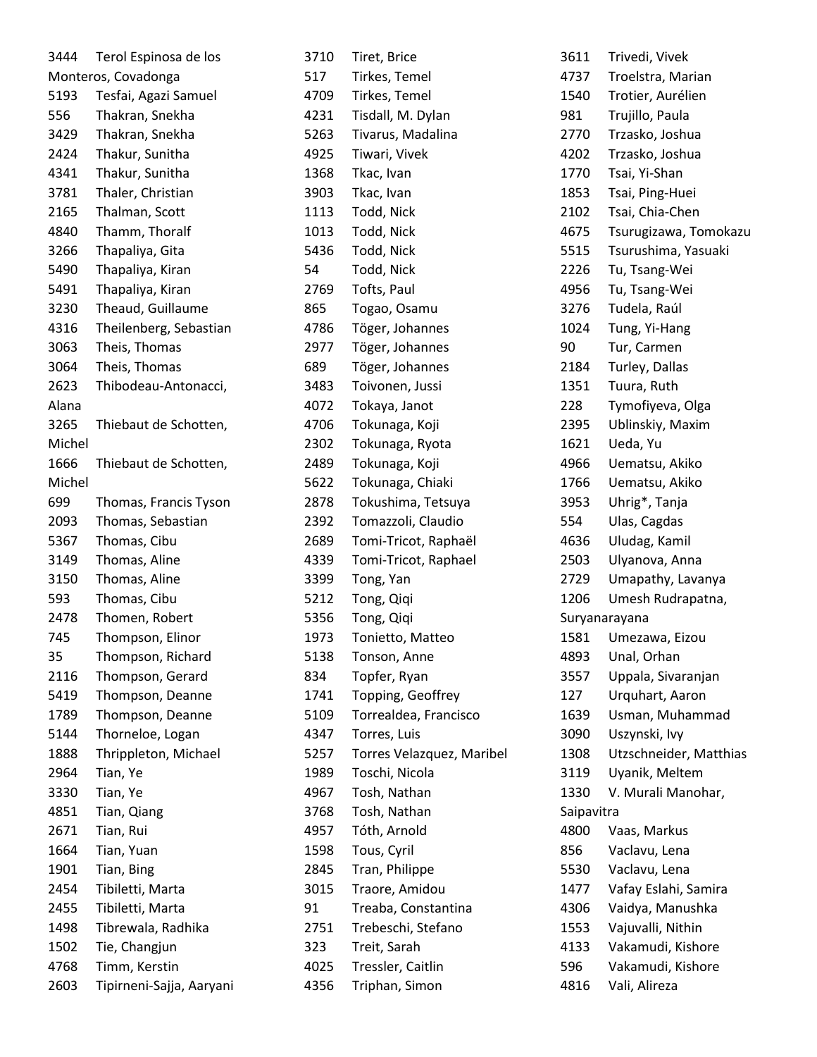| 3444   | Terol Espinosa de los    | 3710 | Tiret, Brice              | 3611       | Trivedi, Vivek         |
|--------|--------------------------|------|---------------------------|------------|------------------------|
|        | Monteros, Covadonga      | 517  | Tirkes, Temel             | 4737       | Troelstra, Marian      |
| 5193   | Tesfai, Agazi Samuel     | 4709 | Tirkes, Temel             | 1540       | Trotier, Aurélien      |
| 556    | Thakran, Snekha          | 4231 | Tisdall, M. Dylan         | 981        | Trujillo, Paula        |
| 3429   | Thakran, Snekha          | 5263 | Tivarus, Madalina         | 2770       | Trzasko, Joshua        |
| 2424   | Thakur, Sunitha          | 4925 | Tiwari, Vivek             | 4202       | Trzasko, Joshua        |
| 4341   | Thakur, Sunitha          | 1368 | Tkac, Ivan                | 1770       | Tsai, Yi-Shan          |
| 3781   | Thaler, Christian        | 3903 | Tkac, Ivan                | 1853       | Tsai, Ping-Huei        |
| 2165   | Thalman, Scott           | 1113 | Todd, Nick                | 2102       | Tsai, Chia-Chen        |
| 4840   | Thamm, Thoralf           | 1013 | Todd, Nick                | 4675       | Tsurugizawa, Tomokazu  |
| 3266   | Thapaliya, Gita          | 5436 | Todd, Nick                | 5515       | Tsurushima, Yasuaki    |
| 5490   | Thapaliya, Kiran         | 54   | Todd, Nick                | 2226       | Tu, Tsang-Wei          |
| 5491   | Thapaliya, Kiran         | 2769 | Tofts, Paul               | 4956       | Tu, Tsang-Wei          |
| 3230   | Theaud, Guillaume        | 865  | Togao, Osamu              | 3276       | Tudela, Raúl           |
| 4316   | Theilenberg, Sebastian   | 4786 | Töger, Johannes           | 1024       | Tung, Yi-Hang          |
| 3063   | Theis, Thomas            | 2977 | Töger, Johannes           | 90         | Tur, Carmen            |
| 3064   | Theis, Thomas            | 689  | Töger, Johannes           | 2184       | Turley, Dallas         |
| 2623   | Thibodeau-Antonacci,     | 3483 | Toivonen, Jussi           | 1351       | Tuura, Ruth            |
| Alana  |                          | 4072 | Tokaya, Janot             | 228        | Tymofiyeva, Olga       |
| 3265   | Thiebaut de Schotten,    | 4706 | Tokunaga, Koji            | 2395       | Ublinskiy, Maxim       |
| Michel |                          | 2302 | Tokunaga, Ryota           | 1621       | Ueda, Yu               |
| 1666   | Thiebaut de Schotten,    | 2489 | Tokunaga, Koji            | 4966       | Uematsu, Akiko         |
| Michel |                          | 5622 | Tokunaga, Chiaki          | 1766       | Uematsu, Akiko         |
| 699    | Thomas, Francis Tyson    | 2878 | Tokushima, Tetsuya        | 3953       | Uhrig*, Tanja          |
| 2093   | Thomas, Sebastian        | 2392 | Tomazzoli, Claudio        | 554        | Ulas, Cagdas           |
| 5367   | Thomas, Cibu             | 2689 | Tomi-Tricot, Raphaël      | 4636       | Uludag, Kamil          |
| 3149   | Thomas, Aline            | 4339 | Tomi-Tricot, Raphael      | 2503       | Ulyanova, Anna         |
| 3150   | Thomas, Aline            | 3399 | Tong, Yan                 | 2729       | Umapathy, Lavanya      |
| 593    | Thomas, Cibu             | 5212 | Tong, Qiqi                | 1206       | Umesh Rudrapatna,      |
| 2478   | Thomen, Robert           | 5356 | Tong, Qiqi                |            | Suryanarayana          |
| 745    | Thompson, Elinor         | 1973 | Tonietto, Matteo          | 1581       | Umezawa, Eizou         |
| 35     | Thompson, Richard        | 5138 | Tonson, Anne              | 4893       | Unal, Orhan            |
| 2116   | Thompson, Gerard         | 834  | Topfer, Ryan              | 3557       | Uppala, Sivaranjan     |
| 5419   | Thompson, Deanne         | 1741 | Topping, Geoffrey         | 127        | Urquhart, Aaron        |
| 1789   | Thompson, Deanne         | 5109 | Torrealdea, Francisco     | 1639       | Usman, Muhammad        |
| 5144   | Thorneloe, Logan         | 4347 | Torres, Luis              | 3090       | Uszynski, Ivy          |
| 1888   | Thrippleton, Michael     | 5257 | Torres Velazquez, Maribel | 1308       | Utzschneider, Matthias |
| 2964   | Tian, Ye                 | 1989 | Toschi, Nicola            | 3119       | Uyanik, Meltem         |
| 3330   | Tian, Ye                 | 4967 | Tosh, Nathan              | 1330       | V. Murali Manohar,     |
| 4851   | Tian, Qiang              | 3768 | Tosh, Nathan              | Saipavitra |                        |
| 2671   | Tian, Rui                | 4957 | Tóth, Arnold              | 4800       | Vaas, Markus           |
| 1664   | Tian, Yuan               | 1598 | Tous, Cyril               | 856        | Vaclavu, Lena          |
| 1901   | Tian, Bing               | 2845 | Tran, Philippe            | 5530       | Vaclavu, Lena          |
| 2454   | Tibiletti, Marta         | 3015 | Traore, Amidou            | 1477       | Vafay Eslahi, Samira   |
| 2455   | Tibiletti, Marta         | 91   | Treaba, Constantina       | 4306       | Vaidya, Manushka       |
| 1498   | Tibrewala, Radhika       | 2751 | Trebeschi, Stefano        | 1553       | Vajuvalli, Nithin      |
| 1502   | Tie, Changjun            | 323  | Treit, Sarah              | 4133       | Vakamudi, Kishore      |
| 4768   | Timm, Kerstin            | 4025 | Tressler, Caitlin         | 596        | Vakamudi, Kishore      |
| 2603   | Tipirneni-Sajja, Aaryani | 4356 | Triphan, Simon            | 4816       | Vali, Alireza          |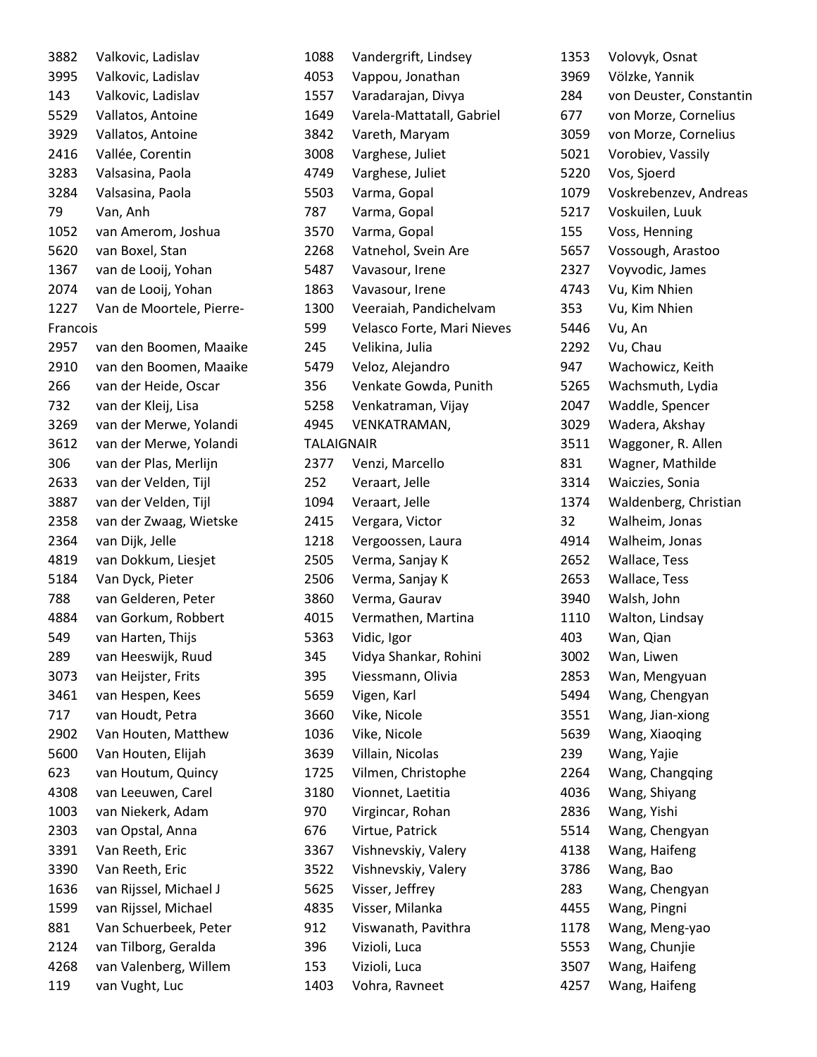| 3882     | Valkovic, Ladislav       |
|----------|--------------------------|
| 3995     | Valkovic, Ladislav       |
| 143      | Valkovic, Ladislav       |
| 5529     | Vallatos, Antoine        |
| 3929     | Vallatos, Antoine        |
| 2416     | Vallée, Corentin         |
| 3283     | Valsasina, Paola         |
| 3284     | Valsasina, Paola         |
| 79       | Van, Anh                 |
| 1052     | van Amerom, Joshua       |
| 5620     | van Boxel, Stan          |
| 1367     | van de Looij, Yohan      |
| 2074     | van de Looij, Yohan      |
| 1227     | Van de Moortele, Pierre- |
| Francois |                          |
| 2957     | van den Boomen, Maaike   |
| 2910     | van den Boomen, Maaike   |
| 266      | van der Heide, Oscar     |
| 732      | van der Kleij, Lisa      |
| 3269     | van der Merwe, Yolandi   |
| 3612     | van der Merwe, Yolandi   |
| 306      | van der Plas, Merlijn    |
| 2633     | van der Velden, Tijl     |
| 3887     | van der Velden, Tijl     |
| 2358     | van der Zwaag, Wietske   |
| 2364     | van Dijk, Jelle          |
| 4819     | van Dokkum, Liesjet      |
| 5184     | Van Dyck, Pieter         |
| 788      | van Gelderen, Peter      |
| 4884     | van Gorkum, Robbert      |
| 549      | van Harten, Thijs        |
| 289      | van Heeswijk, Ruud       |
| 3073     | van Heijster, Frits      |
| 3461     | van Hespen, Kees         |
| 717      | van Houdt, Petra         |
| 2902     | Van Houten, Matthew      |
| 5600     | Van Houten, Elijah       |
| 623      | van Houtum, Quincy       |
| 4308     | van Leeuwen, Carel       |
| 1003     | van Niekerk, Adam        |
| 2303     | van Opstal, Anna         |
| 3391     | Van Reeth, Eric          |
| 3390     | Van Reeth, Eric          |
| 1636     | van Rijssel, Michael J   |
| 1599     | van Rijssel, Michael     |
| 881      | Van Schuerbeek, Peter    |
| 2124     | van Tilborg, Geralda     |
| 4268     | van Valenberg, Willem    |
| 119      | van Vught, Luc           |

| 1088       | Vandergrift, Lindsey       |
|------------|----------------------------|
| 4053       | Vappou, Jonathan           |
| 1557       | Varadarajan, Divya         |
| 1649       | Varela-Mattatall, Gabriel  |
| 3842       | Vareth, Maryam             |
| 3008       | Varghese, Juliet           |
| 4749       | Varghese, Juliet           |
| 5503       | Varma, Gopal               |
| 787        | Varma, Gopal               |
| 3570       | Varma, Gopal               |
| 2268       | Vatnehol, Svein Are        |
| 5487       | Vavasour, Irene            |
| 1863       | Vavasour, Irene            |
| 1300       | Veeraiah, Pandichelvam     |
| 599        | Velasco Forte, Mari Nieves |
| 245        | Velikina, Julia            |
| 5479       | Veloz, Alejandro           |
| 356        | Venkate Gowda, Punith      |
| 5258       | Venkatraman, Vijay         |
| 4945       | VENKATRAMAN,               |
| TALAIGNAIR |                            |
| 2377       | Venzi, Marcello            |
| 252        | Veraart, Jelle             |
| 1094       | Veraart, Jelle             |
| 2415       | Vergara, Victor            |
| 1218       | Vergoossen, Laura          |
| 2505       | Verma, Sanjay K            |
| 2506       | Verma, Sanjay K            |
| 3860       | Verma, Gaurav              |
| 4015       | Vermathen, Martina         |
| 5363       | Vidic, Igor                |
| 345        | Vidya Shankar, Rohini      |
| 395        | Viessmann, Olivia          |
| 5659       | Vigen, Karl                |
| 3660       | Vike, Nicole               |
| 1036       | Vike, Nicole               |
| 3639       | Villain, Nicolas           |
| 1725       | Vilmen, Christophe         |
| 3180       | Vionnet, Laetitia          |
| 970        | Virgincar, Rohan           |
| 676        | Virtue, Patrick            |
| 3367       | Vishnevskiy, Valery        |
| 3522       | Vishnevskiy, Valery        |
| 5625       | Visser, Jeffrey            |
| 4835       | Visser, Milanka            |
| 912        | Viswanath, Pavithra        |
| 396        | Vizioli, Luca              |
| 153        | Vizioli, Luca              |
| 1403       | Vohra, Ravneet             |

| 1353 | Volovyk, Osnat          |
|------|-------------------------|
| 3969 | Völzke, Yannik          |
| 284  | von Deuster, Constantin |
| 677  | von Morze, Cornelius    |
| 3059 | von Morze, Cornelius    |
| 5021 | Vorobiev, Vassily       |
| 5220 | Vos, Sjoerd             |
| 1079 | Voskrebenzev, Andreas   |
| 5217 | Voskuilen, Luuk         |
| 155  | Voss, Henning           |
| 5657 | Vossough, Arastoo       |
| 2327 | Voyvodic, James         |
| 4743 | Vu, Kim Nhien           |
| 353  | Vu, Kim Nhien           |
| 5446 | Vu, An                  |
| 2292 | Vu, Chau                |
| 947  | Wachowicz, Keith        |
| 5265 | Wachsmuth, Lydia        |
| 2047 | Waddle, Spencer         |
| 3029 | Wadera, Akshay          |
| 3511 | Waggoner, R. Allen      |
| 831  | Wagner, Mathilde        |
| 3314 | Waiczies, Sonia         |
| 1374 | Waldenberg, Christian   |
| 32   | Walheim, Jonas          |
| 4914 | Walheim, Jonas          |
| 2652 | Wallace, Tess           |
| 2653 | Wallace, Tess           |
| 3940 | Walsh, John             |
| 1110 | Walton, Lindsay         |
| 403  | Wan, Qian               |
| 3002 | Wan, Liwen              |
| 2853 | Wan, Mengyuan           |
| 5494 | Wang, Chengyan          |
| 3551 | Wang, Jian-xiong        |
| 5639 | Wang, Xiaoqing          |
| 239  | Wang, Yajie             |
| 2264 | Wang, Changqing         |
| 4036 | Wang, Shiyang           |
| 2836 | Wang, Yishi             |
| 5514 | Wang, Chengyan          |
| 4138 |                         |
| 3786 | Wang, Haifeng           |
|      | Wang, Bao               |
| 283  | Wang, Chengyan          |
| 4455 | Wang, Pingni            |
| 1178 | Wang, Meng-yao          |
| 5553 | Wang, Chunjie           |
| 3507 | Wang, Haifeng           |
| 4257 | Wang, Haifeng           |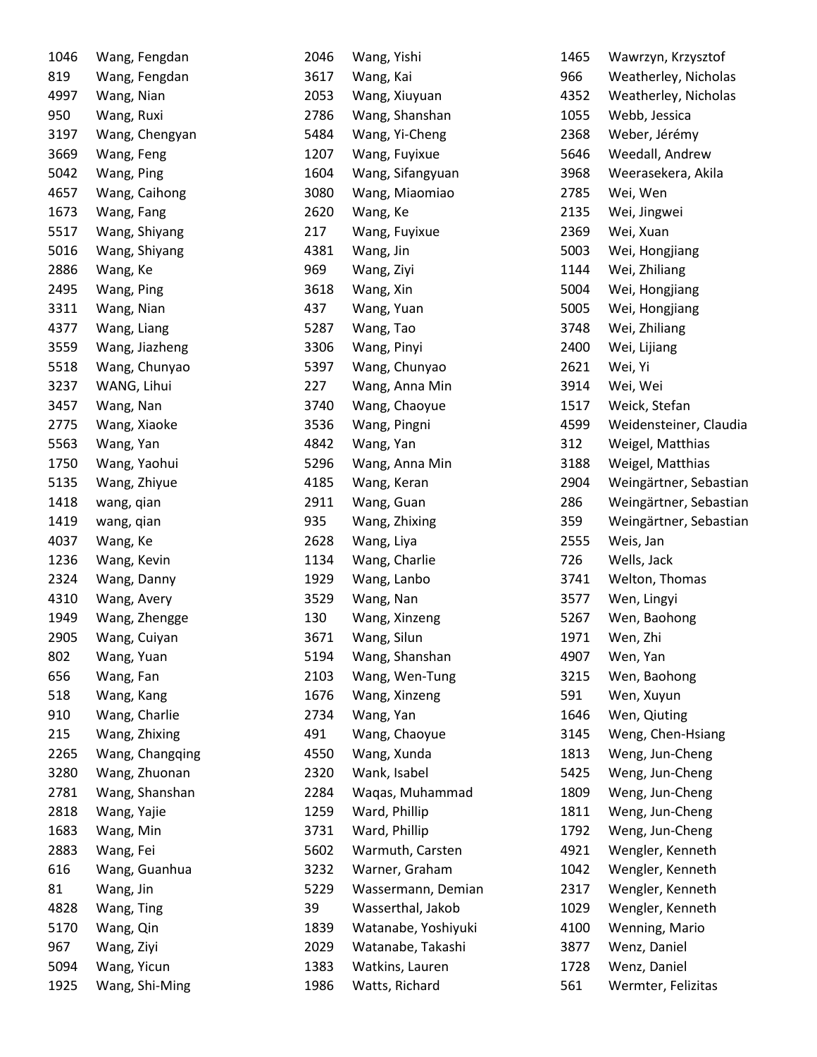| 1046 | Wang, Fengdan   |
|------|-----------------|
| 819  | Wang, Fengdan   |
| 4997 | Wang, Nian      |
| 950  | Wang, Ruxi      |
| 3197 | Wang, Chengyan  |
| 3669 | Wang, Feng      |
| 5042 | Wang, Ping      |
| 4657 | Wang, Caihong   |
| 1673 | Wang, Fang      |
| 5517 | Wang, Shiyang   |
| 5016 | Wang, Shiyang   |
| 2886 | Wang, Ke        |
| 2495 | Wang, Ping      |
| 3311 | Wang, Nian      |
| 4377 | Wang, Liang     |
| 3559 | Wang, Jiazheng  |
| 5518 | Wang, Chunyao   |
| 3237 | WANG, Lihui     |
| 3457 | Wang, Nan       |
| 2775 | Wang, Xiaoke    |
| 5563 | Wang, Yan       |
| 1750 | Wang, Yaohui    |
| 5135 | Wang, Zhiyue    |
| 1418 | wang, qian      |
| 1419 | wang, qian      |
| 4037 | Wang, Ke        |
| 1236 | Wang, Kevin     |
| 2324 | Wang, Danny     |
| 4310 | Wang, Avery     |
| 1949 | Wang, Zhengge   |
| 2905 | Wang, Cuiyan    |
| 802  | Wang, Yuan      |
| 656  | Wang, Fan       |
| 518  | Wang, Kang      |
| 910  | Wang, Charlie   |
| 215  | Wang, Zhixing   |
| 2265 | Wang, Changqing |
| 3280 | Wang, Zhuonan   |
| 2781 | Wang, Shanshan  |
| 2818 | Wang, Yajie     |
| 1683 | Wang, Min       |
| 2883 | Wang, Fei       |
| 616  | Wang, Guanhua   |
| 81   | Wang, Jin       |
| 4828 | Wang, Ting      |
| 5170 | Wang, Qin       |
| 967  | Wang, Ziyi      |
| 5094 | Wang, Yicun     |
| 1925 |                 |
|      | Wang, Shi-Ming  |

| 2046 | Wang, Yishi         |
|------|---------------------|
| 3617 | Wang, Kai           |
| 2053 | Wang, Xiuyuan       |
| 2786 | Wang, Shanshan      |
| 5484 | Wang, Yi-Cheng      |
| 1207 | Wang, Fuyixue       |
| 1604 | Wang, Sifangyuan    |
| 3080 | Wang, Miaomiao      |
| 2620 | Wang, Ke            |
| 217  | Wang, Fuyixue       |
| 4381 | Wang, Jin           |
| 969  | Wang, Ziyi          |
| 3618 | Wang, Xin           |
| 437  | Wang, Yuan          |
| 5287 | Wang, Tao           |
| 3306 | Wang, Pinyi         |
| 5397 | Wang, Chunyao       |
| 227  | Wang, Anna Min      |
| 3740 | Wang, Chaoyue       |
| 3536 | Wang, Pingni        |
| 4842 | Wang, Yan           |
| 5296 | Wang, Anna Min      |
| 4185 | Wang, Keran         |
| 2911 | Wang, Guan          |
| 935  | Wang, Zhixing       |
| 2628 | Wang, Liya          |
| 1134 | Wang, Charlie       |
| 1929 | Wang, Lanbo         |
| 3529 | Wang, Nan           |
| 130  | Wang, Xinzeng       |
| 3671 | Wang, Silun         |
| 5194 | Wang, Shanshan      |
| 2103 | Wang, Wen-Tung      |
| 1676 | Wang, Xinzeng       |
| 2734 | Wang, Yan           |
| 491  | Wang, Chaoyue       |
| 4550 | Wang, Xunda         |
| 2320 | Wank, Isabel        |
| 2284 | Waqas, Muhammad     |
| 1259 | Ward, Phillip       |
| 3731 | Ward, Phillip       |
| 5602 | Warmuth, Carsten    |
| 3232 | Warner, Graham      |
| 5229 | Wassermann, Demian  |
| 39   | Wasserthal, Jakob   |
| 1839 | Watanabe, Yoshiyuki |
| 2029 | Watanabe, Takashi   |
| 1383 | Watkins, Lauren     |
| 1986 | Watts, Richard      |

| 1465<br>966 | Wawrzyn, Krzysztof     |
|-------------|------------------------|
| 4352        | Weatherley, Nicholas   |
|             | Weatherley, Nicholas   |
| 1055        | Webb, Jessica          |
| 2368        | Weber, Jérémy          |
| 5646        | Weedall, Andrew        |
| 3968        | Weerasekera, Akila     |
| 2785        | Wei, Wen               |
| 2135        | Wei, Jingwei           |
| 2369        | Wei, Xuan              |
| 5003        | Wei, Hongjiang         |
| 1144        | Wei, Zhiliang          |
| 5004        | Wei, Hongjiang         |
| 5005        | Wei, Hongjiang         |
| 3748        | Wei, Zhiliang          |
| 2400        | Wei, Lijiang           |
| 2621        | Wei, Yi                |
| 3914        | Wei, Wei               |
| 1517        | Weick, Stefan          |
| 4599        | Weidensteiner, Claudia |
| 312         | Weigel, Matthias       |
| 3188        | Weigel, Matthias       |
| 2904        | Weingärtner, Sebastian |
| 286         | Weingärtner, Sebastian |
| 359         | Weingärtner, Sebastian |
| 2555        | Weis, Jan              |
| 726         | Wells, Jack            |
| 3741        | Welton, Thomas         |
| 3577        | Wen, Lingyi            |
| 5267        | Wen, Baohong           |
| 1971        | Wen, Zhi               |
| 4907        | Wen, Yan               |
| 3215        | Wen, Baohong           |
| 591         | Wen, Xuyun             |
| 1646        | Wen, Qiuting           |
| 3145        | Weng, Chen-Hsiang      |
| 1813        | Weng, Jun-Cheng        |
| 5425        | Weng, Jun-Cheng        |
| 1809        | Weng, Jun-Cheng        |
| 1811        | Weng, Jun-Cheng        |
| 1792        | Weng, Jun-Cheng        |
| 4921        | Wengler, Kenneth       |
| 1042        | Wengler, Kenneth       |
| 2317        | Wengler, Kenneth       |
| 1029        | Wengler, Kenneth       |
| 4100        | <b>Wenning, Mario</b>  |
| 3877        | Wenz, Daniel           |
| 1728        | Wenz, Daniel           |
| 561         | Wermter, Felizitas     |
|             |                        |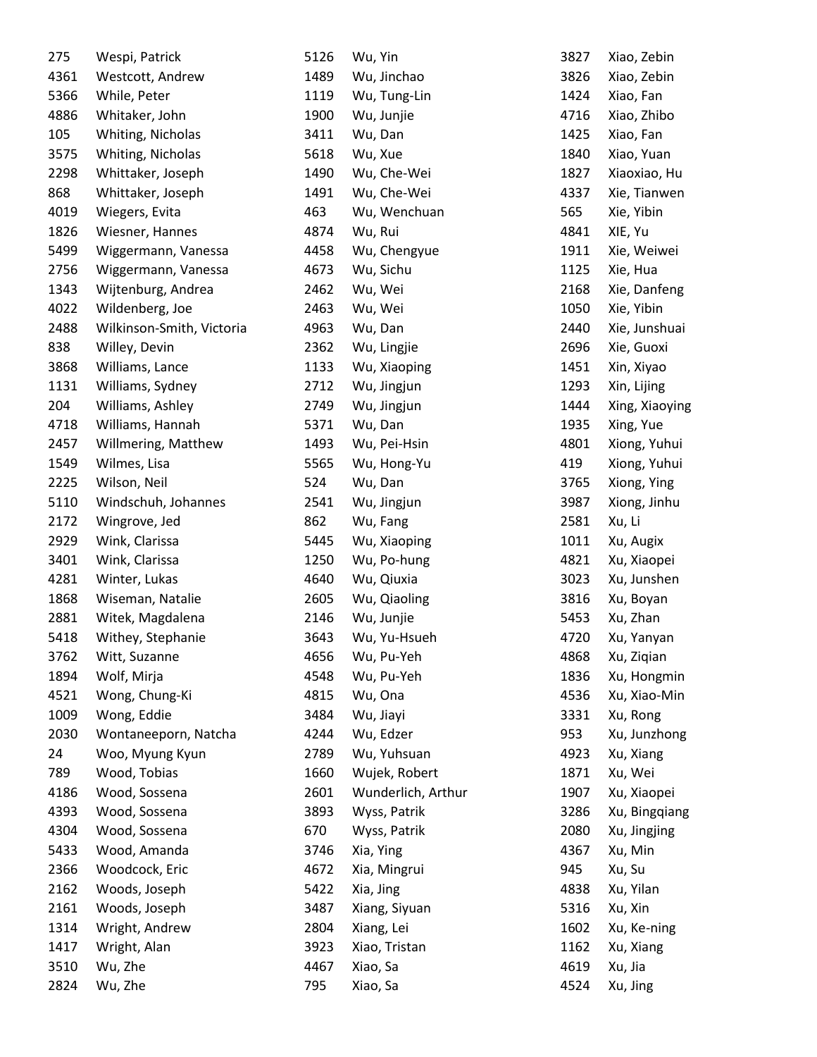| 275  | Wespi, Patrick            | 5126 | Wu, Yin            | 3827 | Xiao, Zebin    |
|------|---------------------------|------|--------------------|------|----------------|
| 4361 | Westcott, Andrew          | 1489 | Wu, Jinchao        | 3826 | Xiao, Zebin    |
| 5366 | While, Peter              | 1119 | Wu, Tung-Lin       | 1424 | Xiao, Fan      |
| 4886 | Whitaker, John            | 1900 | Wu, Junjie         | 4716 | Xiao, Zhibo    |
| 105  | Whiting, Nicholas         | 3411 | Wu, Dan            | 1425 | Xiao, Fan      |
| 3575 | Whiting, Nicholas         | 5618 | Wu, Xue            | 1840 | Xiao, Yuan     |
| 2298 | Whittaker, Joseph         | 1490 | Wu, Che-Wei        | 1827 | Xiaoxiao, Hu   |
| 868  | Whittaker, Joseph         | 1491 | Wu, Che-Wei        | 4337 | Xie, Tianwen   |
| 4019 | Wiegers, Evita            | 463  | Wu, Wenchuan       | 565  | Xie, Yibin     |
| 1826 | Wiesner, Hannes           | 4874 | Wu, Rui            | 4841 | XIE, Yu        |
| 5499 | Wiggermann, Vanessa       | 4458 | Wu, Chengyue       | 1911 | Xie, Weiwei    |
| 2756 | Wiggermann, Vanessa       | 4673 | Wu, Sichu          | 1125 | Xie, Hua       |
| 1343 | Wijtenburg, Andrea        | 2462 | Wu, Wei            | 2168 | Xie, Danfeng   |
| 4022 | Wildenberg, Joe           | 2463 | Wu, Wei            | 1050 | Xie, Yibin     |
| 2488 | Wilkinson-Smith, Victoria | 4963 | Wu, Dan            | 2440 | Xie, Junshuai  |
| 838  | Willey, Devin             | 2362 | Wu, Lingjie        | 2696 | Xie, Guoxi     |
| 3868 | Williams, Lance           | 1133 | Wu, Xiaoping       | 1451 | Xin, Xiyao     |
| 1131 | Williams, Sydney          | 2712 | Wu, Jingjun        | 1293 | Xin, Lijing    |
| 204  | Williams, Ashley          | 2749 | Wu, Jingjun        | 1444 | Xing, Xiaoying |
| 4718 | Williams, Hannah          | 5371 | Wu, Dan            | 1935 | Xing, Yue      |
| 2457 | Willmering, Matthew       | 1493 | Wu, Pei-Hsin       | 4801 | Xiong, Yuhui   |
| 1549 | Wilmes, Lisa              | 5565 | Wu, Hong-Yu        | 419  | Xiong, Yuhui   |
| 2225 | Wilson, Neil              | 524  | Wu, Dan            | 3765 | Xiong, Ying    |
| 5110 | Windschuh, Johannes       | 2541 | Wu, Jingjun        | 3987 | Xiong, Jinhu   |
| 2172 | Wingrove, Jed             | 862  | Wu, Fang           | 2581 | Xu, Li         |
| 2929 | Wink, Clarissa            | 5445 | Wu, Xiaoping       | 1011 | Xu, Augix      |
| 3401 | Wink, Clarissa            | 1250 | Wu, Po-hung        | 4821 | Xu, Xiaopei    |
| 4281 | Winter, Lukas             | 4640 | Wu, Qiuxia         | 3023 | Xu, Junshen    |
| 1868 | Wiseman, Natalie          | 2605 | Wu, Qiaoling       | 3816 | Xu, Boyan      |
| 2881 | Witek, Magdalena          | 2146 | Wu, Junjie         | 5453 | Xu, Zhan       |
| 5418 | Withey, Stephanie         | 3643 | Wu, Yu-Hsueh       | 4720 | Xu, Yanyan     |
| 3762 | Witt, Suzanne             | 4656 | Wu, Pu-Yeh         | 4868 | Xu, Ziqian     |
| 1894 | Wolf, Mirja               | 4548 | Wu, Pu-Yeh         | 1836 | Xu, Hongmin    |
| 4521 | Wong, Chung-Ki            | 4815 | Wu, Ona            | 4536 | Xu, Xiao-Min   |
| 1009 | Wong, Eddie               | 3484 | Wu, Jiayi          | 3331 | Xu, Rong       |
| 2030 | Wontaneeporn, Natcha      | 4244 | Wu, Edzer          | 953  | Xu, Junzhong   |
| 24   | Woo, Myung Kyun           | 2789 | Wu, Yuhsuan        | 4923 | Xu, Xiang      |
| 789  | Wood, Tobias              | 1660 | Wujek, Robert      | 1871 | Xu, Wei        |
| 4186 | Wood, Sossena             | 2601 | Wunderlich, Arthur | 1907 | Xu, Xiaopei    |
| 4393 | Wood, Sossena             | 3893 | Wyss, Patrik       | 3286 | Xu, Bingqiang  |
| 4304 | Wood, Sossena             | 670  | Wyss, Patrik       | 2080 | Xu, Jingjing   |
| 5433 | Wood, Amanda              | 3746 | Xia, Ying          | 4367 | Xu, Min        |
| 2366 | Woodcock, Eric            | 4672 | Xia, Mingrui       | 945  | Xu, Su         |
| 2162 | Woods, Joseph             | 5422 | Xia, Jing          | 4838 | Xu, Yilan      |
| 2161 | Woods, Joseph             | 3487 | Xiang, Siyuan      | 5316 | Xu, Xin        |
| 1314 | Wright, Andrew            | 2804 | Xiang, Lei         | 1602 | Xu, Ke-ning    |
| 1417 | Wright, Alan              | 3923 | Xiao, Tristan      | 1162 | Xu, Xiang      |
| 3510 | Wu, Zhe                   | 4467 | Xiao, Sa           | 4619 | Xu, Jia        |
| 2824 | Wu, Zhe                   | 795  | Xiao, Sa           | 4524 | Xu, Jing       |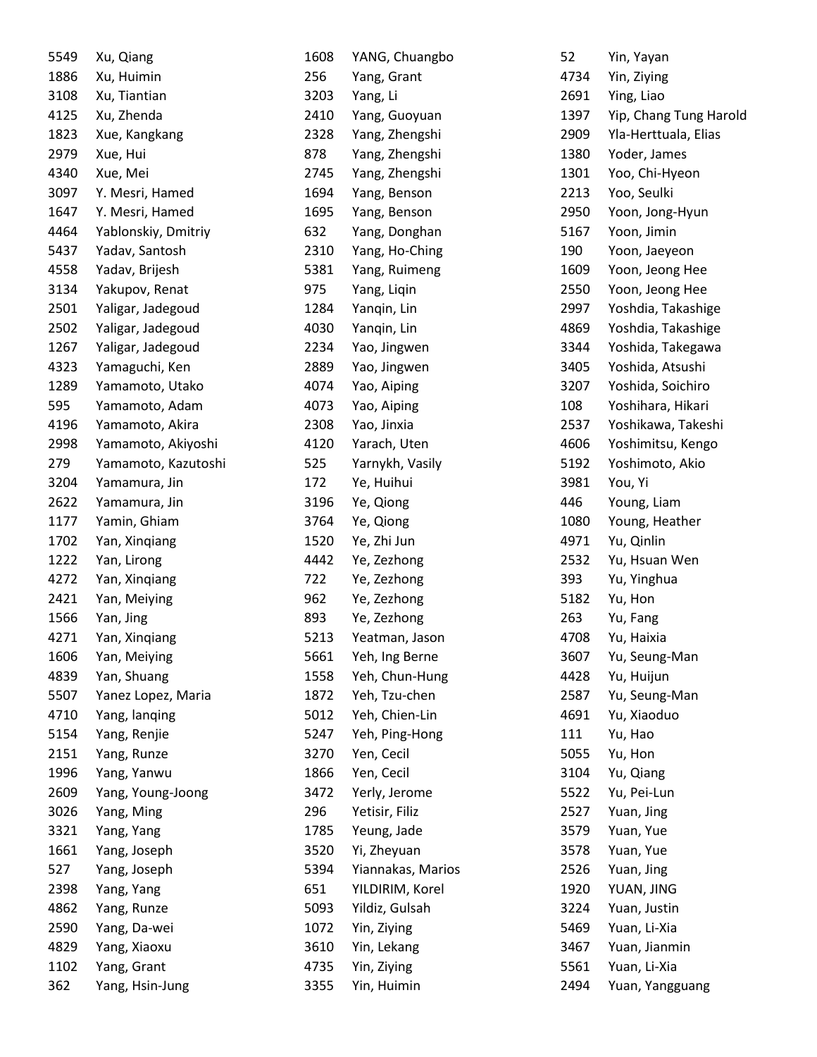| 5549 | Xu, Qiang           | 1608 | YANG, Chuangbo    | 52   | Yin, Yayan             |
|------|---------------------|------|-------------------|------|------------------------|
| 1886 | Xu, Huimin          | 256  | Yang, Grant       | 4734 | Yin, Ziying            |
| 3108 | Xu, Tiantian        | 3203 | Yang, Li          | 2691 | Ying, Liao             |
| 4125 | Xu, Zhenda          | 2410 | Yang, Guoyuan     | 1397 | Yip, Chang Tung Harold |
| 1823 | Xue, Kangkang       | 2328 | Yang, Zhengshi    | 2909 | Yla-Herttuala, Elias   |
| 2979 | Xue, Hui            | 878  | Yang, Zhengshi    | 1380 | Yoder, James           |
| 4340 | Xue, Mei            | 2745 | Yang, Zhengshi    | 1301 | Yoo, Chi-Hyeon         |
| 3097 | Y. Mesri, Hamed     | 1694 | Yang, Benson      | 2213 | Yoo, Seulki            |
| 1647 | Y. Mesri, Hamed     | 1695 | Yang, Benson      | 2950 | Yoon, Jong-Hyun        |
| 4464 | Yablonskiy, Dmitriy | 632  | Yang, Donghan     | 5167 | Yoon, Jimin            |
| 5437 | Yadav, Santosh      | 2310 | Yang, Ho-Ching    | 190  | Yoon, Jaeyeon          |
| 4558 | Yadav, Brijesh      | 5381 | Yang, Ruimeng     | 1609 | Yoon, Jeong Hee        |
| 3134 | Yakupov, Renat      | 975  | Yang, Liqin       | 2550 | Yoon, Jeong Hee        |
| 2501 | Yaligar, Jadegoud   | 1284 | Yanqin, Lin       | 2997 | Yoshdia, Takashige     |
| 2502 | Yaligar, Jadegoud   | 4030 | Yangin, Lin       | 4869 | Yoshdia, Takashige     |
| 1267 | Yaligar, Jadegoud   | 2234 | Yao, Jingwen      | 3344 | Yoshida, Takegawa      |
| 4323 |                     |      |                   | 3405 | Yoshida, Atsushi       |
|      | Yamaguchi, Ken      | 2889 | Yao, Jingwen      |      |                        |
| 1289 | Yamamoto, Utako     | 4074 | Yao, Aiping       | 3207 | Yoshida, Soichiro      |
| 595  | Yamamoto, Adam      | 4073 | Yao, Aiping       | 108  | Yoshihara, Hikari      |
| 4196 | Yamamoto, Akira     | 2308 | Yao, Jinxia       | 2537 | Yoshikawa, Takeshi     |
| 2998 | Yamamoto, Akiyoshi  | 4120 | Yarach, Uten      | 4606 | Yoshimitsu, Kengo      |
| 279  | Yamamoto, Kazutoshi | 525  | Yarnykh, Vasily   | 5192 | Yoshimoto, Akio        |
| 3204 | Yamamura, Jin       | 172  | Ye, Huihui        | 3981 | You, Yi                |
| 2622 | Yamamura, Jin       | 3196 | Ye, Qiong         | 446  | Young, Liam            |
| 1177 | Yamin, Ghiam        | 3764 | Ye, Qiong         | 1080 | Young, Heather         |
| 1702 | Yan, Xinqiang       | 1520 | Ye, Zhi Jun       | 4971 | Yu, Qinlin             |
| 1222 | Yan, Lirong         | 4442 | Ye, Zezhong       | 2532 | Yu, Hsuan Wen          |
| 4272 | Yan, Xinqiang       | 722  | Ye, Zezhong       | 393  | Yu, Yinghua            |
| 2421 | Yan, Meiying        | 962  | Ye, Zezhong       | 5182 | Yu, Hon                |
| 1566 | Yan, Jing           | 893  | Ye, Zezhong       | 263  | Yu, Fang               |
| 4271 | Yan, Xinqiang       | 5213 | Yeatman, Jason    | 4708 | Yu, Haixia             |
| 1606 | Yan, Meiying        | 5661 | Yeh, Ing Berne    | 3607 | Yu, Seung-Man          |
| 4839 | Yan, Shuang         | 1558 | Yeh, Chun-Hung    | 4428 | Yu, Huijun             |
| 5507 | Yanez Lopez, Maria  | 1872 | Yeh, Tzu-chen     | 2587 | Yu, Seung-Man          |
| 4710 | Yang, lanqing       | 5012 | Yeh, Chien-Lin    | 4691 | Yu, Xiaoduo            |
| 5154 | Yang, Renjie        | 5247 | Yeh, Ping-Hong    | 111  | Yu, Hao                |
| 2151 | Yang, Runze         | 3270 | Yen, Cecil        | 5055 | Yu, Hon                |
| 1996 | Yang, Yanwu         | 1866 | Yen, Cecil        | 3104 | Yu, Qiang              |
| 2609 | Yang, Young-Joong   | 3472 | Yerly, Jerome     | 5522 | Yu, Pei-Lun            |
| 3026 | Yang, Ming          | 296  | Yetisir, Filiz    | 2527 | Yuan, Jing             |
| 3321 | Yang, Yang          | 1785 | Yeung, Jade       | 3579 | Yuan, Yue              |
| 1661 | Yang, Joseph        | 3520 | Yi, Zheyuan       | 3578 | Yuan, Yue              |
| 527  | Yang, Joseph        | 5394 | Yiannakas, Marios | 2526 | Yuan, Jing             |
| 2398 | Yang, Yang          | 651  | YILDIRIM, Korel   | 1920 | YUAN, JING             |
| 4862 | Yang, Runze         | 5093 | Yildiz, Gulsah    | 3224 | Yuan, Justin           |
| 2590 | Yang, Da-wei        | 1072 | Yin, Ziying       | 5469 | Yuan, Li-Xia           |
| 4829 | Yang, Xiaoxu        | 3610 | Yin, Lekang       | 3467 | Yuan, Jianmin          |
| 1102 | Yang, Grant         | 4735 | Yin, Ziying       | 5561 | Yuan, Li-Xia           |
| 362  | Yang, Hsin-Jung     | 3355 | Yin, Huimin       | 2494 | Yuan, Yangguang        |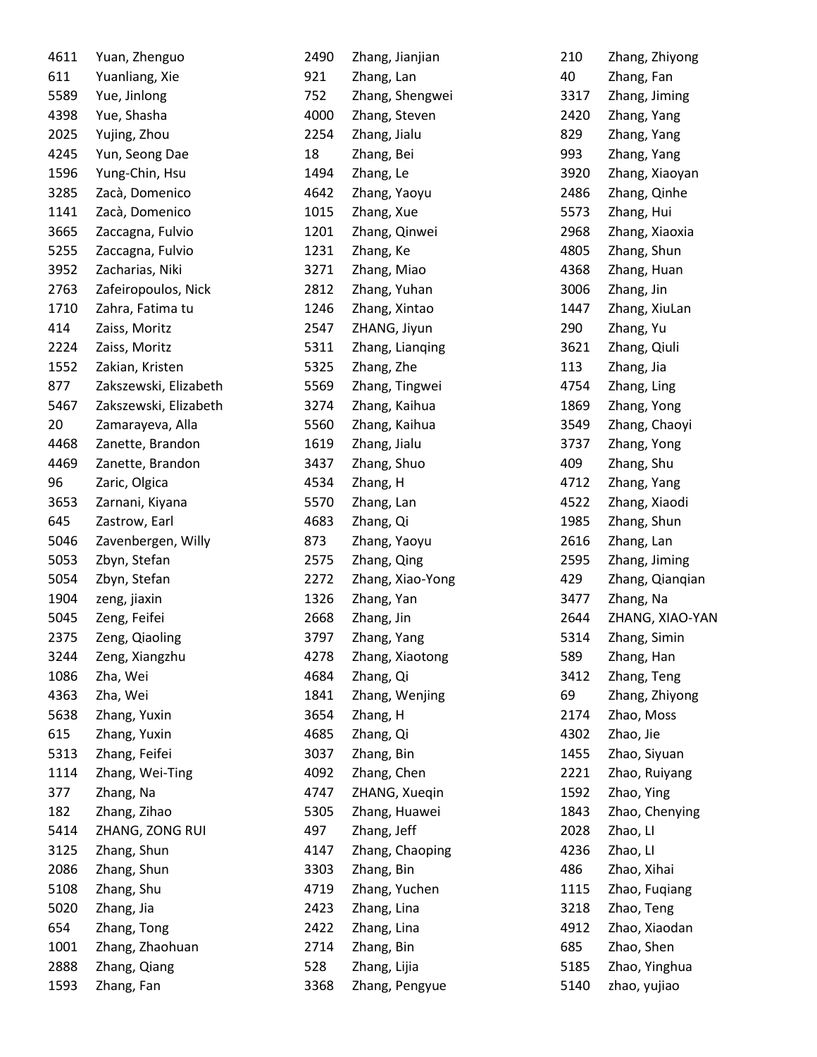| 4611 | Yuan, Zhenguo         | 2490 | Zhang, Jianjian  | 210  | Zhang, Zhiyong  |
|------|-----------------------|------|------------------|------|-----------------|
| 611  | Yuanliang, Xie        | 921  | Zhang, Lan       | 40   | Zhang, Fan      |
| 5589 | Yue, Jinlong          | 752  | Zhang, Shengwei  | 3317 | Zhang, Jiming   |
| 4398 | Yue, Shasha           | 4000 | Zhang, Steven    | 2420 | Zhang, Yang     |
| 2025 | Yujing, Zhou          | 2254 | Zhang, Jialu     | 829  | Zhang, Yang     |
| 4245 | Yun, Seong Dae        | 18   | Zhang, Bei       | 993  | Zhang, Yang     |
| 1596 | Yung-Chin, Hsu        | 1494 | Zhang, Le        | 3920 | Zhang, Xiaoyan  |
| 3285 | Zacà, Domenico        | 4642 | Zhang, Yaoyu     | 2486 | Zhang, Qinhe    |
| 1141 | Zacà, Domenico        | 1015 | Zhang, Xue       | 5573 | Zhang, Hui      |
| 3665 | Zaccagna, Fulvio      | 1201 | Zhang, Qinwei    | 2968 | Zhang, Xiaoxia  |
| 5255 | Zaccagna, Fulvio      | 1231 | Zhang, Ke        | 4805 | Zhang, Shun     |
| 3952 | Zacharias, Niki       | 3271 | Zhang, Miao      | 4368 | Zhang, Huan     |
| 2763 | Zafeiropoulos, Nick   | 2812 | Zhang, Yuhan     | 3006 | Zhang, Jin      |
| 1710 | Zahra, Fatima tu      | 1246 | Zhang, Xintao    | 1447 | Zhang, XiuLan   |
| 414  | Zaiss, Moritz         | 2547 | ZHANG, Jiyun     | 290  | Zhang, Yu       |
| 2224 | Zaiss, Moritz         | 5311 | Zhang, Lianqing  | 3621 | Zhang, Qiuli    |
| 1552 | Zakian, Kristen       | 5325 | Zhang, Zhe       | 113  | Zhang, Jia      |
| 877  | Zakszewski, Elizabeth | 5569 | Zhang, Tingwei   | 4754 | Zhang, Ling     |
| 5467 | Zakszewski, Elizabeth | 3274 | Zhang, Kaihua    | 1869 | Zhang, Yong     |
| 20   | Zamarayeva, Alla      | 5560 | Zhang, Kaihua    | 3549 | Zhang, Chaoyi   |
| 4468 | Zanette, Brandon      | 1619 | Zhang, Jialu     | 3737 | Zhang, Yong     |
| 4469 | Zanette, Brandon      | 3437 | Zhang, Shuo      | 409  | Zhang, Shu      |
| 96   | Zaric, Olgica         | 4534 | Zhang, H         | 4712 | Zhang, Yang     |
| 3653 | Zarnani, Kiyana       | 5570 | Zhang, Lan       | 4522 | Zhang, Xiaodi   |
| 645  | Zastrow, Earl         | 4683 | Zhang, Qi        | 1985 | Zhang, Shun     |
| 5046 | Zavenbergen, Willy    | 873  | Zhang, Yaoyu     | 2616 | Zhang, Lan      |
| 5053 | Zbyn, Stefan          | 2575 | Zhang, Qing      | 2595 | Zhang, Jiming   |
| 5054 | Zbyn, Stefan          | 2272 | Zhang, Xiao-Yong | 429  | Zhang, Qianqian |
| 1904 | zeng, jiaxin          | 1326 | Zhang, Yan       | 3477 | Zhang, Na       |
| 5045 | Zeng, Feifei          | 2668 | Zhang, Jin       | 2644 | ZHANG, XIAO-YAN |
| 2375 | Zeng, Qiaoling        | 3797 | Zhang, Yang      | 5314 | Zhang, Simin    |
| 3244 | Zeng, Xiangzhu        | 4278 | Zhang, Xiaotong  | 589  | Zhang, Han      |
| 1086 | Zha, Wei              | 4684 | Zhang, Qi        | 3412 | Zhang, Teng     |
| 4363 | Zha, Wei              | 1841 | Zhang, Wenjing   | 69   | Zhang, Zhiyong  |
| 5638 | Zhang, Yuxin          | 3654 | Zhang, H         | 2174 | Zhao, Moss      |
| 615  | Zhang, Yuxin          | 4685 | Zhang, Qi        | 4302 | Zhao, Jie       |
| 5313 | Zhang, Feifei         | 3037 | Zhang, Bin       | 1455 | Zhao, Siyuan    |
| 1114 | Zhang, Wei-Ting       | 4092 | Zhang, Chen      | 2221 | Zhao, Ruiyang   |
| 377  | Zhang, Na             | 4747 | ZHANG, Xueqin    | 1592 | Zhao, Ying      |
| 182  | Zhang, Zihao          | 5305 | Zhang, Huawei    | 1843 | Zhao, Chenying  |
| 5414 | ZHANG, ZONG RUI       | 497  | Zhang, Jeff      | 2028 | Zhao, LI        |
| 3125 | Zhang, Shun           | 4147 | Zhang, Chaoping  | 4236 | Zhao, LI        |
| 2086 | Zhang, Shun           | 3303 | Zhang, Bin       | 486  | Zhao, Xihai     |
| 5108 | Zhang, Shu            | 4719 | Zhang, Yuchen    | 1115 | Zhao, Fuqiang   |
| 5020 | Zhang, Jia            | 2423 | Zhang, Lina      | 3218 | Zhao, Teng      |
| 654  | Zhang, Tong           | 2422 | Zhang, Lina      | 4912 | Zhao, Xiaodan   |
| 1001 | Zhang, Zhaohuan       | 2714 | Zhang, Bin       | 685  | Zhao, Shen      |
| 2888 | Zhang, Qiang          | 528  | Zhang, Lijia     | 5185 | Zhao, Yinghua   |
| 1593 | Zhang, Fan            | 3368 | Zhang, Pengyue   | 5140 | zhao, yujiao    |